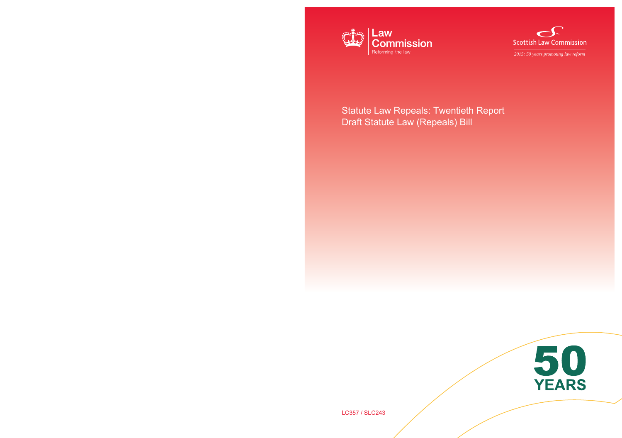



*2015: 50 years promoting law reform* 

# Statute Law Repeals: Twentieth Report Draft Statute Law (Repeals) Bill



LC357 / SLC243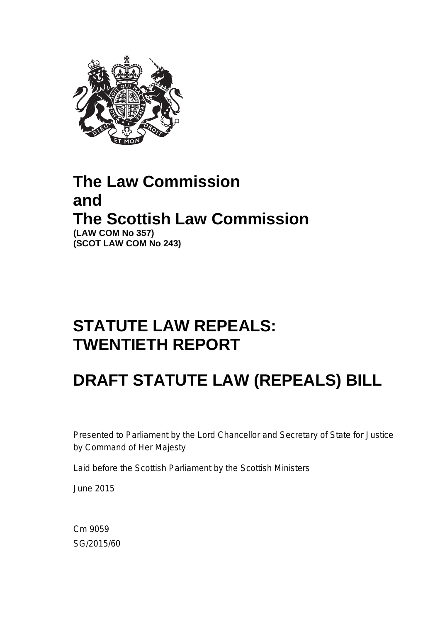

# **The Law Commission and The Scottish Law Commission (LAW COM No 357) (SCOT LAW COM No 243)**

# **STATUTE LAW REPEALS: TWENTIETH REPORT**

# **DRAFT STATUTE LAW (REPEALS) BILL**

Presented to Parliament by the Lord Chancellor and Secretary of State for Justice by Command of Her Majesty

Laid before the Scottish Parliament by the Scottish Ministers

June 2015

Cm 9059 SG/2015/60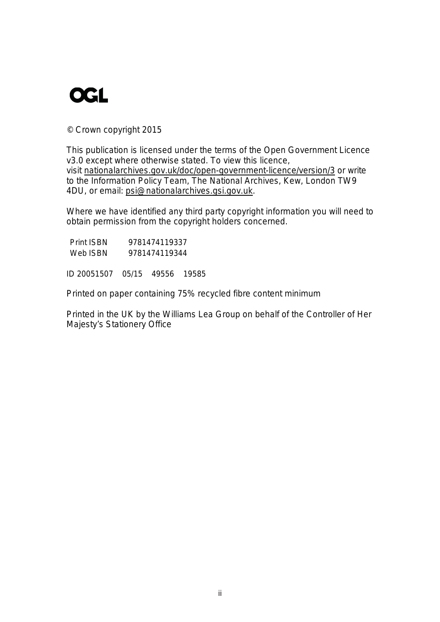# **OGL**

© Crown copyright 2015

 v3.0 except where otherwise stated. To view this licence, This publication is licensed under the terms of the Open Government Licence visit nationalarchives.gov.uk/doc/open-government-licence/version/3 or write to the Information Policy Team, The National Archives, Kew, London TW9 4DU, or email: psi@nationalarchives.gsi.gov.uk.

Where we have identified any third party copyright information you will need to obtain permission from the copyright holders concerned.

| <b>Print ISBN</b> | 9781474119337 |
|-------------------|---------------|
| Web ISBN          | 9781474119344 |

ID 20051507 05/15 49556 19585

Printed on paper containing 75% recycled fibre content minimum

Printed in the UK by the Williams Lea Group on behalf of the Controller of Her Majesty's Stationery Office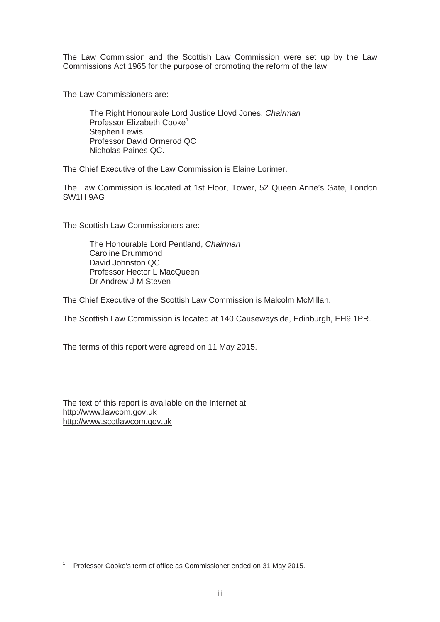The Law Commission and the Scottish Law Commission were set up by the Law Commissions Act 1965 for the purpose of promoting the reform of the law.

The Law Commissioners are:

The Right Honourable Lord Justice Lloyd Jones, *Chairman* Professor Elizabeth Cooke<sup>1</sup> Stephen Lewis Professor David Ormerod QC Nicholas Paines QC.

The Chief Executive of the Law Commission is Elaine Lorimer.

The Law Commission is located at 1st Floor, Tower, 52 Queen Anne's Gate, London SW1H 9AG

The Scottish Law Commissioners are:

The Honourable Lord Pentland, *Chairman* Caroline Drummond David Johnston QC Professor Hector L MacQueen Dr Andrew J M Steven

The Chief Executive of the Scottish Law Commission is Malcolm McMillan.

The Scottish Law Commission is located at 140 Causewayside, Edinburgh, EH9 1PR.

The terms of this report were agreed on 11 May 2015.

The text of this report is available on the Internet at: http://www.lawcom.gov.uk http://www.scotlawcom.gov.uk

Professor Cooke's term of office as Commissioner ended on 31 May 2015. 1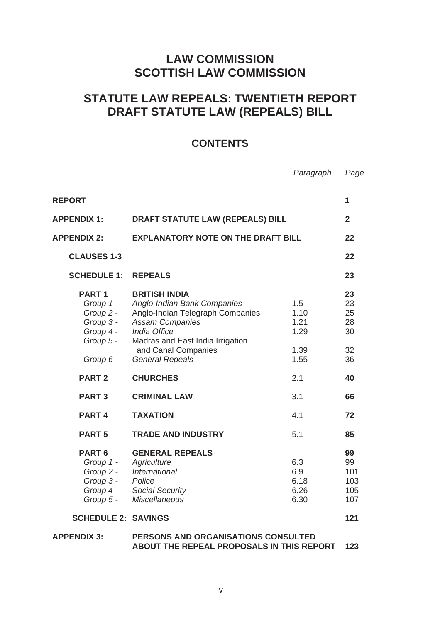# **LAW COMMISSION SCOTTISH LAW COMMISSION**

# **STATUTE LAW REPEALS: TWENTIETH REPORT DRAFT STATUTE LAW (REPEALS) BILL**

# **CONTENTS**

*Paragraph Page* 

| <b>REPORT</b>                                                                      |                                                                                                                                                                                                                                  |                                             | 1                                      |
|------------------------------------------------------------------------------------|----------------------------------------------------------------------------------------------------------------------------------------------------------------------------------------------------------------------------------|---------------------------------------------|----------------------------------------|
| <b>APPENDIX 1:</b>                                                                 | <b>DRAFT STATUTE LAW (REPEALS) BILL</b>                                                                                                                                                                                          |                                             | $\overline{2}$                         |
| <b>APPENDIX 2:</b>                                                                 | <b>EXPLANATORY NOTE ON THE DRAFT BILL</b>                                                                                                                                                                                        |                                             | 22                                     |
| <b>CLAUSES 1-3</b>                                                                 |                                                                                                                                                                                                                                  |                                             | 22                                     |
| <b>SCHEDULE 1:</b>                                                                 | <b>REPEALS</b>                                                                                                                                                                                                                   |                                             | 23                                     |
| PART <sub>1</sub><br>Group 2 -<br>Group 3 -<br>Group 4 -<br>Group 5 -<br>Group 6 - | <b>BRITISH INDIA</b><br>Group 1 - Anglo-Indian Bank Companies<br>Anglo-Indian Telegraph Companies<br><b>Assam Companies</b><br>India Office<br>Madras and East India Irrigation<br>and Canal Companies<br><b>General Repeals</b> | 1.5<br>1.10<br>1.21<br>1.29<br>1.39<br>1.55 | 23<br>23<br>25<br>28<br>30<br>32<br>36 |
| <b>PART 2</b>                                                                      | <b>CHURCHES</b>                                                                                                                                                                                                                  | 2.1                                         | 40                                     |
| <b>PART3</b>                                                                       | <b>CRIMINAL LAW</b>                                                                                                                                                                                                              | 3.1                                         | 66                                     |
| PART <sub>4</sub>                                                                  | <b>TAXATION</b>                                                                                                                                                                                                                  | 4.1                                         | 72                                     |
| PART <sub>5</sub>                                                                  | <b>TRADE AND INDUSTRY</b>                                                                                                                                                                                                        | 5.1                                         | 85                                     |
| PART <sub>6</sub><br>Group 1 -<br>Group 2 -<br>Group 3 -<br>Group 4 -<br>Group 5 - | <b>GENERAL REPEALS</b><br>Agriculture<br>International<br>Police<br><b>Social Security</b><br><b>Miscellaneous</b>                                                                                                               | 6.3<br>6.9<br>6.18<br>6.26<br>6.30          | 99<br>99<br>101<br>103<br>105<br>107   |
| <b>SCHEDULE 2: SAVINGS</b>                                                         |                                                                                                                                                                                                                                  |                                             | 121                                    |
| <b>APPENDIX 3:</b>                                                                 | PERSONS AND ORGANISATIONS CONSULTED<br>ABOUT THE REPEAL PROPOSALS IN THIS REPORT                                                                                                                                                 |                                             | 123                                    |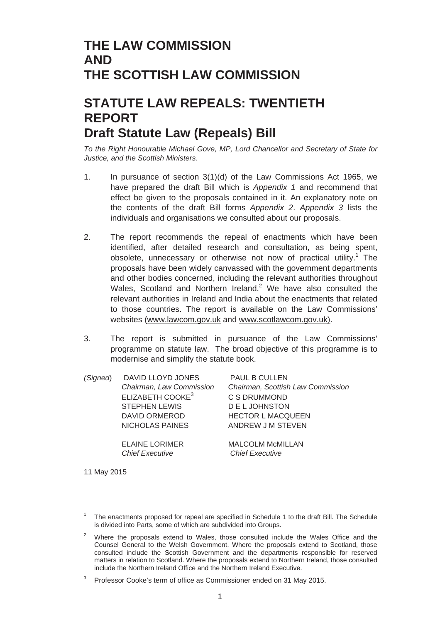# **THE LAW COMMISSION AND THE SCOTTISH LAW COMMISSION**

# **STATUTE LAW REPEALS: TWENTIETH REPORT Draft Statute Law (Repeals) Bill**

*To the Right Honourable Michael Gove, MP, Lord Chancellor and Secretary of State for Justice, and the Scottish Ministers*.

- 1. In pursuance of section 3(1)(d) of the Law Commissions Act 1965, we have prepared the draft Bill which is *Appendix 1* and recommend that effect be given to the proposals contained in it. An explanatory note on the contents of the draft Bill forms *Appendix 2*. *Appendix 3* lists the individuals and organisations we consulted about our proposals.
- 2. The report recommends the repeal of enactments which have been identified, after detailed research and consultation, as being spent, obsolete, unnecessary or otherwise not now of practical utility.<sup>1</sup> The proposals have been widely canvassed with the government departments and other bodies concerned, including the relevant authorities throughout Wales, Scotland and Northern Ireland.<sup>2</sup> We have also consulted the relevant authorities in Ireland and India about the enactments that related to those countries. The report is available on the Law Commissions' websites (www.lawcom.gov.uk and www.scotlawcom.gov.uk).
- 3. The report is submitted in pursuance of the Law Commissions' programme on statute law. The broad objective of this programme is to modernise and simplify the statute book.

| (Signed) | DAVID LLOYD JONES            | <b>PAUL B CULLEN</b>              |
|----------|------------------------------|-----------------------------------|
|          | Chairman, Law Commission     | Chairman, Scottish Law Commission |
|          | ELIZABETH COOKE <sup>3</sup> | C S DRUMMOND                      |
|          | <b>STEPHEN LEWIS</b>         | <b>DELJOHNSTON</b>                |
|          | DAVID ORMEROD                | <b>HECTOR L MACQUEEN</b>          |
|          | NICHOLAS PAINES              | ANDREW J M STEVEN                 |
|          | <b>ELAINE LORIMER</b>        | <b>MALCOLM McMILLAN</b>           |
|          | <b>Chief Executive</b>       | <b>Chief Executive</b>            |

11 May 2015

The enactments proposed for repeal are specified in Schedule 1 to the draft Bill. The Schedule is divided into Parts, some of which are subdivided into Groups.

<sup>&</sup>lt;sup>2</sup> Where the proposals extend to Wales, those consulted include the Wales Office and the Counsel General to the Welsh Government. Where the proposals extend to Scotland, those consulted include the Scottish Government and the departments responsible for reserved matters in relation to Scotland. Where the proposals extend to Northern Ireland, those consulted include the Northern Ireland Office and the Northern Ireland Executive.

<sup>3</sup> Professor Cooke's term of office as Commissioner ended on 31 May 2015.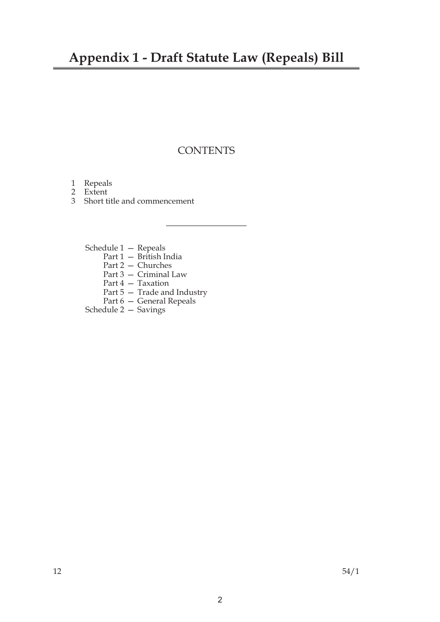# **Appendix 1 - Draft Statute Law (Repeals) Bill**

# **CONTENTS**

- 1 Repeals
- 2 Extent
- 3 Short title and commencement
	- Schedule 1 Repeals
		- Part 1 British India
		- Part 2 Churches
		- Part 3 Criminal Law
		- Part 4 Taxation
		- Part 5 Trade and Industry
		- Part 6 General Repeals
	- Schedule 2 Savings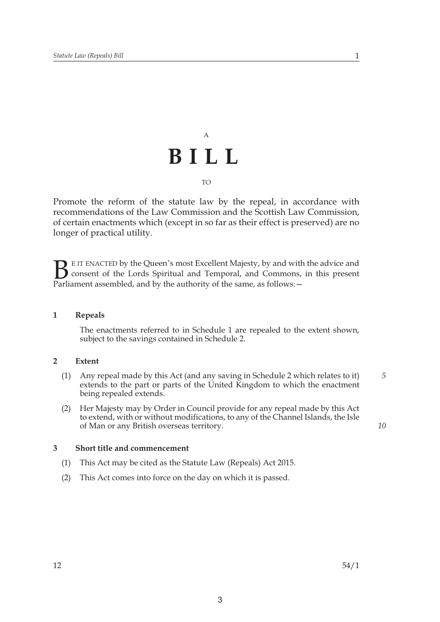# A **BILL**  TO

Promote the reform of the statute law by the repeal, in accordance with recommendations of the Law Commission and the Scottish Law Commission, of certain enactments which (except in so far as their effect is preserved) are no longer of practical utility.

**B** E IT ENACTED by the Queen's most Excellent Majesty, by and with consent of the Lords Spiritual and Temporal, and Commons, i<br>Parliament assembled, and by the authority of the same, as follows:  $-$ E IT ENACTED by the Queen's most Excellent Majesty, by and with the advice and consent of the Lords Spiritual and Temporal, and Commons, in this present

### **1 Repeals**

The enactments referred to in Schedule 1 are repealed to the extent shown, subject to the savings contained in Schedule 2.

### **2 Extent**

- (1) Any repeal made by this Act (and any saving in Schedule 2 which relates to it) *5*  extends to the part or parts of the United Kingdom to which the enactment being repealed extends.
- (2) Her Majesty may by Order in Council provide for any repeal made by this Act to extend, with or without modifications, to any of the Channel Islands, the Isle of Man or any British overseas territory. *10*

### **3 Short title and commencement**

- (1) This Act may be cited as the Statute Law (Repeals) Act 2015.
- (2) This Act comes into force on the day on which it is passed.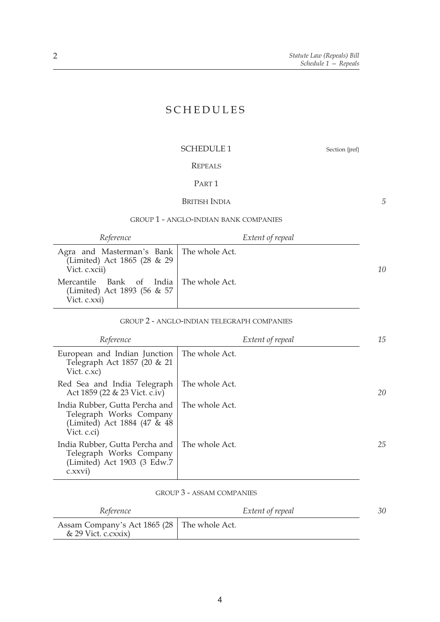*5* 

# SCHEDULES

# SCHEDULE 1 Section {jref}

# REPEALS

# PART 1

# BRITISH INDIA

#### GROUP 1 - ANGLO-INDIAN BANK COMPANIES

*Reference Extent of repeal* 

| Agra and Masterman's Bank   The whole Act.<br>(Limited) Act 1865 (28 & 29<br>Vict. c.xcii) | 10 |
|--------------------------------------------------------------------------------------------|----|
| Mercantile Bank of India The whole Act.<br>(Limited) Act 1893 (56 & 57<br>Vict. c.xxi)     |    |

#### GROUP 2 - ANGLO-INDIAN TELEGRAPH COMPANIES

| Reference                                                                                               | Extent of repeal | 15 |
|---------------------------------------------------------------------------------------------------------|------------------|----|
| European and Indian Junction<br>Telegraph Act 1857 (20 & 21<br>Vict. c.xc)                              | The whole Act.   |    |
| Red Sea and India Telegraph<br>Act 1859 (22 & 23 Vict. c.iv)                                            | The whole Act.   | 20 |
| India Rubber, Gutta Percha and<br>Telegraph Works Company<br>(Limited) Act 1884 (47 & 48<br>Vict. c.ci) | The whole Act.   |    |
| India Rubber, Gutta Percha and<br>Telegraph Works Company<br>(Limited) Act 1903 (3 Edw.7<br>c.xxvi)     | The whole Act.   | 25 |

# GROUP 3 - ASSAM COMPANIES

| Reference                                                             | Extent of repeal |  |
|-----------------------------------------------------------------------|------------------|--|
| Assam Company's Act 1865 (28 The whole Act.<br>$\&$ 29 Vict. c.cxxix) |                  |  |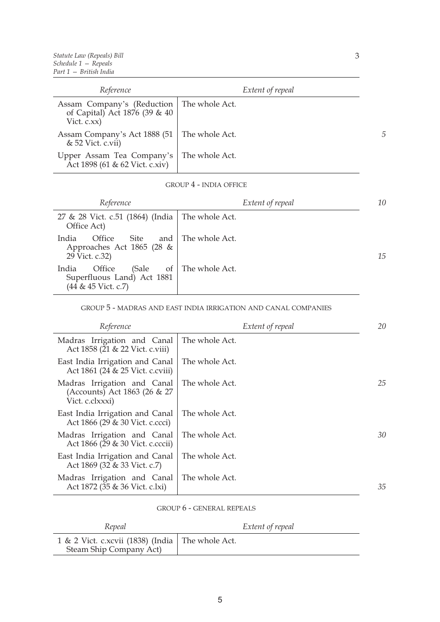| Reference                                                                                   | Extent of repeal |
|---------------------------------------------------------------------------------------------|------------------|
| Assam Company's (Reduction   The whole Act.<br>of Capital) Act 1876 (39 & 40<br>Vict. c.xx) |                  |
| Assam Company's Act 1888 (51   The whole Act.<br>& 52 Vict. c.vii)                          |                  |
| Upper Assam Tea Company's   The whole Act.<br>Act 1898 (61 & 62 Vict. c.xiv)                |                  |

#### GROUP 4 - INDIA OFFICE

| Reference                                                                           | Extent of repeal   | 10 |
|-------------------------------------------------------------------------------------|--------------------|----|
| 27 & 28 Vict. c.51 (1864) (India   The whole Act.<br>Office Act)                    |                    |    |
| Office<br>India<br>Site<br>Approaches Act 1865 (28 &<br>29 Vict. c.32)              | and The whole Act. | 15 |
| India<br>Office<br>(Sale<br>of<br>Superfluous Land) Act 1881<br>(44 & 45 Vict. c.7) | The whole Act.     |    |

#### GROUP 5 - MADRAS AND EAST INDIA IRRIGATION AND CANAL COMPANIES

| Reference                                                                      | Extent of repeal | 20 |
|--------------------------------------------------------------------------------|------------------|----|
| Madras Irrigation and Canal<br>Act 1858 (21 & 22 Vict. c.viii)                 | The whole Act.   |    |
| East India Irrigation and Canal<br>Act 1861 (24 & 25 Vict. c.cviii)            | The whole Act.   |    |
| Madras Irrigation and Canal<br>(Accounts) Act 1863 (26 & 27<br>Vict. c.clxxxi) | The whole Act.   | 25 |
| East India Irrigation and Canal<br>Act 1866 (29 & 30 Vict. c.ccci)             | The whole Act.   |    |
| Madras Irrigation and Canal<br>Act 1866 (29 & 30 Vict. c.cccii)                | The whole Act.   | 30 |
| East India Irrigation and Canal<br>Act 1869 (32 & 33 Vict. c.7)                | The whole Act.   |    |
| Madras Irrigation and Canal<br>Act 1872 (35 & 36 Vict. c.lxi)                  | The whole Act.   | 35 |

### GROUP 6 - GENERAL REPEALS

| Repeal                                                                        | Extent of repeal |
|-------------------------------------------------------------------------------|------------------|
| 1 & 2 Vict. c.xcvii (1838) (India   The whole Act.<br>Steam Ship Company Act) |                  |

*5*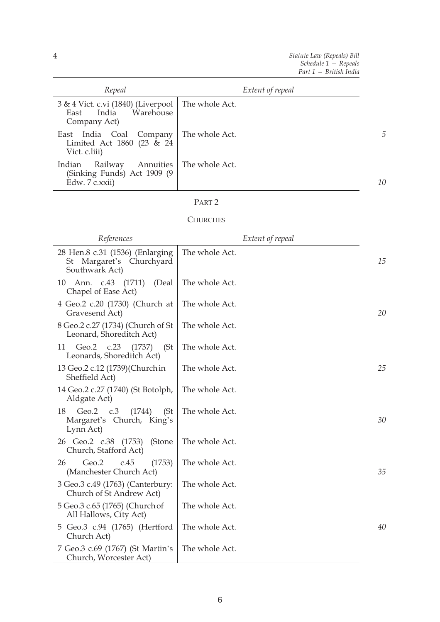| Repeal                                                                                         | Extent of repeal |            |
|------------------------------------------------------------------------------------------------|------------------|------------|
| 3 & 4 Vict. c.vi (1840) (Liverpool   The whole Act.<br>India Warehouse<br>East<br>Company Act) |                  |            |
| East India Coal Company<br>Limited Act 1860 (23 $\&$ 24<br>Vict. c.liii)                       | The whole Act.   | $\sqrt{2}$ |
| Annuities<br>Indian<br>Railway<br>(Sinking Funds) Act 1909 (9<br>Edw. 7 c.xxii)                | The whole Act.   | 10         |

# **CHURCHES**

| References                                                                       | Extent of repeal |    |
|----------------------------------------------------------------------------------|------------------|----|
| 28 Hen.8 c.31 (1536) (Enlarging<br>Margaret's Churchyard<br>St<br>Southwark Act) | The whole Act.   | 15 |
| Ann. c.43 (1711)<br>10<br>(Deal<br>Chapel of Ease Act)                           | The whole Act.   |    |
| 4 Geo.2 c.20 (1730) (Church at<br>Gravesend Act)                                 | The whole Act.   | 20 |
| 8 Geo.2 c.27 (1734) (Church of St<br>Leonard, Shoreditch Act)                    | The whole Act.   |    |
| Geo.2 c.23 (1737)<br>(St)<br>11<br>Leonards, Shoreditch Act)                     | The whole Act.   |    |
| 13 Geo.2 c.12 (1739) (Church in<br>Sheffield Act)                                | The whole Act.   | 25 |
| 14 Geo.2 c.27 (1740) (St Botolph,<br>Aldgate Act)                                | The whole Act.   |    |
| 18<br>Geo.2 $c.3$<br>(1744)<br>(St)<br>Margaret's Church, King's<br>Lynn Act)    | The whole Act.   | 30 |
| 26 Geo.2 c.38 (1753)<br>(Stone<br>Church, Stafford Act)                          | The whole Act.   |    |
| 26<br>Geo.2<br>c.45<br>(1753)<br>(Manchester Church Act)                         | The whole Act.   | 35 |
| 3 Geo.3 c.49 (1763) (Canterbury:<br>Church of St Andrew Act)                     | The whole Act.   |    |
| 5 Geo.3 c.65 (1765) (Church of<br>All Hallows, City Act)                         | The whole Act.   |    |
| 5 Geo.3 c.94 (1765) (Hertford<br>Church Act)                                     | The whole Act.   | 40 |
| 7 Geo.3 c.69 (1767) (St Martin's<br>Church, Worcester Act)                       | The whole Act.   |    |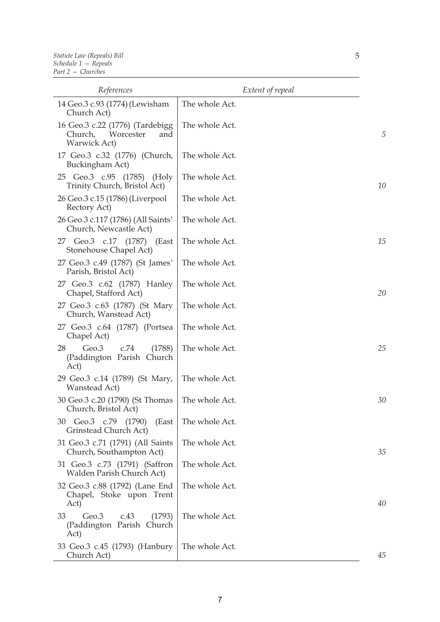| References                                                                            | Extent of repeal |    |
|---------------------------------------------------------------------------------------|------------------|----|
| 14 Geo.3 c.93 (1774) (Lewisham<br>Church Act)                                         | The whole Act.   |    |
| 16 Geo.3 c.22 (1776) (Tardebigg<br>Worcester<br>Church,<br>and<br><b>Warwick Act)</b> | The whole Act.   | 5  |
| 17 Geo.3 c.32 (1776) (Church,<br>Buckingham Act)                                      | The whole Act.   |    |
| 25 Geo.3 c.95 (1785) (Holy<br>Trinity Church, Bristol Act)                            | The whole Act.   | 10 |
| 26 Geo.3 c.15 (1786) (Liverpool<br>Rectory Act)                                       | The whole Act.   |    |
| 26 Geo.3 c.117 (1786) (All Saints'<br>Church, Newcastle Act)                          | The whole Act.   |    |
| 27 Geo.3 c.17 (1787)<br>(East<br>Stonehouse Chapel Act)                               | The whole Act.   | 15 |
| 27 Geo.3 c.49 (1787) (St James'<br>Parish, Bristol Act)                               | The whole Act.   |    |
| 27 Geo.3 c.62 (1787) Hanley<br>Chapel, Stafford Act)                                  | The whole Act.   | 20 |
| 27 Geo.3 c.63 (1787) (St Mary<br>Church, Wanstead Act)                                | The whole Act.   |    |
| 27 Geo.3 c.64 (1787) (Portsea<br>Chapel Act)                                          | The whole Act.   |    |
| 28<br>Geo.3<br>c.74<br>(1788)<br>(Paddington Parish Church<br>Act)                    | The whole Act.   | 25 |
| 29 Geo.3 c.14 (1789) (St Mary,<br>Wanstead Act)                                       | The whole Act.   |    |
| 30 Geo.3 c.20 (1790) (St Thomas<br>Church, Bristol Act)                               | The whole Act.   | 30 |
| 30 Geo.3 c.79 (1790)<br>(East<br>Grinstead Church Act)                                | The whole Act.   |    |
| 31 Geo.3 c.71 (1791) (All Saints<br>Church, Southampton Act)                          | The whole Act.   | 35 |
| 31 Geo.3 c.73 (1791) (Saffron<br>Walden Parish Church Act)                            | The whole Act.   |    |
| 32 Geo.3 c.88 (1792) (Lane End<br>Chapel, Stoke upon Trent<br>Act)                    | The whole Act.   | 40 |
| Geo.3<br>33<br>c.43<br>(1793)<br>(Paddington Parish Church<br>Act)                    | The whole Act.   |    |
| 33 Geo.3 c.45 (1793) (Hanbury<br>Church Act)                                          | The whole Act.   | 45 |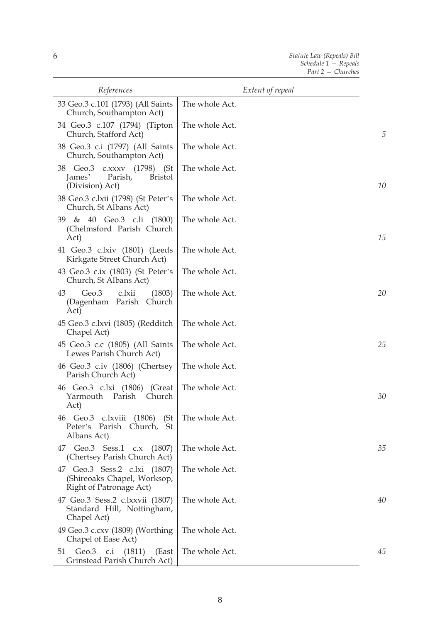| References                                                                             | Extent of repeal |    |
|----------------------------------------------------------------------------------------|------------------|----|
| 33 Geo.3 c.101 (1793) (All Saints<br>Church, Southampton Act)                          | The whole Act.   |    |
| 34 Geo.3 c.107 (1794) (Tipton<br>Church, Stafford Act)                                 | The whole Act.   | 5  |
| 38 Geo.3 c.i (1797) (All Saints<br>Church, Southampton Act)                            | The whole Act.   |    |
| 38 Geo.3 c.xxxv (1798) (St<br>James'<br>Parish,<br><b>Bristol</b><br>(Division) Act)   | The whole Act.   | 10 |
| 38 Geo.3 c.lxii (1798) (St Peter's<br>Church, St Albans Act)                           | The whole Act.   |    |
| 39 & 40 Geo.3 c.li (1800)<br>(Chelmsford Parish Church<br>Act)                         | The whole Act.   | 15 |
| 41 Geo.3 c.lxiv (1801) (Leeds<br>Kirkgate Street Church Act)                           | The whole Act.   |    |
| 43 Geo.3 c.ix (1803) (St Peter's<br>Church, St Albans Act)                             | The whole Act.   |    |
| c.lxii<br>43<br>Geo.3<br>(1803)<br>(Dagenham Parish Church<br>Act)                     | The whole Act.   | 20 |
| 45 Geo.3 c.lxvi (1805) (Redditch<br>Chapel Act)                                        | The whole Act.   |    |
| 45 Geo.3 c.c (1805) (All Saints<br>Lewes Parish Church Act)                            | The whole Act.   | 25 |
| 46 Geo.3 c.iv (1806) (Chertsey<br>Parish Church Act)                                   | The whole Act.   |    |
| 46 Geo.3 c.lxi (1806) (Great<br>Yarmouth Parish<br>Church<br>Act)                      | The whole Act.   | 30 |
| 46 Geo.3 c.lxviii (1806)<br>(St)<br>Peter's Parish<br>Church,<br>St<br>Albans Act)     | The whole Act.   |    |
| 47 Geo.3 Sess.1 c.x (1807)<br>(Chertsey Parish Church Act)                             | The whole Act.   | 35 |
| 47 Geo.3 Sess.2 c.lxi (1807)<br>(Shireoaks Chapel, Worksop,<br>Right of Patronage Act) | The whole Act.   |    |
| 47 Geo.3 Sess.2 c.lxxvii (1807)<br>Standard Hill, Nottingham,<br>Chapel Act)           | The whole Act.   | 40 |
| 49 Geo.3 c.cxv (1809) (Worthing<br>Chapel of Ease Act)                                 | The whole Act.   |    |
| Geo.3 c.i (1811)<br>(East<br>51<br>Grinstead Parish Church Act)                        | The whole Act.   | 45 |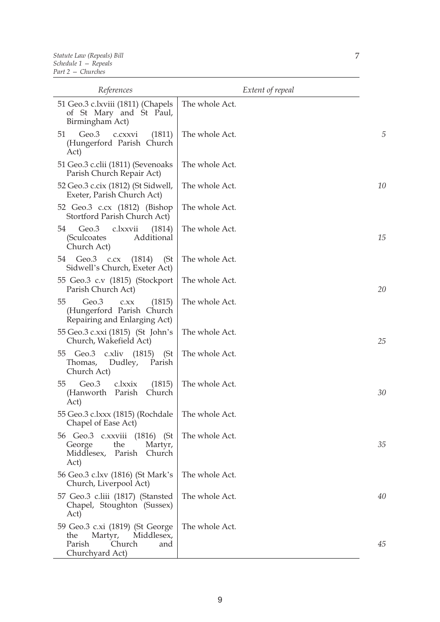| References                                                                                                    | Extent of repeal |    |
|---------------------------------------------------------------------------------------------------------------|------------------|----|
| 51 Geo.3 c.lxviii (1811) (Chapels<br>of St Mary and St Paul,<br>Birmingham Act)                               | The whole Act.   |    |
| Geo.3<br>51<br>c.cxxvi<br>(1811)<br>(Hungerford Parish Church<br>Act)                                         | The whole Act.   | 5  |
| 51 Geo.3 c.clii (1811) (Sevenoaks<br>Parish Church Repair Act)                                                | The whole Act.   |    |
| 52 Geo.3 c.cix (1812) (St Sidwell,<br>Exeter, Parish Church Act)                                              | The whole Act.   | 10 |
| 52 Geo.3 c.cx (1812) (Bishop<br>Stortford Parish Church Act)                                                  | The whole Act.   |    |
| Geo.3<br>c.lxxvii<br>(1814)<br>54<br>(Sculcoates<br>Additional<br>Church Act)                                 | The whole Act.   | 15 |
| Geo.3 c.cx<br>(1814)<br>54<br>(St)<br>Sidwell's Church, Exeter Act)                                           | The whole Act.   |    |
| 55 Geo.3 c.v (1815) (Stockport<br>Parish Church Act)                                                          | The whole Act.   | 20 |
| Geo.3<br>55<br>(1815)<br>C.XX<br>(Hungerford Parish Church<br>Repairing and Enlarging Act)                    | The whole Act.   |    |
| 55 Geo.3 c.xxi (1815) (St John's<br>Church, Wakefield Act)                                                    | The whole Act.   | 25 |
| Geo.3 c.xliv (1815) (St<br>55<br>Thomas, Dudley,<br>Parish<br>Church Act)                                     | The whole Act.   |    |
| Geo.3<br>(1815)<br>55<br>c.lxxix<br>(Hanworth Parish<br>Church<br>Act)                                        | The whole Act.   | 30 |
| 55 Geo.3 c.lxxx (1815) (Rochdale<br>Chapel of Ease Act)                                                       | The whole Act.   |    |
| 56 Geo.3 c.xxviii (1816) (St<br>George<br>the<br>Martyr,<br>Parish<br>Church<br>Middlesex,<br>Act)            | The whole Act.   | 35 |
| 56 Geo.3 c.lxv (1816) (St Mark's<br>Church, Liverpool Act)                                                    | The whole Act.   |    |
| 57 Geo.3 c.liii (1817) (Stansted<br>Chapel, Stoughton (Sussex)<br>Act)                                        | The whole Act.   | 40 |
| 59 Geo.3 c.xi (1819) (St George<br>Martyr,<br>Middlesex,<br>the<br>Parish<br>Church<br>and<br>Churchyard Act) | The whole Act.   | 45 |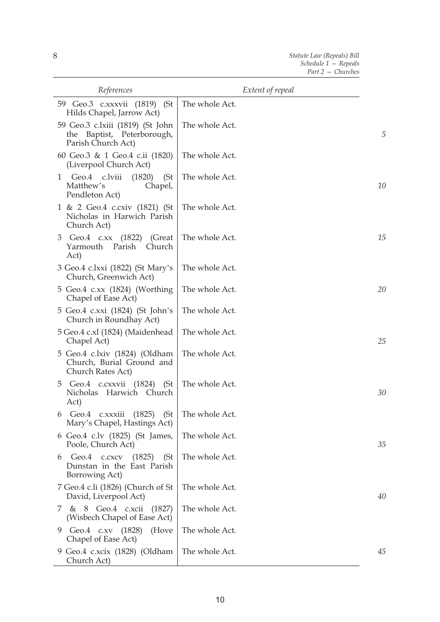| References                                                                           | Extent of repeal |    |
|--------------------------------------------------------------------------------------|------------------|----|
| 59 Geo.3 c.xxxvii (1819) (St<br>Hilds Chapel, Jarrow Act)                            | The whole Act.   |    |
| 59 Geo.3 c.lxiii (1819) (St John<br>the Baptist, Peterborough,<br>Parish Church Act) | The whole Act.   | 5  |
| 60 Geo.3 & 1 Geo.4 c.ii (1820)<br>(Liverpool Church Act)                             | The whole Act.   |    |
| Geo.4 c.lviii<br>(1820)<br>(St)<br>1<br>Matthew's<br>Chapel,<br>Pendleton Act)       | The whole Act.   | 10 |
| 1 & 2 Geo.4 c.cxiv (1821) (St<br>Nicholas in Harwich Parish<br>Church Act)           | The whole Act.   |    |
| Geo.4 c.xx (1822)<br>3<br>(Great<br>Yarmouth Parish<br>Church<br>Act)                | The whole Act.   | 15 |
| 3 Geo.4 c.lxxi (1822) (St Mary's<br>Church, Greenwich Act)                           | The whole Act.   |    |
| 5 Geo.4 c.xx (1824) (Worthing<br>Chapel of Ease Act)                                 | The whole Act.   | 20 |
| 5 Geo.4 c.xxi (1824) (St John's<br>Church in Roundhay Act)                           | The whole Act.   |    |
| 5 Geo.4 c.xl (1824) (Maidenhead<br>Chapel Act)                                       | The whole Act.   | 25 |
| 5 Geo.4 c.lxiv (1824) (Oldham<br>Church, Burial Ground and<br>Church Rates Act)      | The whole Act.   |    |
| 5 Geo.4 c.cxxvii (1824) (St<br>Harwich Church<br>Nicholas<br>Act)                    | The whole Act.   | 30 |
| 6 Geo.4 $c.xxxiii$ (1825) (St The whole Act.<br>Mary's Chapel, Hastings Act)         |                  |    |
| 6 Geo.4 c.lv (1825) (St James,<br>Poole, Church Act)                                 | The whole Act.   | 35 |
| Geo.4 c.cxcv (1825)<br>(St<br>6<br>Dunstan in the East Parish<br>Borrowing Act)      | The whole Act.   |    |
| 7 Geo.4 c.li (1826) (Church of St<br>David, Liverpool Act)                           | The whole Act.   | 40 |
| & 8 Geo.4 c.xcii (1827)<br>7.<br>(Wisbech Chapel of Ease Act)                        | The whole Act.   |    |
| Geo.4 c.xv (1828) (Hove<br>9<br>Chapel of Ease Act)                                  | The whole Act.   |    |
| 9 Geo.4 c.xcix (1828) (Oldham<br>Church Act)                                         | The whole Act.   | 45 |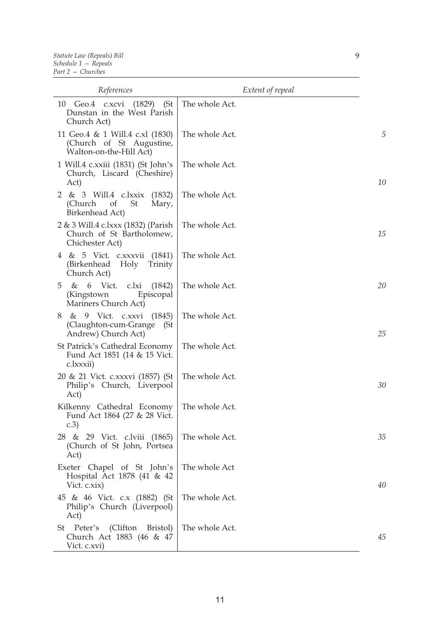| References                                                                             | Extent of repeal |    |
|----------------------------------------------------------------------------------------|------------------|----|
| (St)<br>10 Geo.4 c.xcvi<br>(1829)<br>Dunstan in the West Parish<br>Church Act)         | The whole Act.   |    |
| 11 Geo.4 & 1 Will.4 c.xl (1830)<br>(Church of St Augustine,<br>Walton-on-the-Hill Act) | The whole Act.   | 5  |
| 1 Will.4 c.xxiii (1831) (St John's<br>Church, Liscard (Cheshire)<br>Act)               | The whole Act.   | 10 |
| 2 & 3 Will.4 c.lxxix<br>(1832)<br>(Church)<br>of<br>St<br>Mary,<br>Birkenhead Act)     | The whole Act.   |    |
| 2 & 3 Will.4 c.lxxx (1832) (Parish<br>Church of St Bartholomew,<br>Chichester Act)     | The whole Act.   | 15 |
| 4 & 5 Vict. c.xxxvii (1841)<br>(Birkenhead<br>Holy<br>Trinity<br>Church Act)           | The whole Act.   |    |
| 6 Vict. c.lxi<br>(1842)<br>5<br>&<br>(Kingstown<br>Episcopal<br>Mariners Church Act)   | The whole Act.   | 20 |
| & 9 Vict. c.xxvi<br>(1845)<br>8<br>(Claughton-cum-Grange<br>(St<br>Andrew) Church Act) | The whole Act.   | 25 |
| St Patrick's Cathedral Economy<br>Fund Act 1851 (14 & 15 Vict.<br>c.lxxxii)            | The whole Act.   |    |
| 20 & 21 Vict. c.xxxvi (1857) (St<br>Philip's Church, Liverpool<br>Act)                 | The whole Act.   | 30 |
| Kilkenny Cathedral Economy<br>Fund Act 1864 (27 & 28 Vict.<br>c.3)                     | The whole Act.   |    |
| 28 & 29 Vict. c.lviii (1865)<br>(Church of St John, Portsea<br>Act)                    | The whole Act.   | 35 |
| Exeter Chapel of St John's<br>Hospital Act 1878 (41 & 42)<br>Vict. c.xix)              | The whole Act    | 40 |
| 45 & 46 Vict. c.x (1882) (St<br>Philip's Church (Liverpool)<br>Act)                    | The whole Act.   |    |
| St Peter's (Clifton Bristol)<br>Church Act 1883 (46 & 47<br>Vict. c.xvi)               | The whole Act.   | 45 |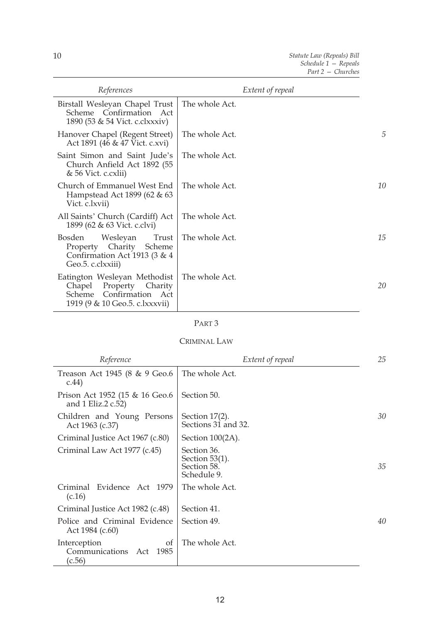| References                                                                                                           | Extent of repeal |    |
|----------------------------------------------------------------------------------------------------------------------|------------------|----|
| Birstall Wesleyan Chapel Trust<br>Scheme Confirmation Act<br>1890 (53 & 54 Vict. c.clxxxiv)                          | The whole Act.   |    |
| Hanover Chapel (Regent Street)<br>Act 1891 (46 & 47 Vict. c.xvi)                                                     | The whole Act.   | 5  |
| Saint Simon and Saint Jude's<br>Church Anfield Act 1892 (55<br>& 56 Vict. c.cxlii)                                   | The whole Act.   |    |
| Church of Emmanuel West End<br>Hampstead Act 1899 (62 & 63<br>Vict. c.lxvii)                                         | The whole Act.   | 10 |
| All Saints' Church (Cardiff) Act<br>1899 (62 & 63 Vict. c.clvi)                                                      | The whole Act.   |    |
| Trust<br>Wesleyan<br>Bosden<br>Property Charity Scheme<br>Confirmation Act 1913 (3 & 4<br>Geo.5. c.clxxiii)          | The whole Act.   | 15 |
| Eatington Wesleyan Methodist<br>Chapel Property Charity<br>Scheme Confirmation Act<br>1919 (9 & 10 Geo.5. c.lxxxvii) | The whole Act.   | 20 |

# CRIMINAL LAW

| Reference                                                     | Extent of repeal                                               | 25 |
|---------------------------------------------------------------|----------------------------------------------------------------|----|
| Treason Act 1945 (8 & 9 Geo.6<br>c.44)                        | The whole Act.                                                 |    |
| Prison Act 1952 (15 & 16 Geo.6<br>and 1 Eliz.2 c.52)          | Section 50.                                                    |    |
| Children and Young Persons<br>Act 1963 (c.37)                 | Section $17(2)$ .<br>Sections 31 and 32.                       | 30 |
| Criminal Justice Act 1967 (c.80)                              | Section 100(2A).                                               |    |
| Criminal Law Act 1977 (c.45)                                  | Section 36.<br>Section $53(1)$ .<br>Section 58.<br>Schedule 9. | 35 |
| Evidence Act 1979<br>Criminal<br>(c.16)                       | The whole Act.                                                 |    |
| Criminal Justice Act 1982 (c.48)                              | Section 41.                                                    |    |
| Police and Criminal Evidence<br>Act 1984 (c.60)               | Section 49.                                                    | 40 |
| Interception<br>of<br>Communications<br>1985<br>Act<br>(c.56) | The whole Act.                                                 |    |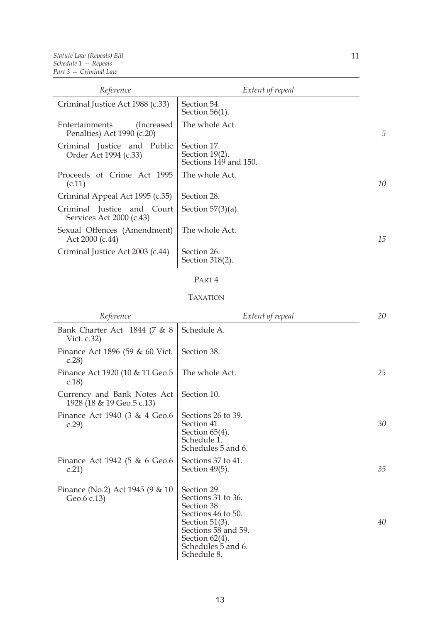| Reference                                                   | Extent of repeal                                          |    |
|-------------------------------------------------------------|-----------------------------------------------------------|----|
| Criminal Justice Act 1988 (c.33)                            | Section 54.<br>Section $56(1)$ .                          |    |
| Entertainments<br>(Increased)<br>Penalties) Act 1990 (c.20) | The whole Act.                                            | 5  |
| Criminal Justice and Public<br>Order Act 1994 (c.33)        | Section 17.<br>Section $19(2)$ .<br>Sections 149 and 150. |    |
| Proceeds of Crime Act 1995<br>(c.11)                        | The whole Act.                                            | 10 |
| Criminal Appeal Act 1995 (c.35)                             | Section 28.                                               |    |
| Criminal Justice and Court<br>Services Act 2000 (c.43)      | Section $57(3)(a)$ .                                      |    |
| Sexual Offences (Amendment)<br>Act 2000 (c.44)              | The whole Act.                                            | 15 |
| Criminal Justice Act 2003 (c.44)                            | Section 26.<br>Section 318(2).                            |    |

# TAXATION

| Reference                                                | Extent of repeal                                                                                                                                                             | 20 |
|----------------------------------------------------------|------------------------------------------------------------------------------------------------------------------------------------------------------------------------------|----|
| Bank Charter Act 1844 (7 & 8)<br>Vict. c.32)             | Schedule A.                                                                                                                                                                  |    |
| Finance Act 1896 (59 & 60 Vict.<br>c.28                  | Section 38.                                                                                                                                                                  |    |
| Finance Act 1920 (10 & 11 Geo.5<br>c.18)                 | The whole Act.                                                                                                                                                               | 25 |
| Currency and Bank Notes Act<br>1928 (18 & 19 Geo.5 c.13) | Section 10.                                                                                                                                                                  |    |
| Finance Act 1940 (3 & 4 Geo.6<br>c.29                    | Sections 26 to 39.<br>Section 41.<br>Section $65(4)$ .<br>Schedule 1.<br>Schedules 5 and 6.                                                                                  | 30 |
| Finance Act 1942 (5 $\&$ 6 Geo.6<br>c.21)                | Sections 37 to 41.<br>Section 49(5).                                                                                                                                         | 35 |
| Finance (No.2) Act 1945 (9 $\&$ 10<br>Geo.6 c.13)        | Section 29.<br>Sections 31 to 36.<br>Section 38.<br>Sections 46 to 50.<br>Section $51(3)$ .<br>Sections 58 and 59.<br>Section $62(4)$ .<br>Schedules 5 and 6.<br>Schedule 8. | 40 |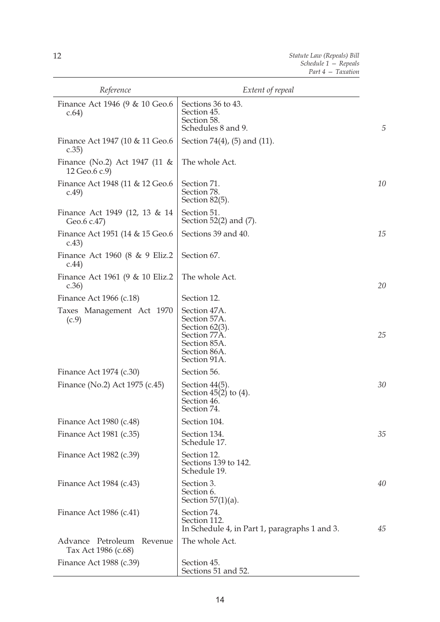| Reference                                         | Extent of repeal                                                                                                  |                |
|---------------------------------------------------|-------------------------------------------------------------------------------------------------------------------|----------------|
| Finance Act 1946 (9 & 10 Geo.6<br>c.64)           | Sections 36 to 43.<br>Section 45.<br>Section 58.<br>Schedules 8 and 9.                                            | $\overline{5}$ |
| Finance Act 1947 (10 & 11 Geo.6<br>c.35)          | Section 74(4), (5) and (11).                                                                                      |                |
| Finance (No.2) Act 1947 (11 $\&$<br>12 Geo.6 c.9) | The whole Act.                                                                                                    |                |
| Finance Act 1948 (11 & 12 Geo.6<br>c.49           | Section 71.<br>Section 78.<br>Section 82(5).                                                                      | 10             |
| Finance Act 1949 (12, 13 & 14<br>Geo.6 c.47)      | Section 51.<br>Section $52(2)$ and $(7)$ .                                                                        |                |
| Finance Act 1951 (14 & 15 Geo.6<br>c.43)          | Sections 39 and 40.                                                                                               | 15             |
| Finance Act 1960 (8 & 9 Eliz.2<br>c.44)           | Section 67.                                                                                                       |                |
| Finance Act 1961 (9 & 10 Eliz.2<br>c.36           | The whole Act.                                                                                                    | 20             |
| Finance Act 1966 (c.18)                           | Section 12.                                                                                                       |                |
| Taxes Management Act 1970<br>(c.9)                | Section 47A.<br>Section 57A.<br>Section $62(3)$ .<br>Section 77A.<br>Section 85A.<br>Section 86A.<br>Section 91A. | 25             |
| Finance Act 1974 (c.30)                           | Section 56.                                                                                                       |                |
| Finance (No.2) Act 1975 (c.45)                    | Section $44(5)$ .<br>Section $45(2)$ to $(4)$ .<br>Section 46.<br>Section 74.                                     | 30             |
| Finance Act 1980 (c.48)                           | Section 104.                                                                                                      |                |
| Finance Act 1981 (c.35)                           | Section 134.<br>Schedule 17.                                                                                      | 35             |
| Finance Act 1982 (c.39)                           | Section 12.<br>Sections 139 to 142.<br>Schedule 19.                                                               |                |
| Finance Act 1984 (c.43)                           | Section 3.<br>Section 6.<br>Section $57(1)(a)$ .                                                                  | 40             |
| Finance Act 1986 (c.41)                           | Section 74.<br>Section 112.<br>In Schedule 4, in Part 1, paragraphs 1 and 3.                                      | 45             |
| Advance Petroleum Revenue<br>Tax Act 1986 (c.68)  | The whole Act.                                                                                                    |                |
| Finance Act 1988 (c.39)                           | Section 45.<br>Sections 51 and 52.                                                                                |                |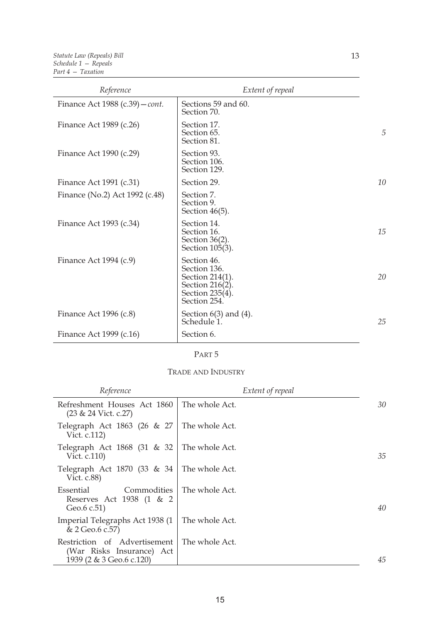| Reference                       | Extent of repeal                                                                                     |    |
|---------------------------------|------------------------------------------------------------------------------------------------------|----|
| Finance Act 1988 (c.39) – cont. | Sections 59 and 60.<br>Section 70.                                                                   |    |
| Finance Act 1989 (c.26)         | Section 17.<br>Section 65.<br>Section 81.                                                            | 5  |
| Finance Act 1990 (c.29)         | Section 93.<br>Section 106.<br>Section 129.                                                          |    |
| Finance Act 1991 (c.31)         | Section 29.                                                                                          | 10 |
| Finance (No.2) Act 1992 (c.48)  | Section 7.<br>Section 9.<br>Section $46(5)$ .                                                        |    |
| Finance Act 1993 (c.34)         | Section 14.<br>Section 16.<br>Section $36(2)$ .<br>Section 105(3).                                   | 15 |
| Finance Act $1994$ (c.9)        | Section 46.<br>Section 136.<br>Section 214(1).<br>Section 216(2).<br>Section 235(4).<br>Section 254. | 20 |
| Finance Act 1996 (c.8)          | Section $6(3)$ and $(4)$ .<br>Schedule 1.                                                            | 25 |
| Finance Act 1999 (c.16)         | Section 6.                                                                                           |    |

### TRADE AND INDUSTRY

| Reference                                                                             | Extent of repeal |    |
|---------------------------------------------------------------------------------------|------------------|----|
| Refreshment Houses Act 1860<br>$(23 & 24$ Vict. c.27)                                 | The whole Act.   | 30 |
| Telegraph Act 1863 (26 & 27<br>Vict. c.112)                                           | The whole Act.   |    |
| Telegraph Act 1868 (31 & 32<br>Vict. c.110)                                           | The whole Act.   | 35 |
| Telegraph Act 1870 (33 & 34<br>Vict. c.88)                                            | The whole Act.   |    |
| Commodities<br>Essential<br>Reserves Act 1938 (1 & 2<br>Geo.6 c.51)                   | The whole Act.   | 40 |
| Imperial Telegraphs Act 1938 (1)<br>& 2 Geo.6 c.57)                                   | The whole Act.   |    |
| Restriction of Advertisement<br>(War Risks Insurance) Act<br>1939 (2 & 3 Geo.6 c.120) | The whole Act.   | 45 |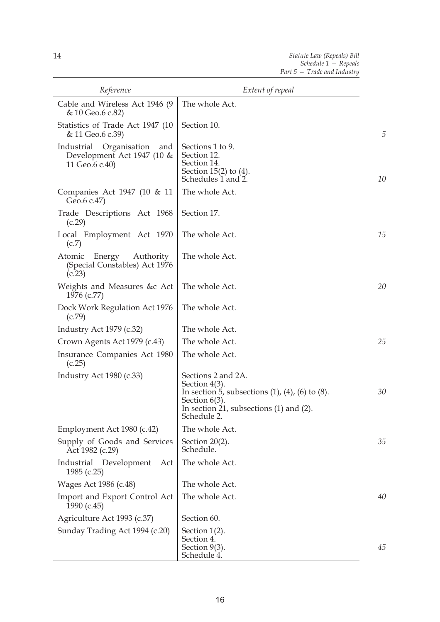| Reference                                                                         | Extent of repeal                                                                                                                                                                        |    |
|-----------------------------------------------------------------------------------|-----------------------------------------------------------------------------------------------------------------------------------------------------------------------------------------|----|
| Cable and Wireless Act 1946 (9)<br>& 10 Geo.6 c.82)                               | The whole Act.                                                                                                                                                                          |    |
| Statistics of Trade Act 1947 (10<br>& 11 Geo.6 c.39)                              | Section 10.                                                                                                                                                                             | 5  |
| Organisation<br>Industrial<br>and<br>Development Act 1947 (10 &<br>11 Geo.6 c.40) | Sections 1 to 9.<br>Section 12.<br>Section 14.<br>Section $15(2)$ to $(4)$ .<br>Schedules 1 and 2.                                                                                      | 10 |
| Companies Act 1947 (10 & 11<br>Geo.6 c.47)                                        | The whole Act.                                                                                                                                                                          |    |
| Trade Descriptions Act 1968<br>(c.29)                                             | Section 17.                                                                                                                                                                             |    |
| Local Employment Act 1970<br>(c.7)                                                | The whole Act.                                                                                                                                                                          | 15 |
| Energy<br>Authority<br>Atomic<br>(Special Constables) Act 1976<br>(c.23)          | The whole Act.                                                                                                                                                                          |    |
| Weights and Measures &c Act<br>1976 (c.77)                                        | The whole Act.                                                                                                                                                                          | 20 |
| Dock Work Regulation Act 1976<br>(c.79)                                           | The whole Act.                                                                                                                                                                          |    |
| Industry Act 1979 (c.32)                                                          | The whole Act.                                                                                                                                                                          |    |
| Crown Agents Act 1979 (c.43)                                                      | The whole Act.                                                                                                                                                                          | 25 |
| Insurance Companies Act 1980<br>(c.25)                                            | The whole Act.                                                                                                                                                                          |    |
| Industry Act 1980 (c.33)                                                          | Sections 2 and 2A.<br>Section $4(3)$ .<br>In section 5, subsections $(1)$ , $(4)$ , $(6)$ to $(8)$ .<br>Section $6(3)$ .<br>In section 21, subsections $(1)$ and $(2)$ .<br>Schedule 2. | 30 |
| Employment Act 1980 (c.42)                                                        | The whole Act.                                                                                                                                                                          |    |
| Supply of Goods and Services<br>Act 1982 (c.29)                                   | Section $20(2)$ .<br>Schedule.                                                                                                                                                          | 35 |
| Industrial<br>Development<br>Act<br>1985 $(c.25)$                                 | The whole Act.                                                                                                                                                                          |    |
| Wages Act 1986 (c.48)                                                             | The whole Act.                                                                                                                                                                          |    |
| Import and Export Control Act<br>1990 $(c.45)$                                    | The whole Act.                                                                                                                                                                          | 40 |
| Agriculture Act 1993 (c.37)                                                       | Section 60.                                                                                                                                                                             |    |
| Sunday Trading Act 1994 (c.20)                                                    | Section $1(2)$ .<br>Section 4.<br>Section $9(3)$ .<br>Schedule 4.                                                                                                                       | 45 |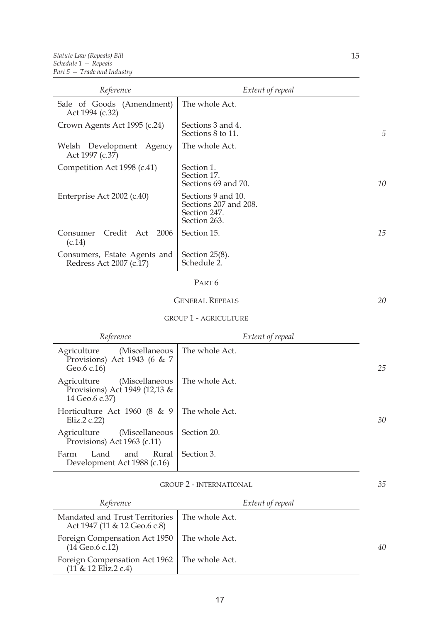| Reference                                               | Extent of repeal                                                            |    |
|---------------------------------------------------------|-----------------------------------------------------------------------------|----|
| Sale of Goods (Amendment)<br>Act 1994 (c.32)            | The whole Act.                                                              |    |
| Crown Agents Act 1995 (c.24)                            | Sections 3 and 4.<br>Sections 8 to 11.                                      | 5  |
| Welsh Development Agency<br>Act 1997 (c.37)             | The whole Act.                                                              |    |
| Competition Act 1998 (c.41)                             | Section 1.<br>Section 17.<br>Sections 69 and 70.                            | 10 |
| Enterprise Act 2002 (c.40)                              | Sections 9 and 10.<br>Sections 207 and 208.<br>Section 247.<br>Section 263. |    |
| Credit Act<br>2006<br>Consumer<br>(c.14)                | Section 15.                                                                 | 15 |
| Consumers, Estate Agents and<br>Redress Act 2007 (c.17) | Section $25(8)$ .<br>Schedule 2.                                            |    |

#### GENERAL REPEALS

*20*

### GROUP 1 - AGRICULTURE

| Reference                                                                        | Extent of repeal |    |
|----------------------------------------------------------------------------------|------------------|----|
| (Miscellaneous<br>Agriculture<br>Provisions) Act 1943 (6 $\&$ 7<br>Geo.6 c.16)   | The whole Act.   | 25 |
| (Miscellaneous<br>Agriculture<br>Provisions) Act 1949 (12,13 &<br>14 Geo.6 c.37) | The whole Act.   |    |
| Horticulture Act 1960 (8 & 9  <br>Eliz.2 $c.22$                                  | The whole Act.   | 30 |
| (Miscellaneous<br>Agriculture<br>Provisions) Act 1963 (c.11)                     | Section 20.      |    |
| Rural<br>and<br>Farm<br>Land<br>Development Act 1988 (c.16)                      | Section 3.       |    |

# GROUP 2 - INTERNATIONAL

| Reference                                                                       | Extent of repeal |    |
|---------------------------------------------------------------------------------|------------------|----|
| Mandated and Trust Territories   The whole Act.<br>Act 1947 (11 & 12 Geo.6 c.8) |                  |    |
| Foreign Compensation Act 1950   The whole Act.<br>$(14 \text{ Geo.6 c.12})$     |                  | 40 |
| Foreign Compensation Act 1962   The whole Act.<br>(11 & 12 Eliz.2 c.4)          |                  |    |

*35*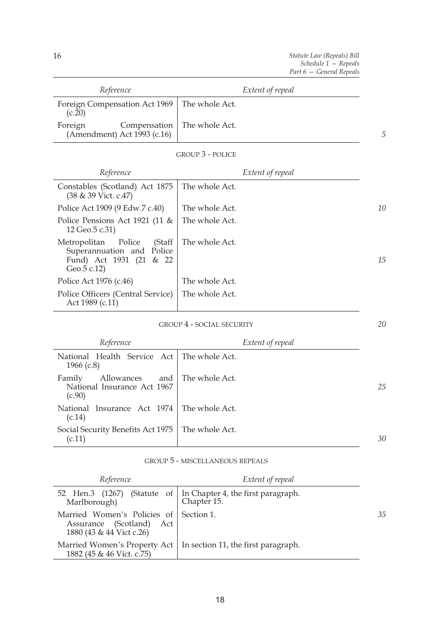| Reference                                                                 | Extent of repeal |
|---------------------------------------------------------------------------|------------------|
| Foreign Compensation Act 1969   The whole Act.<br>(c.20)                  |                  |
| Compensation   The whole Act.<br>Foreign<br>(Amendment) Act $1993$ (c.16) |                  |

| <b>GROUP 3 - POLICE</b> |  |
|-------------------------|--|
|-------------------------|--|

| Reference                                                                                            | Extent of repeal |    |
|------------------------------------------------------------------------------------------------------|------------------|----|
| Constables (Scotland) Act 1875<br>(38 & 39 Vict. c.47)                                               | The whole Act.   |    |
| Police Act 1909 (9 Edw.7 c.40)                                                                       | The whole Act.   | 10 |
| Police Pensions Act 1921 (11 $\&$<br>12 Geo.5 c.31)                                                  | The whole Act.   |    |
| Metropolitan Police<br>(Staff<br>Superannuation and Police<br>Fund) Act 1931 (21 & 22<br>Geo.5 c.12) | The whole Act.   | 15 |
| Police Act 1976 (c.46)                                                                               | The whole Act.   |    |
| Police Officers (Central Service)<br>Act 1989 (c.11)                                                 | The whole Act.   |    |

# GROUP 4 - SOCIAL SECURITY

| Reference                                                     | Extent of repeal     |    |
|---------------------------------------------------------------|----------------------|----|
| National Health Service Act   The whole Act.<br>1966 $(c.8)$  |                      |    |
| Allowances<br>Family<br>National Insurance Act 1967<br>(c.90) | and   The whole Act. | 25 |
| National Insurance Act 1974 The whole Act.<br>(c.14)          |                      |    |
| Social Security Benefits Act 1975   The whole Act.<br>(c.11)  |                      | 30 |

# GROUP 5 - MISCELLANEOUS REPEALS

| Reference                                                                           | Extent of repeal                                                                |    |
|-------------------------------------------------------------------------------------|---------------------------------------------------------------------------------|----|
| Marlborough)                                                                        | 52 Hen.3 (1267) (Statute of   In Chapter 4, the first paragraph.<br>Chapter 15. |    |
| Married Women's Policies of<br>Assurance (Scotland) Act<br>1880 (43 & 44 Vict c.26) | Section 1.                                                                      | 35 |
| Married Women's Property Act<br>1882 (45 & 46 Vict. c.75)                           | In section 11, the first paragraph.                                             |    |

*20*

*5*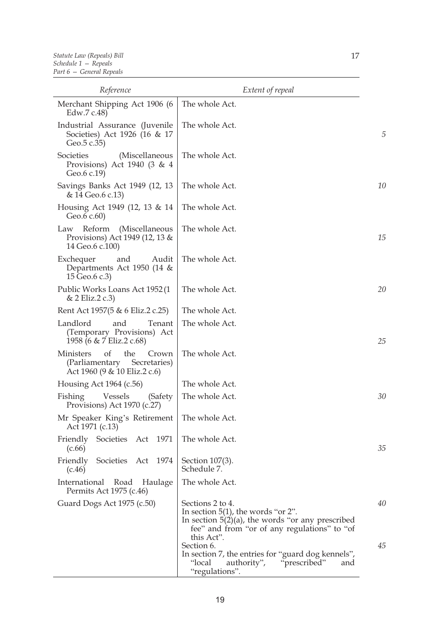| Reference                                                                                                   | Extent of repeal                                                                                                                                                                |    |
|-------------------------------------------------------------------------------------------------------------|---------------------------------------------------------------------------------------------------------------------------------------------------------------------------------|----|
| Merchant Shipping Act 1906 (6<br>Edw.7 c.48)                                                                | The whole Act.                                                                                                                                                                  |    |
| Industrial Assurance (Juvenile<br>Societies) Act 1926 (16 & 17<br>Geo.5 c.35)                               | The whole Act.                                                                                                                                                                  | 5  |
| Societies<br>(Miscellaneous<br>Provisions) Act 1940 (3 & 4<br>Geo.6 c.19)                                   | The whole Act.                                                                                                                                                                  |    |
| Savings Banks Act 1949 (12, 13<br>& 14 Geo.6 c.13)                                                          | The whole Act.                                                                                                                                                                  | 10 |
| Housing Act 1949 (12, 13 & 14<br>Geo.6 c.60)                                                                | The whole Act.                                                                                                                                                                  |    |
| Reform<br>(Miscellaneous<br>Law<br>Provisions) Act 1949 (12, 13 &<br>14 Geo.6 c.100)                        | The whole Act.                                                                                                                                                                  | 15 |
| Exchequer<br>and<br>Audit<br>Departments Act 1950 (14 &<br>15 Geo.6 c.3)                                    | The whole Act.                                                                                                                                                                  |    |
| Public Works Loans Act 1952 (1<br>$& 2$ Eliz. $2c.3$                                                        | The whole Act.                                                                                                                                                                  | 20 |
| Rent Act 1957(5 & 6 Eliz.2 c.25)                                                                            | The whole Act.                                                                                                                                                                  |    |
| Landlord<br>and<br>Tenant<br>(Temporary Provisions) Act<br>1958 (6 & 7 Eliz.2 c.68)                         | The whole Act.                                                                                                                                                                  | 25 |
| <b>Ministers</b><br>$\sigma$<br>the<br>Crown<br>(Parliamentary Secretaries)<br>Act 1960 (9 & 10 Eliz.2 c.6) | The whole Act.                                                                                                                                                                  |    |
| Housing Act $1964$ (c.56)                                                                                   | The whole Act.                                                                                                                                                                  |    |
| Vessels<br>Fishing<br>(Safety<br>Provisions) Act 1970 (c.27)                                                | The whole Act.                                                                                                                                                                  | 30 |
| Mr Speaker King's Retirement<br>Act 1971 (c.13)                                                             | The whole Act.                                                                                                                                                                  |    |
| Friendly Societies Act 1971<br>(c.66)                                                                       | The whole Act.                                                                                                                                                                  | 35 |
| Societies Act 1974<br>Friendly<br>(c.46)                                                                    | Section 107(3).<br>Schedule 7.                                                                                                                                                  |    |
| International<br>Road<br>Haulage<br>Permits Act 1975 (c.46)                                                 | The whole Act.                                                                                                                                                                  |    |
| Guard Dogs Act 1975 (c.50)                                                                                  | Sections 2 to 4.<br>In section $5(1)$ , the words "or 2".<br>In section $5(2)(a)$ , the words "or any prescribed"<br>fee" and from "or of any regulations" to "of<br>this Act". | 40 |
|                                                                                                             | Section 6.<br>In section 7, the entries for "guard dog kennels",<br>"local<br>authority", "prescribed"<br>and<br>"regulations".                                                 | 45 |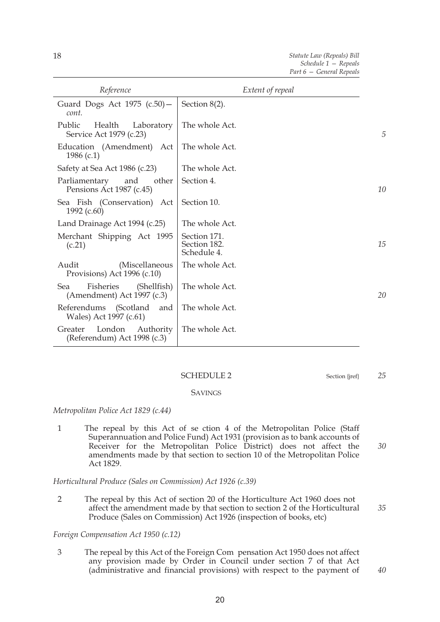| t of reneal |  |  |  |
|-------------|--|--|--|

*Statute Law (Repeals) Bill Schedule 1 — Repeals Part 6 — General Repeals* 

| Section $8(2)$ .                            |                  |
|---------------------------------------------|------------------|
| The whole Act.                              | 5                |
| The whole Act.                              |                  |
| The whole Act.                              |                  |
| Section 4.                                  | 10               |
| Section 10.                                 |                  |
| The whole Act.                              |                  |
| Section 171.<br>Section 182.<br>Schedule 4. | 15               |
| The whole Act.                              |                  |
| The whole Act.                              | 20               |
| The whole Act.                              |                  |
| The whole Act.                              |                  |
|                                             | Extent of repeal |

#### SCHEDULE 2 Section {jref}

*25*

*35*

*40*

### **SAVINGS**

*Metropolitan Police Act 1829 (c.44)* 

*30* 1 The repeal by this Act of se ction 4 of the Metropolitan Police (Staff Superannuation and Police Fund) Act 1931 (provision as to bank accounts of Receiver for the Metropolitan Police District) does not affect the amendments made by that section to section 10 of the Metropolitan Police Act 1829.

#### *Horticultural Produce (Sales on Commission) Act 1926 (c.39)*

2 The repeal by this Act of section 20 of the Horticulture Act 1960 does not affect the amendment made by that section to section 2 of the Horticultural Produce (Sales on Commission) Act 1926 (inspection of books, etc)

#### *Foreign Compensation Act 1950 (c.12)*

3 The repeal by this Act of the Foreign Com pensation Act 1950 does not affect any provision made by Order in Council under section 7 of that Act (administrative and financial provisions) with respect to the payment of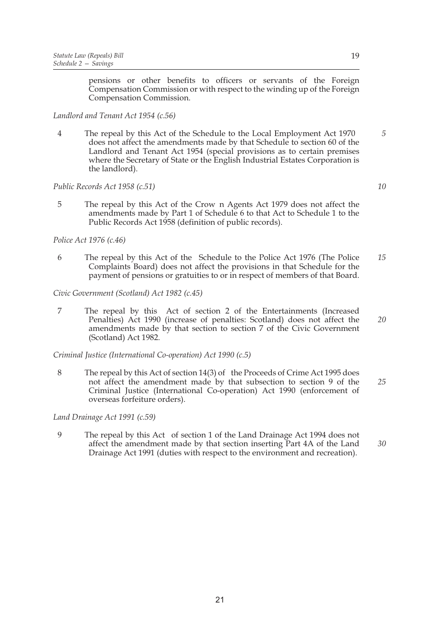pensions or other benefits to officers or servants of the Foreign Compensation Commission or with respect to the winding up of the Foreign Compensation Commission.

*Landlord and Tenant Act 1954 (c.56)* 

4 The repeal by this Act of the Schedule to the Local Employment Act 1970 does not affect the amendments made by that Schedule to section 60 of the Landlord and Tenant Act 1954 (special provisions as to certain premises where the Secretary of State or the English Industrial Estates Corporation is the landlord).

*Public Records Act 1958 (c.51)* 

5 The repeal by this Act of the Crow n Agents Act 1979 does not affect the amendments made by Part 1 of Schedule 6 to that Act to Schedule 1 to the Public Records Act 1958 (definition of public records).

*Police Act 1976 (c.46)* 

*15* 6 The repeal by this Act of the Schedule to the Police Act 1976 (The Police Complaints Board) does not affect the provisions in that Schedule for the payment of pensions or gratuities to or in respect of members of that Board.

*Civic Government (Scotland) Act 1982 (c.45)* 

*20* 7 The repeal by this Act of section 2 of the Entertainments (Increased Penalties) Act 1990 (increase of penalties: Scotland) does not affect the amendments made by that section to section 7 of the Civic Government (Scotland) Act 1982.

*Criminal Justice (International Co-operation) Act 1990 (c.5)* 

*25* 8 The repeal by this Act of section 14(3) of the Proceeds of Crime Act 1995 does not affect the amendment made by that subsection to section 9 of the Criminal Justice (International Co-operation) Act 1990 (enforcement of overseas forfeiture orders).

*Land Drainage Act 1991 (c.59)* 

9 The repeal by this Act of section 1 of the Land Drainage Act 1994 does not affect the amendment made by that section inserting Part 4A of the Land Drainage Act 1991 (duties with respect to the environment and recreation).

*10*

*5*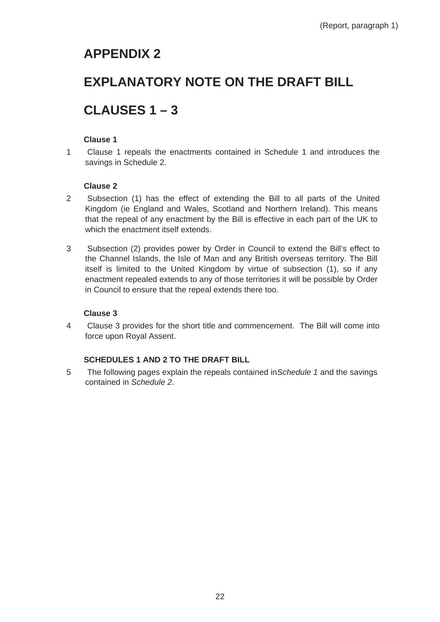# **APPENDIX 2**

# **EXPLANATORY NOTE ON THE DRAFT BILL**

# **CLAUSES 1 – 3**

# **Clause 1**

1 Clause 1 repeals the enactments contained in Schedule 1 and introduces the savings in Schedule 2.

# **Clause 2**

- 2 Subsection (1) has the effect of extending the Bill to all parts of the United Kingdom (ie England and Wales, Scotland and Northern Ireland). This means that the repeal of any enactment by the Bill is effective in each part of the UK to which the enactment itself extends.
- 3 Subsection (2) provides power by Order in Council to extend the Bill's effect to the Channel Islands, the Isle of Man and any British overseas territory. The Bill itself is limited to the United Kingdom by virtue of subsection (1), so if any enactment repealed extends to any of those territories it will be possible by Order in Council to ensure that the repeal extends there too.

# **Clause 3**

4 Clause 3 provides for the short title and commencement. The Bill will come into force upon Royal Assent.

# **SCHEDULES 1 AND 2 TO THE DRAFT BILL**

5 The following pages explain the repeals contained in *Schedule 1* and the savings contained in *Schedule 2*.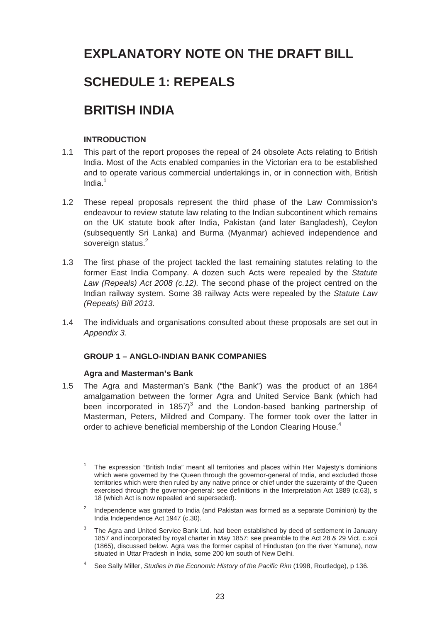# **EXPLANATORY NOTE ON THE DRAFT BILL**

# **SCHEDULE 1: REPEALS**

# **BRITISH INDIA**

# **INTRODUCTION**

- 1.1 This part of the report proposes the repeal of 24 obsolete Acts relating to British India. Most of the Acts enabled companies in the Victorian era to be established and to operate various commercial undertakings in, or in connection with, British India. $1$
- 1.2 These repeal proposals represent the third phase of the Law Commission's endeavour to review statute law relating to the Indian subcontinent which remains on the UK statute book after India, Pakistan (and later Bangladesh), Ceylon (subsequently Sri Lanka) and Burma (Myanmar) achieved independence and sovereign status.<sup>2</sup>
- 1.3 The first phase of the project tackled the last remaining statutes relating to the former East India Company. A dozen such Acts were repealed by the *Statute Law (Repeals) Act 2008 (c.12).* The second phase of the project centred on the Indian railway system. Some 38 railway Acts were repealed by the *Statute Law (Repeals) Bill 2013.*
- 1.4 The individuals and organisations consulted about these proposals are set out in *Appendix 3.*

# **GROUP 1 – ANGLO-INDIAN BANK COMPANIES**

# **Agra and Masterman's Bank**

1.5 The Agra and Masterman's Bank ("the Bank") was the product of an 1864 amalgamation between the former Agra and United Service Bank (which had been incorporated in 1857)<sup>3</sup> and the London-based banking partnership of Masterman, Peters, Mildred and Company. The former took over the latter in order to achieve beneficial membership of the London Clearing House.<sup>4</sup>

- $2$  Independence was granted to India (and Pakistan was formed as a separate Dominion) by the India Independence Act 1947 (c.30).
- The Agra and United Service Bank Ltd. had been established by deed of settlement in January 1857 and incorporated by royal charter in May 1857: see preamble to the Act 28 & 29 Vict. c.xcii (1865), discussed below. Agra was the former capital of Hindustan (on the river Yamuna), now situated in Uttar Pradesh in India, some 200 km south of New Delhi.
- See Sally Miller, *Studies in the Economic History of the Pacific Rim* (1998, Routledge), p 136.

The expression "British India" meant all territories and places within Her Majesty's dominions which were governed by the Queen through the governor-general of India, and excluded those territories which were then ruled by any native prince or chief under the suzerainty of the Queen exercised through the governor-general: see definitions in the Interpretation Act 1889 (c.63), s 18 (which Act is now repealed and superseded).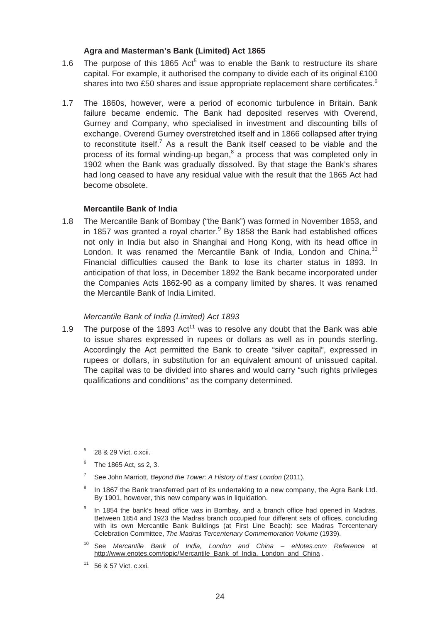# **Agra and Masterman's Bank (Limited) Act 1865**

- 1.6 The purpose of this 1865 Act<sup>5</sup> was to enable the Bank to restructure its share capital. For example, it authorised the company to divide each of its original £100 shares into two £50 shares and issue appropriate replacement share certificates.<sup>6</sup>
- 1.7 The 1860s, however, were a period of economic turbulence in Britain. Bank failure became endemic. The Bank had deposited reserves with Overend, Gurney and Company, who specialised in investment and discounting bills of exchange. Overend Gurney overstretched itself and in 1866 collapsed after trying to reconstitute itself.<sup>7</sup> As a result the Bank itself ceased to be viable and the process of its formal winding-up began, $^8$  a process that was completed only in 1902 when the Bank was gradually dissolved. By that stage the Bank's shares had long ceased to have any residual value with the result that the 1865 Act had become obsolete.

### **Mercantile Bank of India**

1.8 The Mercantile Bank of Bombay ("the Bank") was formed in November 1853, and in 1857 was granted a royal charter. $9$  By 1858 the Bank had established offices not only in India but also in Shanghai and Hong Kong, with its head office in London. It was renamed the Mercantile Bank of India, London and China.<sup>10</sup> Financial difficulties caused the Bank to lose its charter status in 1893. In anticipation of that loss, in December 1892 the Bank became incorporated under the Companies Acts 1862-90 as a company limited by shares. It was renamed the Mercantile Bank of India Limited.

### *Mercantile Bank of India (Limited) Act 1893*

- 1.9 The purpose of the 1893 Act<sup>11</sup> was to resolve any doubt that the Bank was able to issue shares expressed in rupees or dollars as well as in pounds sterling. Accordingly the Act permitted the Bank to create "silver capital", expressed in rupees or dollars, in substitution for an equivalent amount of unissued capital. The capital was to be divided into shares and would carry "such rights privileges qualifications and conditions" as the company determined.
	- $5$  28 & 29 Vict. c.xcii.
	- $6$  The 1865 Act, ss 2, 3.
	- 7 See John Marriott, *Beyond the Tower: A History of East London* (2011).
	- <sup>8</sup> In 1867 the Bank transferred part of its undertaking to a new company, the Agra Bank Ltd. By 1901, however, this new company was in liquidation.
	- In 1854 the bank's head office was in Bombay, and a branch office had opened in Madras. Between 1854 and 1923 the Madras branch occupied four different sets of offices, concluding with its own Mercantile Bank Buildings (at First Line Beach): see Madras Tercentenary Celebration Committee, *The Madras Tercentenary Commemoration Volume* (1939).
	- 10 See *Mercantile Bank of India, London and China eNotes.com Reference* at http://www.enotes.com/topic/Mercantile\_Bank\_of\_India,\_London\_and\_China .
	- $11$  56 & 57 Vict. c.xxi.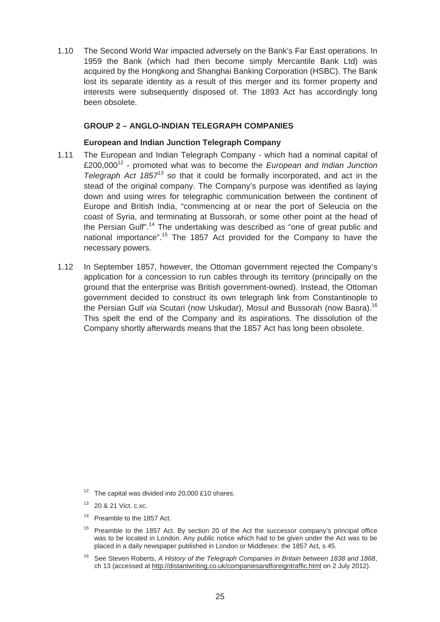1.10 The Second World War impacted adversely on the Bank's Far East operations. In 1959 the Bank (which had then become simply Mercantile Bank Ltd) was acquired by the Hongkong and Shanghai Banking Corporation (HSBC). The Bank lost its separate identity as a result of this merger and its former property and interests were subsequently disposed of. The 1893 Act has accordingly long been obsolete.

# **GROUP 2 – ANGLO-INDIAN TELEGRAPH COMPANIES**

# **European and Indian Junction Telegraph Company**

- 1.11 The European and Indian Telegraph Company which had a nominal capital of £200,00012 - promoted what was to become the *European and Indian Junction Telegraph Act 1857<sup>13</sup>*so that it could be formally incorporated, and act in the stead of the original company. The Company's purpose was identified as laying down and using wires for telegraphic communication between the continent of Europe and British India, "commencing at or near the port of Seleucia on the coast of Syria, and terminating at Bussorah, or some other point at the head of the Persian Gulf".<sup>14</sup> The undertaking was described as "one of great public and national importance".<sup>15</sup> The 1857 Act provided for the Company to have the necessary powers.
- 1.12 In September 1857, however, the Ottoman government rejected the Company's application for a concession to run cables through its territory (principally on the ground that the enterprise was British government-owned). Instead, the Ottoman government decided to construct its own telegraph link from Constantinople to the Persian Gulf *via* Scutari (now Uskudar), Mosul and Bussorah (now Basra).16 This spelt the end of the Company and its aspirations. The dissolution of the Company shortly afterwards means that the 1857 Act has long been obsolete.

 $12$  The capital was divided into 20,000 £10 shares.

<sup>13 20 &</sup>amp; 21 Vict. c.xc.

<sup>&</sup>lt;sup>14</sup> Preamble to the 1857 Act.

Preamble to the 1857 Act. By section 20 of the Act the successor company's principal office was to be located in London. Any public notice which had to be given under the Act was to be placed in a daily newspaper published in London or Middlesex: the 1857 Act, s 45.

<sup>&</sup>lt;sup>16</sup> See Steven Roberts, *A History of the Telegraph Companies in Britain between 1838 and 1868*, ch 13 (accessed at http://distantwriting.co.uk/companiesandforeigntraffic.html on 2 July 2012).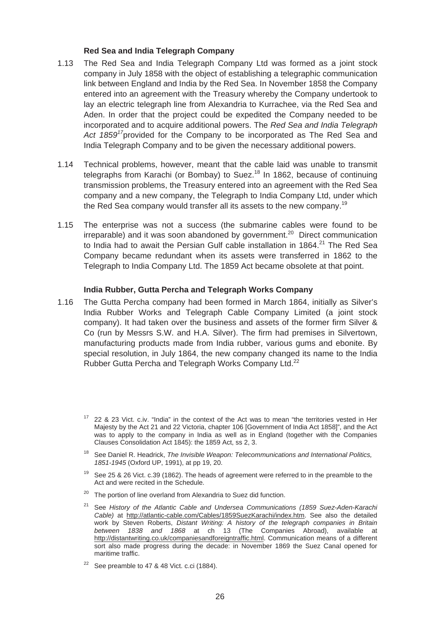## **Red Sea and India Telegraph Company**

- 1.13 The Red Sea and India Telegraph Company Ltd was formed as a joint stock company in July 1858 with the object of establishing a telegraphic communication link between England and India by the Red Sea. In November 1858 the Company entered into an agreement with the Treasury whereby the Company undertook to lay an electric telegraph line from Alexandria to Kurrachee, via the Red Sea and Aden. In order that the project could be expedited the Company needed to be incorporated and to acquire additional powers. The *Red Sea and India Telegraph Act 1859<sup>17</sup>*provided for the Company to be incorporated as The Red Sea and India Telegraph Company and to be given the necessary additional powers.
- 1.14 Technical problems, however, meant that the cable laid was unable to transmit telegraphs from Karachi (or Bombay) to Suez.<sup>18</sup> In 1862, because of continuing transmission problems, the Treasury entered into an agreement with the Red Sea company and a new company, the Telegraph to India Company Ltd, under which the Red Sea company would transfer all its assets to the new company.<sup>19</sup>
- 1.15 The enterprise was not a success (the submarine cables were found to be irreparable) and it was soon abandoned by government.<sup>20</sup> Direct communication to India had to await the Persian Gulf cable installation in 1864. $^{21}$  The Red Sea Company became redundant when its assets were transferred in 1862 to the Telegraph to India Company Ltd. The 1859 Act became obsolete at that point.

### **India Rubber, Gutta Percha and Telegraph Works Company**

1.16 The Gutta Percha company had been formed in March 1864, initially as Silver's India Rubber Works and Telegraph Cable Company Limited (a joint stock company). It had taken over the business and assets of the former firm Silver & Co (run by Messrs S.W. and H.A. Silver). The firm had premises in Silvertown, manufacturing products made from India rubber, various gums and ebonite. By special resolution, in July 1864, the new company changed its name to the India Rubber Gutta Percha and Telegraph Works Company Ltd.<sup>22</sup>

- <sup>18</sup> See Daniel R. Headrick, *The Invisible Weapon: Telecommunications and International Politics, 1851-1945* (Oxford UP, 1991), at pp 19, 20.
- <sup>19</sup> See 25 & 26 Vict. c.39 (1862). The heads of agreement were referred to in the preamble to the Act and were recited in the Schedule.
- $20$  The portion of line overland from Alexandria to Suez did function.
- <sup>21</sup> See History of the Atlantic Cable and Undersea Communications (1859 Suez-Aden-Karachi *Cable)* at http://atlantic-cable.com/Cables/1859SuezKarachi/index.htm. See also the detailed work by Steven Roberts, *Distant Writing: A history of the telegraph companies in Britain between 1838 and 1868* at ch 13 (The Companies Abroad), available at http://distantwriting.co.uk/companiesandforeigntraffic.html. Communication means of a different sort also made progress during the decade: in November 1869 the Suez Canal opened for maritime traffic.
- $22$  See preamble to 47 & 48 Vict. c.ci (1884).

<sup>&</sup>lt;sup>17</sup> 22 & 23 Vict. c.iv. "India" in the context of the Act was to mean "the territories vested in Her Majesty by the Act 21 and 22 Victoria, chapter 106 [Government of India Act 1858]", and the Act was to apply to the company in India as well as in England (together with the Companies Clauses Consolidation Act 1845): the 1859 Act, ss 2, 3.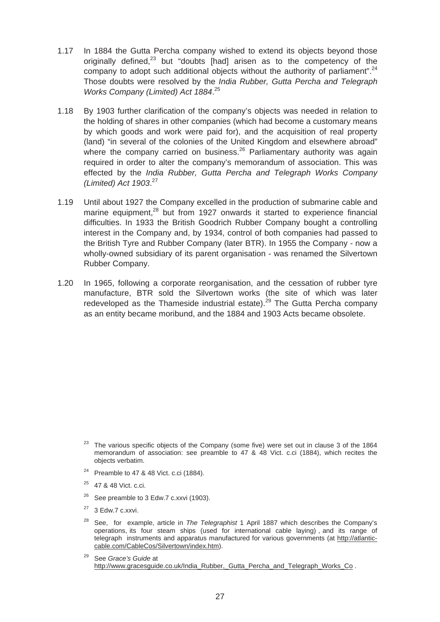- 1.17 In 1884 the Gutta Percha company wished to extend its objects beyond those originally defined. $^{23}$  but "doubts [had] arisen as to the competency of the company to adopt such additional objects without the authority of parliament".<sup>24</sup> Those doubts were resolved by the *India Rubber, Gutta Percha and Telegraph Works Company (Limited) Act 1884*. 25
- 1.18 By 1903 further clarification of the company's objects was needed in relation to the holding of shares in other companies (which had become a customary means by which goods and work were paid for), and the acquisition of real property (land) "in several of the colonies of the United Kingdom and elsewhere abroad" where the company carried on business.<sup>26</sup> Parliamentary authority was again required in order to alter the company's memorandum of association. This was effected by the *India Rubber, Gutta Percha and Telegraph Works Company (Limited) Act 1903*. 27
- 1.19 Until about 1927 the Company excelled in the production of submarine cable and marine equipment, $28$  but from 1927 onwards it started to experience financial difficulties. In 1933 the British Goodrich Rubber Company bought a controlling interest in the Company and, by 1934, control of both companies had passed to the British Tyre and Rubber Company (later BTR). In 1955 the Company - now a wholly-owned subsidiary of its parent organisation - was renamed the Silvertown Rubber Company.
- 1.20 In 1965, following a corporate reorganisation, and the cessation of rubber tyre manufacture, BTR sold the Silvertown works (the site of which was later redeveloped as the Thameside industrial estate).<sup>29</sup> The Gutta Percha company as an entity became moribund, and the 1884 and 1903 Acts became obsolete.

- <sup>24</sup> Preamble to 47 & 48 Vict. c.ci (1884).
- 25 47 & 48 Vict. c.ci.
- $26$  See preamble to 3 Edw.7 c.xxvi (1903).
- $27$  3 Edw.7 c.xxvi.
- operations its four steam ships (used for international cable laving) and its range of 28 See, for example, article in *The Telegraphist* 1 April 1887 which describes the Company's telegraph instruments and apparatus manufactured for various governments (at http://atlanticcable.com/CableCos/Silvertown/index.htm).
- 29 See *Grace's Guide* at http://www.gracesguide.co.uk/India\_Rubber,\_Gutta\_Percha\_and\_Telegraph\_Works\_Co.

 $23$  The various specific objects of the Company (some five) were set out in clause 3 of the 1864 memorandum of association: see preamble to 47 & 48 Vict. c.ci (1884), which recites the objects verbatim.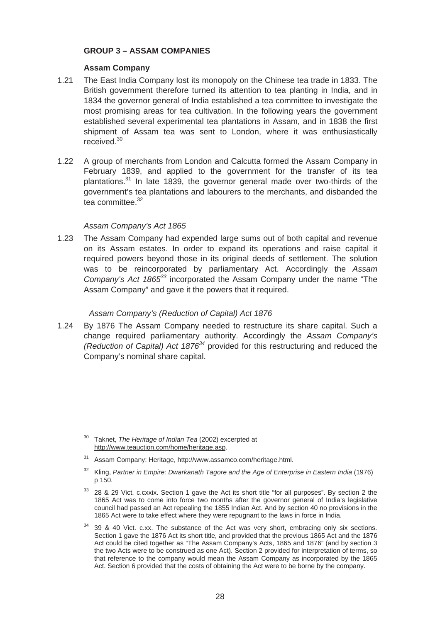# **GROUP 3 – ASSAM COMPANIES**

## **Assam Company**

- 1.21 The East India Company lost its monopoly on the Chinese tea trade in 1833. The British government therefore turned its attention to tea planting in India, and in 1834 the governor general of India established a tea committee to investigate the most promising areas for tea cultivation. In the following years the government established several experimental tea plantations in Assam, and in 1838 the first shipment of Assam tea was sent to London, where it was enthusiastically received.<sup>30</sup>
- 1.22 A group of merchants from London and Calcutta formed the Assam Company in February 1839, and applied to the government for the transfer of its tea plantations.<sup>31</sup> In late 1839, the governor general made over two-thirds of the government's tea plantations and labourers to the merchants, and disbanded the tea committee.<sup>32</sup>

### *Assam Company's Act 1865*

1.23 The Assam Company had expended large sums out of both capital and revenue on its Assam estates. In order to expand its operations and raise capital it required powers beyond those in its original deeds of settlement. The solution was to be reincorporated by parliamentary Act. Accordingly the *Assam Company's Act 1865<sup>33</sup>* incorporated the Assam Company under the name "The Assam Company" and gave it the powers that it required.

# *Assam Company's (Reduction of Capital) Act 1876*

1.24 By 1876 The Assam Company needed to restructure its share capital. Such a change required parliamentary authority. Accordingly the *Assam Company's (Reduction of Capital) Act 187634* provided for this restructuring and reduced the Company's nominal share capital.

<sup>30</sup> Taknet, *The Heritage of Indian Tea* (2002) excerpted at http://www.teauction.com/home/heritage.asp.

<sup>31</sup> Assam Company: Heritage, http://www.assamco.com/heritage.html.

<sup>&</sup>lt;sup>32</sup> Kling, *Partner in Empire: Dwarkanath Tagore and the Age of Enterprise in Eastern India* (1976) p 150.

<sup>&</sup>lt;sup>33</sup> 28 & 29 Vict. c.cxxix. Section 1 gave the Act its short title "for all purposes". By section 2 the 1865 Act was to come into force two months after the governor general of India's legislative council had passed an Act repealing the 1855 Indian Act. And by section 40 no provisions in the 1865 Act were to take effect where they were repugnant to the laws in force in India.

 $34$  39 & 40 Vict. c.xx. The substance of the Act was very short, embracing only six sections. Section 1 gave the 1876 Act its short title, and provided that the previous 1865 Act and the 1876 Act could be cited together as "The Assam Company's Acts, 1865 and 1876" (and by section 3 the two Acts were to be construed as one Act). Section 2 provided for interpretation of terms, so that reference to the company would mean the Assam Company as incorporated by the 1865 Act. Section 6 provided that the costs of obtaining the Act were to be borne by the company.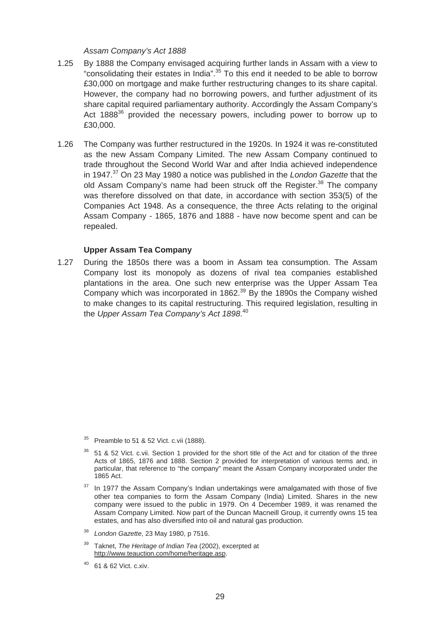# *Assam Company's Act 1888*

- 1.25 By 1888 the Company envisaged acquiring further lands in Assam with a view to "consolidating their estates in India".35 To this end it needed to be able to borrow £30,000 on mortgage and make further restructuring changes to its share capital. However, the company had no borrowing powers, and further adjustment of its share capital required parliamentary authority. Accordingly the Assam Company's Act  $1888^{36}$  provided the necessary powers, including power to borrow up to £30,000.
- 1.26 The Company was further restructured in the 1920s. In 1924 it was re-constituted as the new Assam Company Limited. The new Assam Company continued to trade throughout the Second World War and after India achieved independence in 1947.37 On 23 May 1980 a notice was published in the *London Gazette* that the old Assam Company's name had been struck off the Register.<sup>38</sup> The company was therefore dissolved on that date, in accordance with section 353(5) of the Companies Act 1948. As a consequence, the three Acts relating to the original Assam Company - 1865, 1876 and 1888 - have now become spent and can be repealed.

### **Upper Assam Tea Company**

1.27 During the 1850s there was a boom in Assam tea consumption. The Assam Company lost its monopoly as dozens of rival tea companies established plantations in the area. One such new enterprise was the Upper Assam Tea Company which was incorporated in  $1862<sup>39</sup>$  By the 1890s the Company wished to make changes to its capital restructuring. This required legislation, resulting in the *Upper Assam Tea Company's Act 1898*. 40

 $35$  Preamble to 51 & 52 Vict. c.vii (1888).

<sup>&</sup>lt;sup>36</sup> 51 & 52 Vict. c.vii. Section 1 provided for the short title of the Act and for citation of the three Acts of 1865, 1876 and 1888. Section 2 provided for interpretation of various terms and, in particular, that reference to "the company" meant the Assam Company incorporated under the 1865 Act.

 $37$  In 1977 the Assam Company's Indian undertakings were amalgamated with those of five other tea companies to form the Assam Company (India) Limited. Shares in the new company were issued to the public in 1979. On 4 December 1989, it was renamed the Assam Company Limited. Now part of the Duncan Macneill Group, it currently owns 15 tea estates, and has also diversified into oil and natural gas production.

<sup>38</sup>*London Gazette*, 23 May 1980, p 7516.

<sup>&</sup>lt;sup>39</sup> Taknet, *The Heritage of Indian Tea* (2002), excerpted at http://www.teauction.com/home/heritage.asp.

<sup>40 61 &</sup>amp; 62 Vict. c.xiv.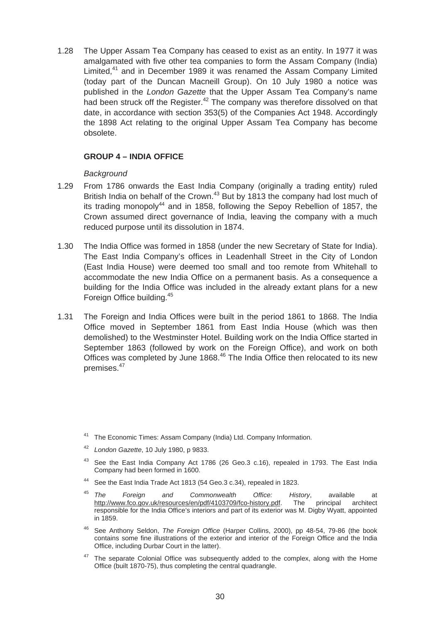1.28 The Upper Assam Tea Company has ceased to exist as an entity. In 1977 it was amalgamated with five other tea companies to form the Assam Company (India) Limited,<sup>41</sup> and in December 1989 it was renamed the Assam Company Limited (today part of the Duncan Macneill Group). On 10 July 1980 a notice was published in the *London Gazette* that the Upper Assam Tea Company's name had been struck off the Register.<sup>42</sup> The company was therefore dissolved on that date, in accordance with section 353(5) of the Companies Act 1948. Accordingly the 1898 Act relating to the original Upper Assam Tea Company has become obsolete.

# **GROUP 4 – INDIA OFFICE**

# *Background*

- 1.29 From 1786 onwards the East India Company (originally a trading entity) ruled British India on behalf of the Crown.<sup>43</sup> But by 1813 the company had lost much of its trading monopoly<sup>44</sup> and in 1858, following the Sepoy Rebellion of 1857, the Crown assumed direct governance of India, leaving the company with a much reduced purpose until its dissolution in 1874.
- 1.30 The India Office was formed in 1858 (under the new Secretary of State for India). The East India Company's offices in Leadenhall Street in the City of London (East India House) were deemed too small and too remote from Whitehall to accommodate the new India Office on a permanent basis. As a consequence a building for the India Office was included in the already extant plans for a new Foreign Office building.45
- 1.31 The Foreign and India Offices were built in the period 1861 to 1868. The India Office moved in September 1861 from East India House (which was then demolished) to the Westminster Hotel. Building work on the India Office started in September 1863 (followed by work on the Foreign Office), and work on both Offices was completed by June 1868.<sup>46</sup> The India Office then relocated to its new premises.<sup>47</sup>

- <sup>42</sup>*London Gazette*, 10 July 1980, p 9833.
- $43$  See the East India Company Act 1786 (26 Geo.3 c.16), repealed in 1793. The East India Company had been formed in 1600.
- 44 See the East India Trade Act 1813 (54 Geo.3 c.34), repealed in 1823.
- <sup>45</sup>*The Foreign and Commonwealth Office: History*, available at http://www.fco.gov.uk/resources/en/pdf/4103709/fco-history.pdf. The principal architect responsible for the India Office's interiors and part of its exterior was M. Digby Wyatt, appointed in 1859.
- See Anthony Seldon, *The Foreign Office* (Harper Collins, 2000), pp 48-54, 79-86 (the book contains some fine illustrations of the exterior and interior of the Foreign Office and the India Office, including Durbar Court in the latter).
- <sup>47</sup> The separate Colonial Office was subsequently added to the complex, along with the Home Office (built 1870-75), thus completing the central quadrangle.

The Economic Times: Assam Company (India) Ltd. Company Information.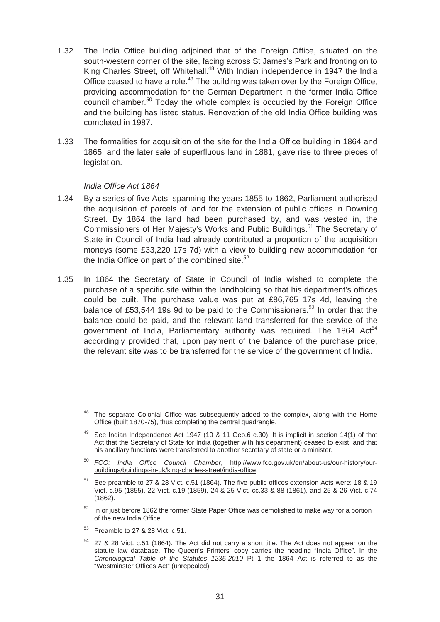- 1.32 The India Office building adjoined that of the Foreign Office, situated on the south-western corner of the site, facing across St James's Park and fronting on to King Charles Street, off Whitehall.<sup>48</sup> With Indian independence in 1947 the India Office ceased to have a role.<sup>49</sup> The building was taken over by the Foreign Office, providing accommodation for the German Department in the former India Office council chamber.<sup>50</sup> Today the whole complex is occupied by the Foreign Office and the building has listed status. Renovation of the old India Office building was completed in 1987.
- 1.33 The formalities for acquisition of the site for the India Office building in 1864 and 1865, and the later sale of superfluous land in 1881, gave rise to three pieces of legislation.

### *India Office Act 1864*

- 1.34 By a series of five Acts, spanning the years 1855 to 1862, Parliament authorised the acquisition of parcels of land for the extension of public offices in Downing Street. By 1864 the land had been purchased by, and was vested in, the Commissioners of Her Majesty's Works and Public Buildings.<sup>51</sup> The Secretary of State in Council of India had already contributed a proportion of the acquisition moneys (some £33,220 17s 7d) with a view to building new accommodation for the India Office on part of the combined site. $52$
- 1.35 In 1864 the Secretary of State in Council of India wished to complete the purchase of a specific site within the landholding so that his department's offices could be built. The purchase value was put at £86,765 17s 4d, leaving the balance of £53,544 19s 9d to be paid to the Commissioners.<sup>53</sup> In order that the balance could be paid, and the relevant land transferred for the service of the government of India, Parliamentary authority was required. The 1864  $Act<sup>54</sup>$ accordingly provided that, upon payment of the balance of the purchase price, the relevant site was to be transferred for the service of the government of India.

- <sup>50</sup>*FCO: India Office Council Chamber*, http://www.fco.gov.uk/en/about-us/our-history/ourbuildings/buildings-in-uk/king-charles-street/india-office.
- <sup>51</sup> See preamble to 27 & 28 Vict. c.51 (1864). The five public offices extension Acts were: 18 & 19 Vict. c.95 (1855), 22 Vict. c.19 (1859), 24 & 25 Vict. cc.33 & 88 (1861), and 25 & 26 Vict. c.74 (1862).
- $52$  In or just before 1862 the former State Paper Office was demolished to make way for a portion of the new India Office.
- $53$  Preamble to 27 & 28 Vict. c.51.
- <sup>54</sup> 27 & 28 Vict. c.51 (1864). The Act did not carry a short title. The Act does not appear on the statute law database. The Queen's Printers' copy carries the heading "India Office". In the *Chronological Table of the Statutes 1235-2010* Pt 1 the 1864 Act is referred to as the "Westminster Offices Act" (unrepealed).

The separate Colonial Office was subsequently added to the complex, along with the Home Office (built 1870-75), thus completing the central quadrangle.

 $49$  See Indian Independence Act 1947 (10 & 11 Geo.6 c.30). It is implicit in section 14(1) of that Act that the Secretary of State for India (together with his department) ceased to exist, and that his ancillary functions were transferred to another secretary of state or a minister.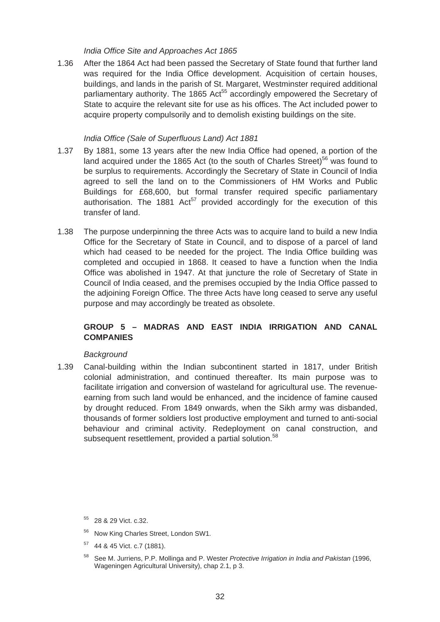#### *India Office Site and Approaches Act 1865*

1.36 After the 1864 Act had been passed the Secretary of State found that further land was required for the India Office development. Acquisition of certain houses, buildings, and lands in the parish of St. Margaret, Westminster required additional parliamentary authority. The 1865 Act<sup>55</sup> accordingly empowered the Secretary of State to acquire the relevant site for use as his offices. The Act included power to acquire property compulsorily and to demolish existing buildings on the site.

#### *India Office (Sale of Superfluous Land) Act 1881*

- 1.37 By 1881, some 13 years after the new India Office had opened, a portion of the land acquired under the 1865 Act (to the south of Charles Street)<sup>56</sup> was found to be surplus to requirements. Accordingly the Secretary of State in Council of India agreed to sell the land on to the Commissioners of HM Works and Public Buildings for £68,600, but formal transfer required specific parliamentary authorisation. The 1881 Act<sup>57</sup> provided accordingly for the execution of this transfer of land.
- 1.38 The purpose underpinning the three Acts was to acquire land to build a new India Office for the Secretary of State in Council, and to dispose of a parcel of land which had ceased to be needed for the project. The India Office building was completed and occupied in 1868. It ceased to have a function when the India Office was abolished in 1947. At that juncture the role of Secretary of State in Council of India ceased, and the premises occupied by the India Office passed to the adjoining Foreign Office. The three Acts have long ceased to serve any useful purpose and may accordingly be treated as obsolete.

# **GROUP 5 – MADRAS AND EAST INDIA IRRIGATION AND CANAL COMPANIES**

#### *Background*

1.39 Canal-building within the Indian subcontinent started in 1817, under British colonial administration, and continued thereafter. Its main purpose was to facilitate irrigation and conversion of wasteland for agricultural use. The revenueearning from such land would be enhanced, and the incidence of famine caused by drought reduced. From 1849 onwards, when the Sikh army was disbanded, thousands of former soldiers lost productive employment and turned to anti-social behaviour and criminal activity. Redeployment on canal construction, and subsequent resettlement, provided a partial solution.<sup>58</sup>

- 56 Now King Charles Street, London SW1.
- 57 44 & 45 Vict. c.7 (1881).
- 58 See M. Jurriens, P.P. Mollinga and P. Wester *Protective Irrigation in India and Pakistan* (1996, Wageningen Agricultural University), chap 2.1, p 3.

<sup>55 28 &</sup>amp; 29 Vict. c.32.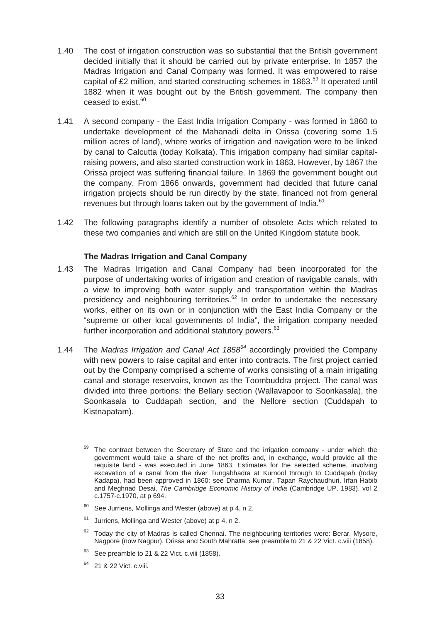- 1.40 The cost of irrigation construction was so substantial that the British government decided initially that it should be carried out by private enterprise. In 1857 the Madras Irrigation and Canal Company was formed. It was empowered to raise capital of £2 million, and started constructing schemes in 1863.<sup>59</sup> It operated until 1882 when it was bought out by the British government. The company then ceased to exist.<sup>60</sup>
- 1.41 A second company the East India Irrigation Company was formed in 1860 to undertake development of the Mahanadi delta in Orissa (covering some 1.5 million acres of land), where works of irrigation and navigation were to be linked by canal to Calcutta (today Kolkata). This irrigation company had similar capitalraising powers, and also started construction work in 1863. However, by 1867 the Orissa project was suffering financial failure. In 1869 the government bought out the company. From 1866 onwards, government had decided that future canal irrigation projects should be run directly by the state, financed not from general revenues but through loans taken out by the government of India.<sup>61</sup>
- 1.42 The following paragraphs identify a number of obsolete Acts which related to these two companies and which are still on the United Kingdom statute book.

## **The Madras Irrigation and Canal Company**

- 1.43 The Madras Irrigation and Canal Company had been incorporated for the purpose of undertaking works of irrigation and creation of navigable canals, with a view to improving both water supply and transportation within the Madras presidency and neighbouring territories.<sup>62</sup> In order to undertake the necessary works, either on its own or in conjunction with the East India Company or the "supreme or other local governments of India", the irrigation company needed further incorporation and additional statutory powers.<sup>63</sup>
- 1.44 The *Madras Irrigation and Canal Act 1858<sup>64</sup>* accordingly provided the Company with new powers to raise capital and enter into contracts. The first project carried out by the Company comprised a scheme of works consisting of a main irrigating canal and storage reservoirs, known as the Toombuddra project. The canal was divided into three portions: the Bellary section (Wallavapoor to Soonkasala), the Soonkasala to Cuddapah section, and the Nellore section (Cuddapah to Kistnapatam).

- $63$  See preamble to 21 & 22 Vict. c.viii (1858).
- <sup>64</sup> 21 & 22 Vict. c.viii.

The contract between the Secretary of State and the irrigation company - under which the government would take a share of the net profits and, in exchange, would provide all the requisite land - was executed in June 1863. Estimates for the selected scheme, involving excavation of a canal from the river Tungabhadra at Kurnool through to Cuddapah (today Kadapa), had been approved in 1860: see Dharma Kumar, Tapan Raychaudhuri, Irfan Habib and Meghnad Desai, *The Cambridge Economic History of India* (Cambridge UP, 1983), vol 2 c.1757-c.1970, at p 694.

 $60$  See Jurriens, Mollinga and Wester (above) at p 4, n 2.

 $61$  Jurriens, Mollinga and Wester (above) at p 4, n 2.

 $62$  Todav the city of Madras is called Chennai. The neighbouring territories were: Berar, Mysore, Nagpore (now Nagpur), Orissa and South Mahratta: see preamble to 21 & 22 Vict. c.viii (1858).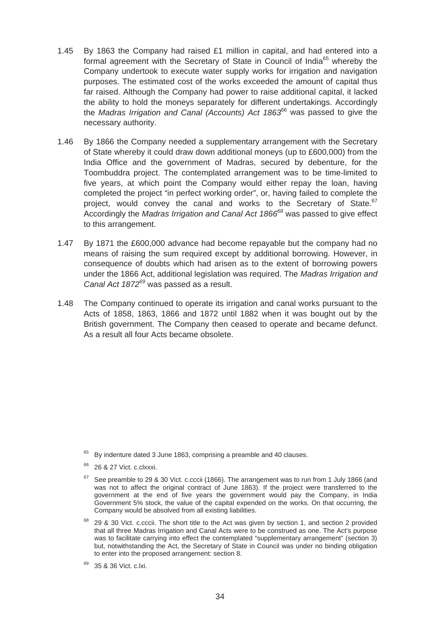- 1.45 By 1863 the Company had raised £1 million in capital, and had entered into a formal agreement with the Secretary of State in Council of India<sup>65</sup> whereby the Company undertook to execute water supply works for irrigation and navigation purposes. The estimated cost of the works exceeded the amount of capital thus far raised. Although the Company had power to raise additional capital, it lacked the ability to hold the moneys separately for different undertakings. Accordingly the *Madras Irrigation and Canal (Accounts) Act 1863*66 was passed to give the necessary authority.
- 1.46 By 1866 the Company needed a supplementary arrangement with the Secretary of State whereby it could draw down additional moneys (up to £600,000) from the India Office and the government of Madras, secured by debenture, for the Toombuddra project. The contemplated arrangement was to be time-limited to five years, at which point the Company would either repay the loan, having completed the project "in perfect working order", or, having failed to complete the project, would convey the canal and works to the Secretary of State.<sup>67</sup> Accordingly the *Madras Irrigation and Canal Act 1866<sup>68</sup>*was passed to give effect to this arrangement.
- 1.47 By 1871 the £600,000 advance had become repayable but the company had no means of raising the sum required except by additional borrowing. However, in consequence of doubts which had arisen as to the extent of borrowing powers under the 1866 Act, additional legislation was required. The *Madras Irrigation and Canal Act 1872<sup>69</sup>* was passed as a result.
- 1.48 The Company continued to operate its irrigation and canal works pursuant to the Acts of 1858, 1863, 1866 and 1872 until 1882 when it was bought out by the British government. The Company then ceased to operate and became defunct. As a result all four Acts became obsolete.

 $65$  By indenture dated 3 June 1863, comprising a preamble and 40 clauses.

<sup>66 26 &</sup>amp; 27 Vict. c.clxxxi.

 $67$  See preamble to 29 & 30 Vict. c.cccii (1866). The arrangement was to run from 1 July 1866 (and was not to affect the original contract of June 1863). If the project were transferred to the government at the end of five years the government would pay the Company, in India Government 5% stock, the value of the capital expended on the works. On that occurring, the Company would be absolved from all existing liabilities.

<sup>&</sup>lt;sup>68</sup> 29 & 30 Vict. c.cccii. The short title to the Act was given by section 1, and section 2 provided that all three Madras Irrigation and Canal Acts were to be construed as one. The Act's purpose was to facilitate carrying into effect the contemplated "supplementary arrangement" (section 3) but, notwithstanding the Act, the Secretary of State in Council was under no binding obligation to enter into the proposed arrangement: section 8.

<sup>69 35 &</sup>amp; 36 Vict. c.lxi.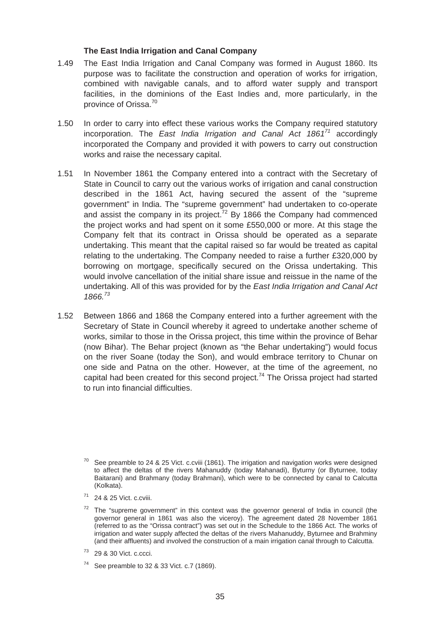#### **The East India Irrigation and Canal Company**

- 1.49 The East India Irrigation and Canal Company was formed in August 1860. Its purpose was to facilitate the construction and operation of works for irrigation, combined with navigable canals, and to afford water supply and transport facilities, in the dominions of the East Indies and, more particularly, in the province of Orissa.70
- 1.50 In order to carry into effect these various works the Company required statutory incorporation. The *East India Irrigation and Canal Act 1861<sup>71</sup>* accordingly incorporated the Company and provided it with powers to carry out construction works and raise the necessary capital.
- 1.51 In November 1861 the Company entered into a contract with the Secretary of State in Council to carry out the various works of irrigation and canal construction described in the 1861 Act, having secured the assent of the "supreme government" in India. The "supreme government" had undertaken to co-operate and assist the company in its project.<sup>72</sup> By 1866 the Company had commenced the project works and had spent on it some £550,000 or more. At this stage the Company felt that its contract in Orissa should be operated as a separate undertaking. This meant that the capital raised so far would be treated as capital relating to the undertaking. The Company needed to raise a further £320,000 by borrowing on mortgage, specifically secured on the Orissa undertaking. This would involve cancellation of the initial share issue and reissue in the name of the undertaking. All of this was provided for by the *East India Irrigation and Canal Act 1866.<sup>73</sup>*
- 1.52 Between 1866 and 1868 the Company entered into a further agreement with the Secretary of State in Council whereby it agreed to undertake another scheme of works, similar to those in the Orissa project, this time within the province of Behar (now Bihar). The Behar project (known as "the Behar undertaking") would focus on the river Soane (today the Son), and would embrace territory to Chunar on one side and Patna on the other. However, at the time of the agreement, no capital had been created for this second project.<sup>74</sup> The Orissa project had started to run into financial difficulties.

 $74$  See preamble to 32 & 33 Vict. c.7 (1869).

See preamble to 24 & 25 Vict. c.cviii (1861). The irrigation and navigation works were designed to affect the deltas of the rivers Mahanuddy (today Mahanadi), Byturny (or Byturnee, today Baitarani) and Brahmany (today Brahmani), which were to be connected by canal to Calcutta (Kolkata).

 $71$  24 & 25 Vict. c.cviii.

 $72$  The "supreme government" in this context was the governor general of India in council (the governor general in 1861 was also the viceroy). The agreement dated 28 November 1861 (referred to as the "Orissa contract") was set out in the Schedule to the 1866 Act. The works of irrigation and water supply affected the deltas of the rivers Mahanuddy, Byturnee and Brahminy (and their affluents) and involved the construction of a main irrigation canal through to Calcutta.

<sup>73 29 &</sup>amp; 30 Vict. c.ccci.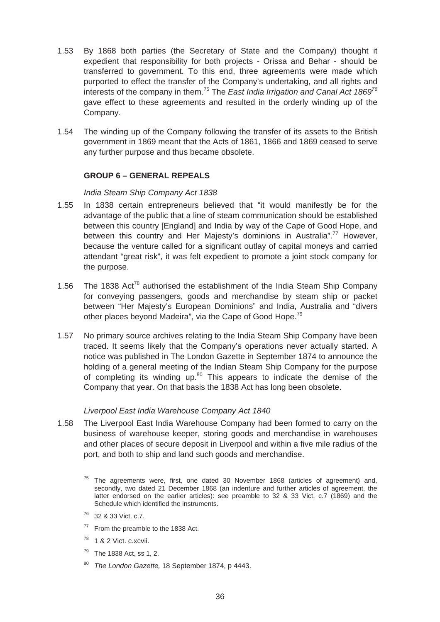- 1.53 By 1868 both parties (the Secretary of State and the Company) thought it expedient that responsibility for both projects - Orissa and Behar - should be transferred to government. To this end, three agreements were made which purported to effect the transfer of the Company's undertaking, and all rights and interests of the company in them.75 The *East India Irrigation and Canal Act 186976*  gave effect to these agreements and resulted in the orderly winding up of the Company.
- 1.54 The winding up of the Company following the transfer of its assets to the British government in 1869 meant that the Acts of 1861, 1866 and 1869 ceased to serve any further purpose and thus became obsolete.

## **GROUP 6 – GENERAL REPEALS**

#### *India Steam Ship Company Act 1838*

- 1.55 In 1838 certain entrepreneurs believed that "it would manifestly be for the advantage of the public that a line of steam communication should be established between this country [England] and India by way of the Cape of Good Hope, and between this country and Her Majesty's dominions in Australia".<sup>77</sup> However, because the venture called for a significant outlay of capital moneys and carried attendant "great risk", it was felt expedient to promote a joint stock company for the purpose.
- 1.56 The 1838 Act<sup>78</sup> authorised the establishment of the India Steam Ship Company for conveying passengers, goods and merchandise by steam ship or packet between "Her Majesty's European Dominions" and India, Australia and "divers other places beyond Madeira", via the Cape of Good Hope.<sup>79</sup>
- 1.57 No primary source archives relating to the India Steam Ship Company have been traced. It seems likely that the Company's operations never actually started. A notice was published in The London Gazette in September 1874 to announce the holding of a general meeting of the Indian Steam Ship Company for the purpose of completing its winding up.<sup>80</sup> This appears to indicate the demise of the Company that year. On that basis the 1838 Act has long been obsolete.

#### *Liverpool East India Warehouse Company Act 1840*

- 1.58 The Liverpool East India Warehouse Company had been formed to carry on the business of warehouse keeper, storing goods and merchandise in warehouses and other places of secure deposit in Liverpool and within a five mile radius of the port, and both to ship and land such goods and merchandise.
	- $75$  The agreements were, first, one dated 30 November 1868 (articles of agreement) and, secondly, two dated 21 December 1868 (an indenture and further articles of agreement, the latter endorsed on the earlier articles): see preamble to 32 & 33 Vict. c.7 (1869) and the Schedule which identified the instruments.
	- 76 32 & 33 Vict. c.7.
	- <sup>77</sup> From the preamble to the 1838 Act.
	- $78$  1 & 2 Vict. c.xcvii.
	- $79$  The 1838 Act, ss 1, 2.
	- <sup>80</sup>*The London Gazette,* 18 September 1874, p 4443.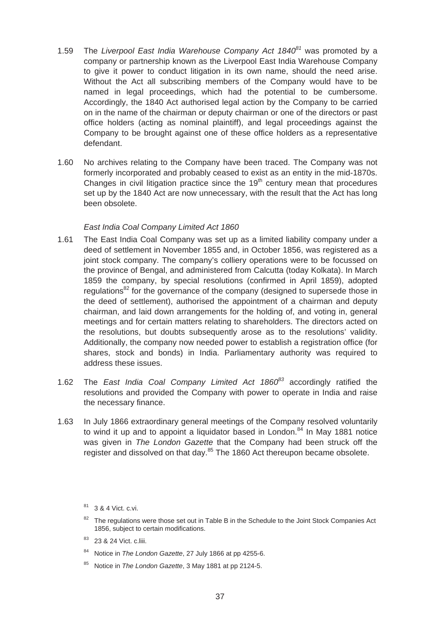- 1.59 The *Liverpool East India Warehouse Company Act 1840<sup>81</sup>* was promoted by a company or partnership known as the Liverpool East India Warehouse Company to give it power to conduct litigation in its own name, should the need arise. Without the Act all subscribing members of the Company would have to be named in legal proceedings, which had the potential to be cumbersome. Accordingly, the 1840 Act authorised legal action by the Company to be carried on in the name of the chairman or deputy chairman or one of the directors or past office holders (acting as nominal plaintiff), and legal proceedings against the Company to be brought against one of these office holders as a representative defendant.
- 1.60 No archives relating to the Company have been traced. The Company was not formerly incorporated and probably ceased to exist as an entity in the mid-1870s. Changes in civil litigation practice since the  $19<sup>th</sup>$  century mean that procedures set up by the 1840 Act are now unnecessary, with the result that the Act has long been obsolete.

## *East India Coal Company Limited Act 1860*

- 1.61 The East India Coal Company was set up as a limited liability company under a deed of settlement in November 1855 and, in October 1856, was registered as a joint stock company. The company's colliery operations were to be focussed on the province of Bengal, and administered from Calcutta (today Kolkata). In March 1859 the company, by special resolutions (confirmed in April 1859), adopted regulations<sup>82</sup> for the governance of the company (designed to supersede those in the deed of settlement), authorised the appointment of a chairman and deputy chairman, and laid down arrangements for the holding of, and voting in, general meetings and for certain matters relating to shareholders. The directors acted on the resolutions, but doubts subsequently arose as to the resolutions' validity. Additionally, the company now needed power to establish a registration office (for shares, stock and bonds) in India. Parliamentary authority was required to address these issues.
- 1.62 The *East India Coal Company Limited Act 1860<sup>83</sup>*accordingly ratified the resolutions and provided the Company with power to operate in India and raise the necessary finance.
- 1.63 In July 1866 extraordinary general meetings of the Company resolved voluntarily to wind it up and to appoint a liquidator based in London. $84$  In May 1881 notice was given in *The London Gazette* that the Company had been struck off the register and dissolved on that day.<sup>85</sup> The 1860 Act thereupon became obsolete.

- <sup>82</sup> The regulations were those set out in Table B in the Schedule to the Joint Stock Companies Act 1856, subject to certain modifications.
- 83 23 & 24 Vict. c.liii.
- 84 Notice in *The London Gazette*, 27 July 1866 at pp 4255-6.
- 85 Notice in *The London Gazette*, 3 May 1881 at pp 2124-5.

<sup>81 3 &</sup>amp; 4 Vict. c.vi.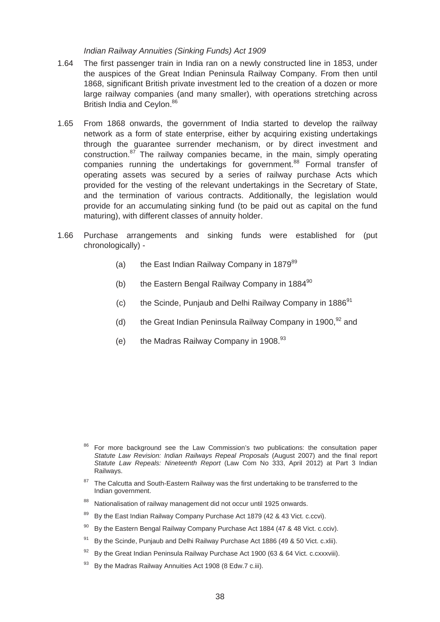#### *Indian Railway Annuities (Sinking Funds) Act 1909*

- 1.64 The first passenger train in India ran on a newly constructed line in 1853, under the auspices of the Great Indian Peninsula Railway Company. From then until 1868, significant British private investment led to the creation of a dozen or more large railway companies (and many smaller), with operations stretching across British India and Ceylon.<sup>86</sup>
- 1.65 From 1868 onwards, the government of India started to develop the railway network as a form of state enterprise, either by acquiring existing undertakings through the guarantee surrender mechanism, or by direct investment and construction. $87$  The railway companies became, in the main, simply operating companies running the undertakings for government.<sup>88</sup> Formal transfer of operating assets was secured by a series of railway purchase Acts which provided for the vesting of the relevant undertakings in the Secretary of State, and the termination of various contracts. Additionally, the legislation would provide for an accumulating sinking fund (to be paid out as capital on the fund maturing), with different classes of annuity holder.
- 1.66 Purchase arrangements and sinking funds were established for (put chronologically) -
	- (a) the East Indian Railway Company in  $1879^{89}$
	- (b) the Eastern Bengal Railway Company in  $1884^{90}$
	- (c) the Scinde, Punjaub and Delhi Railway Company in  $1886<sup>91</sup>$
	- (d) the Great Indian Peninsula Railway Company in 1900,  $92$  and
	- (e) the Madras Railway Company in  $1908.<sup>93</sup>$

- <sup>87</sup> The Calcutta and South-Eastern Railway was the first undertaking to be transferred to the Indian government.
- 88 Nationalisation of railway management did not occur until 1925 onwards.
- $89$  By the East Indian Railway Company Purchase Act 1879 (42 & 43 Vict. c.ccvi).
- $90\,$  By the Eastern Bengal Railway Company Purchase Act 1884 (47 & 48 Vict. c.cciv).
- $91$  By the Scinde, Punjaub and Delhi Railway Purchase Act 1886 (49 & 50 Vict. c.xlii).
- $92$  By the Great Indian Peninsula Railway Purchase Act 1900 (63 & 64 Vict. c.cxxxviii).
- By the Madras Railway Annuities Act 1908 (8 Edw.7 c.iii).

For more background see the Law Commission's two publications: the consultation paper *Statute Law Revision: Indian Railways Repeal Proposals* (August 2007) and the final report *Statute Law Repeals: Nineteenth Report* (Law Com No 333, April 2012) at Part 3 Indian Railways.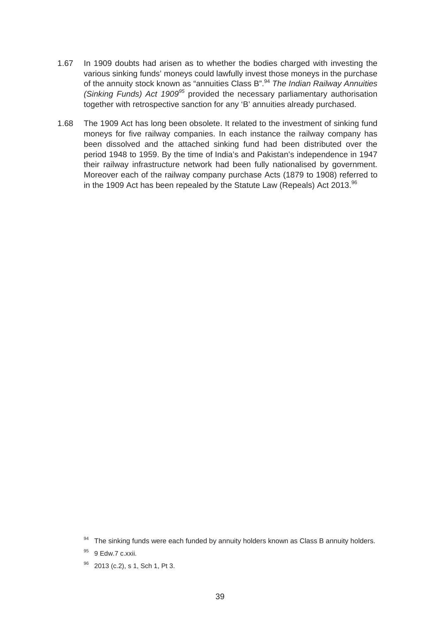- 1.67 In 1909 doubts had arisen as to whether the bodies charged with investing the various sinking funds' moneys could lawfully invest those moneys in the purchase of the annuity stock known as "annuities Class B".94 *The Indian Railway Annuities (Sinking Funds) Act 1909<sup>95</sup>* provided the necessary parliamentary authorisation together with retrospective sanction for any 'B' annuities already purchased.
- 1.68 The 1909 Act has long been obsolete. It related to the investment of sinking fund moneys for five railway companies. In each instance the railway company has been dissolved and the attached sinking fund had been distributed over the period 1948 to 1959. By the time of India's and Pakistan's independence in 1947 their railway infrastructure network had been fully nationalised by government. Moreover each of the railway company purchase Acts (1879 to 1908) referred to in the 1909 Act has been repealed by the Statute Law (Repeals) Act 2013. $96$

 $94$  The sinking funds were each funded by annuity holders known as Class B annuity holders.

<sup>&</sup>lt;sup>95</sup> 9 Edw.7 c.xxii.

<sup>96 2013 (</sup>c.2), s 1, Sch 1, Pt 3.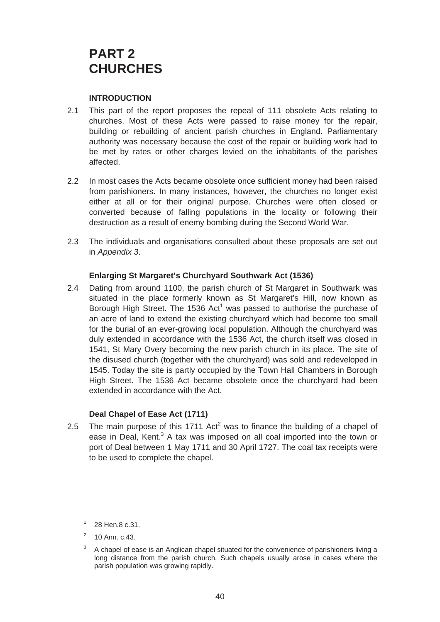# **PART 2 CHURCHES**

## **INTRODUCTION**

- 2.1 This part of the report proposes the repeal of 111 obsolete Acts relating to churches. Most of these Acts were passed to raise money for the repair, building or rebuilding of ancient parish churches in England. Parliamentary authority was necessary because the cost of the repair or building work had to be met by rates or other charges levied on the inhabitants of the parishes affected.
- 2.2 In most cases the Acts became obsolete once sufficient money had been raised from parishioners. In many instances, however, the churches no longer exist either at all or for their original purpose. Churches were often closed or converted because of falling populations in the locality or following their destruction as a result of enemy bombing during the Second World War.
- 2.3 The individuals and organisations consulted about these proposals are set out in *Appendix 3*.

## **Enlarging St Margaret's Churchyard Southwark Act (1536)**

2.4 Dating from around 1100, the parish church of St Margaret in Southwark was situated in the place formerly known as St Margaret's Hill, now known as Borough High Street. The 1536 Act<sup>1</sup> was passed to authorise the purchase of an acre of land to extend the existing churchyard which had become too small for the burial of an ever-growing local population. Although the churchyard was duly extended in accordance with the 1536 Act, the church itself was closed in 1541, St Mary Overy becoming the new parish church in its place. The site of the disused church (together with the churchyard) was sold and redeveloped in 1545. Today the site is partly occupied by the Town Hall Chambers in Borough High Street. The 1536 Act became obsolete once the churchyard had been extended in accordance with the Act.

## **Deal Chapel of Ease Act (1711)**

2.5 The main purpose of this 1711 Act<sup>2</sup> was to finance the building of a chapel of ease in Deal, Kent.<sup>3</sup> A tax was imposed on all coal imported into the town or port of Deal between 1 May 1711 and 30 April 1727. The coal tax receipts were to be used to complete the chapel.

 $1\quad 28$  Hen.8 c.31.

 $2^2$  10 Ann. c.43.

 $3\,$  A chapel of ease is an Anglican chapel situated for the convenience of parishioners living a long distance from the parish church. Such chapels usually arose in cases where the parish population was growing rapidly.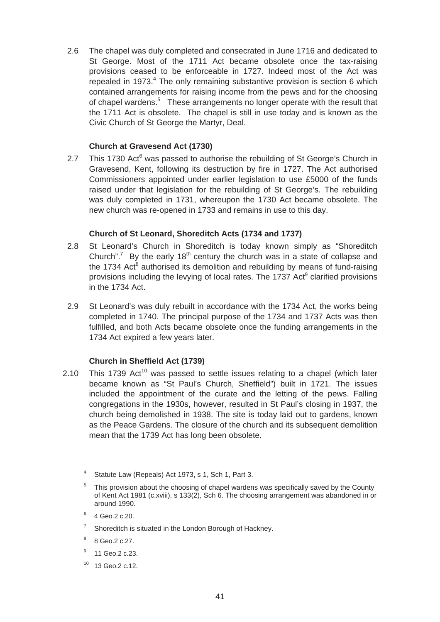2.6 The chapel was duly completed and consecrated in June 1716 and dedicated to St George. Most of the 1711 Act became obsolete once the tax-raising provisions ceased to be enforceable in 1727. Indeed most of the Act was repealed in 1973. $4$  The only remaining substantive provision is section 6 which contained arrangements for raising income from the pews and for the choosing of chapel wardens.<sup>5</sup> These arrangements no longer operate with the result that the 1711 Act is obsolete. The chapel is still in use today and is known as the Civic Church of St George the Martyr, Deal.

# **Church at Gravesend Act (1730)**

2.7 This 1730 Act $^6$  was passed to authorise the rebuilding of St George's Church in Gravesend, Kent, following its destruction by fire in 1727. The Act authorised Commissioners appointed under earlier legislation to use £5000 of the funds raised under that legislation for the rebuilding of St George's. The rebuilding was duly completed in 1731, whereupon the 1730 Act became obsolete. The new church was re-opened in 1733 and remains in use to this day.

# **Church of St Leonard, Shoreditch Acts (1734 and 1737)**

- 2.8 St Leonard's Church in Shoreditch is today known simply as "Shoreditch Church".<sup>7</sup> By the early 18<sup>th</sup> century the church was in a state of collapse and the 1734 Act<sup>8</sup> authorised its demolition and rebuilding by means of fund-raising provisions including the levying of local rates. The 1737 Act<sup>9</sup> clarified provisions in the 1734 Act.
- 2.9 St Leonard's was duly rebuilt in accordance with the 1734 Act, the works being completed in 1740. The principal purpose of the 1734 and 1737 Acts was then fulfilled, and both Acts became obsolete once the funding arrangements in the 1734 Act expired a few years later.

# **Church in Sheffield Act (1739)**

- 2.10 This 1739 Act<sup>10</sup> was passed to settle issues relating to a chapel (which later became known as "St Paul's Church, Sheffield") built in 1721. The issues included the appointment of the curate and the letting of the pews. Falling congregations in the 1930s, however, resulted in St Paul's closing in 1937, the church being demolished in 1938. The site is today laid out to gardens, known as the Peace Gardens. The closure of the church and its subsequent demolition mean that the 1739 Act has long been obsolete.
	- 4 Statute Law (Repeals) Act 1973, s 1, Sch 1, Part 3.
	- This provision about the choosing of chapel wardens was specifically saved by the County of Kent Act 1981 (c.xviii), s 133(2), Sch 6. The choosing arrangement was abandoned in or around 1990.
	- $6 \t4 Ge0.2 c.20$ .
	- $7$  Shoreditch is situated in the London Borough of Hackney.
	- $8 \text{ Geo.2 c.27}.$
	- <sup>9</sup> 11 Geo.2 c.23.
	- 10 13 Geo.2 c.12.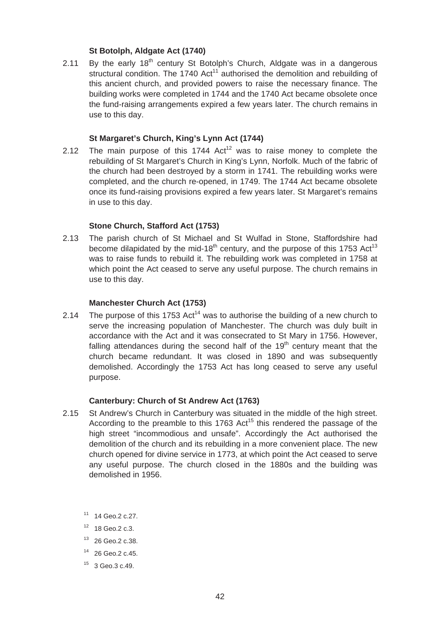## **St Botolph, Aldgate Act (1740)**

2.11 By the early  $18<sup>th</sup>$  century St Botolph's Church, Aldgate was in a dangerous structural condition. The 1740 Act<sup>11</sup> authorised the demolition and rebuilding of this ancient church, and provided powers to raise the necessary finance. The building works were completed in 1744 and the 1740 Act became obsolete once the fund-raising arrangements expired a few years later. The church remains in use to this day.

#### **St Margaret's Church, King's Lynn Act (1744)**

2.12 The main purpose of this 1744  $Act^{12}$  was to raise money to complete the rebuilding of St Margaret's Church in King's Lynn, Norfolk. Much of the fabric of the church had been destroyed by a storm in 1741. The rebuilding works were completed, and the church re-opened, in 1749. The 1744 Act became obsolete once its fund-raising provisions expired a few years later. St Margaret's remains in use to this day.

## **Stone Church, Stafford Act (1753)**

2.13 The parish church of St Michael and St Wulfad in Stone, Staffordshire had become dilapidated by the mid-18<sup>th</sup> century, and the purpose of this 1753 Act<sup>13</sup> was to raise funds to rebuild it. The rebuilding work was completed in 1758 at which point the Act ceased to serve any useful purpose. The church remains in use to this day.

#### **Manchester Church Act (1753)**

2.14 The purpose of this 1753 Act<sup>14</sup> was to authorise the building of a new church to serve the increasing population of Manchester. The church was duly built in accordance with the Act and it was consecrated to St Mary in 1756. However, falling attendances during the second half of the  $19<sup>th</sup>$  century meant that the church became redundant. It was closed in 1890 and was subsequently demolished. Accordingly the 1753 Act has long ceased to serve any useful purpose.

## **Canterbury: Church of St Andrew Act (1763)**

- St Andrew's Church in Canterbury was situated in the middle of the high street. 2.15 St Andrew's Church in Canterbury was situated in the middle of the high street.<br>According to the preamble to this 1763 Act<sup>15</sup> this rendered the passage of the high street "incommodious and unsafe". Accordingly the Act authorised the demolition of the church and its rebuilding in a more convenient place. The new church opened for divine service in 1773, at which point the Act ceased to serve any useful purpose. The church closed in the 1880s and the building was demolished in 1956.
	- 11 14 Geo.2 c.27.
	- 12 18 Geo.2 c.3.
	- 13 26 Geo.2 c.38.
	- 14 26 Geo.2 c.45.
	- $15$  3 Geo. 3 c. 49.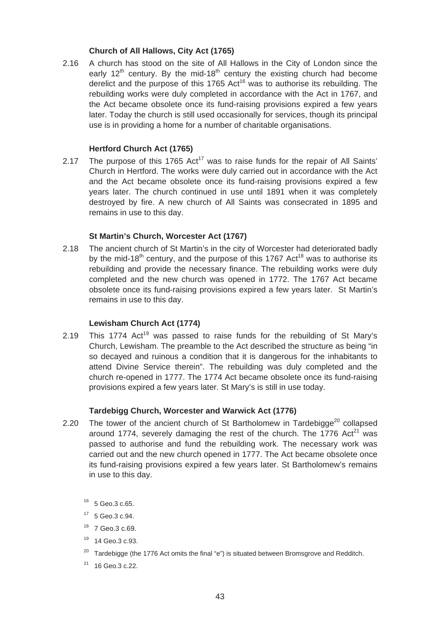# **Church of All Hallows, City Act (1765)**

2.16 A church has stood on the site of All Hallows in the City of London since the early  $12<sup>th</sup>$  century. By the mid-18<sup>th</sup> century the existing church had become derelict and the purpose of this 1765 Act<sup>16</sup> was to authorise its rebuilding. The rebuilding works were duly completed in accordance with the Act in 1767, and the Act became obsolete once its fund-raising provisions expired a few years later. Today the church is still used occasionally for services, though its principal use is in providing a home for a number of charitable organisations.

# **Hertford Church Act (1765)**

2.17 The purpose of this 1765  $Act^{17}$  was to raise funds for the repair of All Saints' Church in Hertford. The works were duly carried out in accordance with the Act and the Act became obsolete once its fund-raising provisions expired a few years later. The church continued in use until 1891 when it was completely destroyed by fire. A new church of All Saints was consecrated in 1895 and remains in use to this day.

# **St Martin's Church, Worcester Act (1767)**

2.18 The ancient church of St Martin's in the city of Worcester had deteriorated badly by the mid-18<sup>th</sup> century, and the purpose of this 1767 Act<sup>18</sup> was to authorise its rebuilding and provide the necessary finance. The rebuilding works were duly completed and the new church was opened in 1772. The 1767 Act became obsolete once its fund-raising provisions expired a few years later. St Martin's remains in use to this day.

## **Lewisham Church Act (1774)**

 Church, Lewisham. The preamble to the Act described the structure as being "in 2.19 This 1774  $Act^{19}$  was passed to raise funds for the rebuilding of St Mary's so decayed and ruinous a condition that it is dangerous for the inhabitants to attend Divine Service therein". The rebuilding was duly completed and the church re-opened in 1777. The 1774 Act became obsolete once its fund-raising provisions expired a few years later. St Mary's is still in use today.

# **Tardebigg Church, Worcester and Warwick Act (1776)**

- 2.20 The tower of the ancient church of St Bartholomew in Tardebigge<sup>20</sup> collapsed around 1774, severely damaging the rest of the church. The 1776  $Act^{21}$  was passed to authorise and fund the rebuilding work. The necessary work was carried out and the new church opened in 1777. The Act became obsolete once its fund-raising provisions expired a few years later. St Bartholomew's remains in use to this day.
	- 16 5 Geo.3 c.65.
	- 17 5 Geo.3 c.94.
	- $18$  7 Geo. 3 c. 69.
	- 19 14 Geo.3 c.93.
	- $20$  Tardebigge (the 1776 Act omits the final "e") is situated between Bromsgrove and Redditch.
	- 21 16 Geo.3 c.22.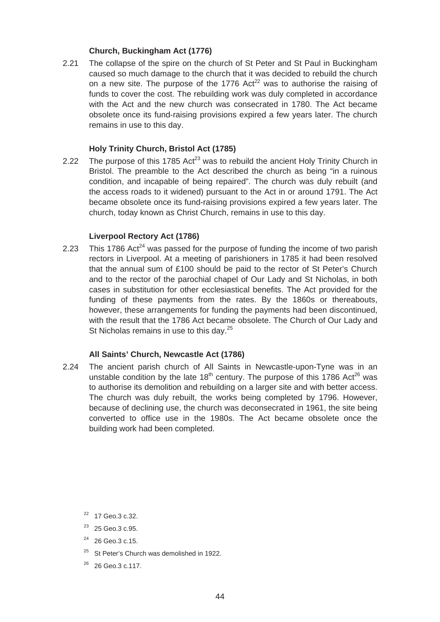## **Church, Buckingham Act (1776)**

2.21 The collapse of the spire on the church of St Peter and St Paul in Buckingham caused so much damage to the church that it was decided to rebuild the church on a new site. The purpose of the 1776  $Act^{22}$  was to authorise the raising of funds to cover the cost. The rebuilding work was duly completed in accordance with the Act and the new church was consecrated in 1780. The Act became obsolete once its fund-raising provisions expired a few years later. The church remains in use to this day.

# **Holy Trinity Church, Bristol Act (1785)**

2.22 The purpose of this 1785  $Act^{23}$  was to rebuild the ancient Holy Trinity Church in Bristol. The preamble to the Act described the church as being "in a ruinous condition, and incapable of being repaired". The church was duly rebuilt (and the access roads to it widened) pursuant to the Act in or around 1791. The Act became obsolete once its fund-raising provisions expired a few years later. The church, today known as Christ Church, remains in use to this day.

# **Liverpool Rectory Act (1786)**

2.23 This 1786 Act<sup>24</sup> was passed for the purpose of funding the income of two parish rectors in Liverpool. At a meeting of parishioners in 1785 it had been resolved that the annual sum of £100 should be paid to the rector of St Peter's Church and to the rector of the parochial chapel of Our Lady and St Nicholas, in both cases in substitution for other ecclesiastical benefits. The Act provided for the funding of these payments from the rates. By the 1860s or thereabouts, however, these arrangements for funding the payments had been discontinued, with the result that the 1786 Act became obsolete. The Church of Our Lady and St Nicholas remains in use to this day. $25$ 

## **All Saints' Church, Newcastle Act (1786)**

to authorise its demolition and rebuilding on a larger site and with better access. 2.24 The ancient parish church of All Saints in Newcastle-upon-Tyne was in an unstable condition by the late  $18<sup>th</sup>$  century. The purpose of this 1786 Act<sup>26</sup> was The church was duly rebuilt, the works being completed by 1796. However, because of declining use, the church was deconsecrated in 1961, the site being converted to office use in the 1980s. The Act became obsolete once the building work had been completed.

- $24$  26 Geo.3 c.15.
- <sup>25</sup> St Peter's Church was demolished in 1922.
- $26$  26 Geo.3 c.117.

<sup>22 17</sup> Geo.3 c.32.

<sup>23 25</sup> Geo.3 c.95.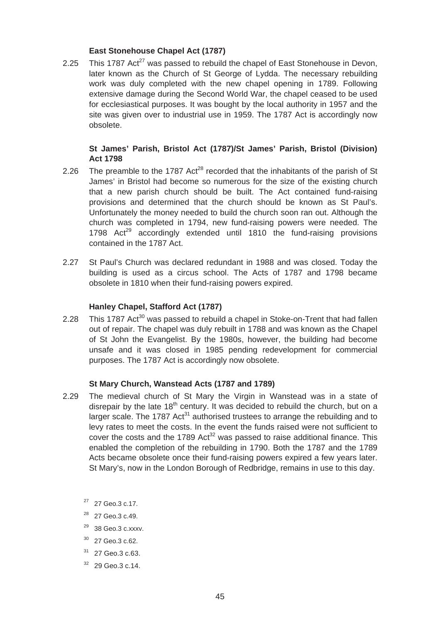# **East Stonehouse Chapel Act (1787)**

2.25 This 1787 Act<sup>27</sup> was passed to rebuild the chapel of East Stonehouse in Devon, later known as the Church of St George of Lydda. The necessary rebuilding work was duly completed with the new chapel opening in 1789. Following extensive damage during the Second World War, the chapel ceased to be used for ecclesiastical purposes. It was bought by the local authority in 1957 and the site was given over to industrial use in 1959. The 1787 Act is accordingly now obsolete.

# **St James' Parish, Bristol Act (1787)/St James' Parish, Bristol (Division) Act 1798**

- 2.26 The preamble to the 1787 Act<sup>28</sup> recorded that the inhabitants of the parish of St James' in Bristol had become so numerous for the size of the existing church that a new parish church should be built. The Act contained fund-raising provisions and determined that the church should be known as St Paul's. Unfortunately the money needed to build the church soon ran out. Although the church was completed in 1794, new fund-raising powers were needed. The 1798  $Act^{29}$  accordingly extended until 1810 the fund-raising provisions contained in the 1787 Act.
- 2.27 St Paul's Church was declared redundant in 1988 and was closed. Today the building is used as a circus school. The Acts of 1787 and 1798 became obsolete in 1810 when their fund-raising powers expired.

# **Hanley Chapel, Stafford Act (1787)**

 of St John the Evangelist. By the 1980s, however, the building had become 2.28 This 1787 Act<sup>30</sup> was passed to rebuild a chapel in Stoke-on-Trent that had fallen out of repair. The chapel was duly rebuilt in 1788 and was known as the Chapel unsafe and it was closed in 1985 pending redevelopment for commercial purposes. The 1787 Act is accordingly now obsolete.

## **St Mary Church, Wanstead Acts (1787 and 1789)**

- disrepair by the late 18<sup>th</sup> century. It was decided to rebuild the church, but on a 2.29 The medieval church of St Mary the Virgin in Wanstead was in a state of larger scale. The 1787 Act<sup>31</sup> authorised trustees to arrange the rebuilding and to levy rates to meet the costs. In the event the funds raised were not sufficient to cover the costs and the 1789 Act<sup>32</sup> was passed to raise additional finance. This enabled the completion of the rebuilding in 1790. Both the 1787 and the 1789 Acts became obsolete once their fund-raising powers expired a few years later. St Mary's, now in the London Borough of Redbridge, remains in use to this day.
	- 27 27 Geo.3 c.17.
	- $28$  27 Geo. 3 c. 49.
	- 29 38 Geo.3 c.xxxv.
	- $30\quad$  27 Geo.3 c.62.
	- 31 27 Geo.3 c.63.
	- $32$  29 Geo. 3 c. 14.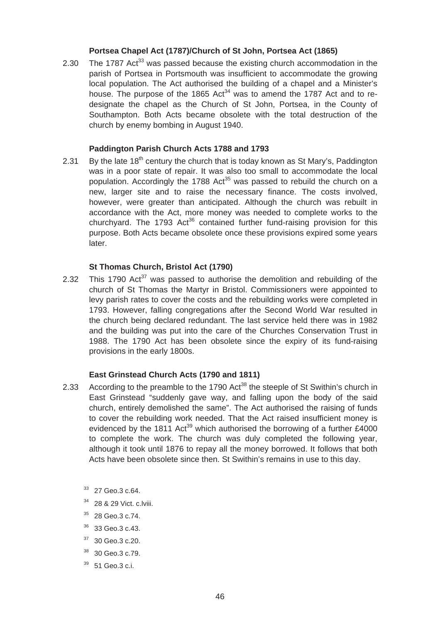## **Portsea Chapel Act (1787)/Church of St John, Portsea Act (1865)**

2.30 The 1787 Act<sup>33</sup> was passed because the existing church accommodation in the parish of Portsea in Portsmouth was insufficient to accommodate the growing local population. The Act authorised the building of a chapel and a Minister's house. The purpose of the 1865 Act<sup>34</sup> was to amend the 1787 Act and to redesignate the chapel as the Church of St John, Portsea, in the County of Southampton. Both Acts became obsolete with the total destruction of the church by enemy bombing in August 1940.

# **Paddington Parish Church Acts 1788 and 1793**

2.31 By the late  $18<sup>th</sup>$  century the church that is today known as St Mary's, Paddington was in a poor state of repair. It was also too small to accommodate the local population. Accordingly the 1788 Act<sup>35</sup> was passed to rebuild the church on a new, larger site and to raise the necessary finance. The costs involved, however, were greater than anticipated. Although the church was rebuilt in accordance with the Act, more money was needed to complete works to the churchyard. The 1793 Act<sup>36</sup> contained further fund-raising provision for this purpose. Both Acts became obsolete once these provisions expired some years later.

## **St Thomas Church, Bristol Act (1790)**

2.32 This 1790  $Act^{37}$  was passed to authorise the demolition and rebuilding of the church of St Thomas the Martyr in Bristol. Commissioners were appointed to levy parish rates to cover the costs and the rebuilding works were completed in 1793. However, falling congregations after the Second World War resulted in the church being declared redundant. The last service held there was in 1982 and the building was put into the care of the Churches Conservation Trust in 1988. The 1790 Act has been obsolete since the expiry of its fund-raising provisions in the early 1800s.

## **East Grinstead Church Acts (1790 and 1811)**

- 2.33 According to the preamble to the 1790 Act<sup>38</sup> the steeple of St Swithin's church in East Grinstead "suddenly gave way, and falling upon the body of the said church, entirely demolished the same". The Act authorised the raising of funds to cover the rebuilding work needed. That the Act raised insufficient money is evidenced by the 1811 Act<sup>39</sup> which authorised the borrowing of a further £4000 to complete the work. The church was duly completed the following year, although it took until 1876 to repay all the money borrowed. It follows that both Acts have been obsolete since then. St Swithin's remains in use to this day.
	- $33$  27 Geo.3 c.64.
	- <sup>34</sup> 28 & 29 Vict. c.lviii.
	- $35$  28 Geo. 3 c. 74.
	- 36 33 Geo.3 c.43.
	- $37$  30 Geo. 3 c. 20.
	- 38 30 Geo.3 c.79.
	- $39$  51 Geo.3 c.i.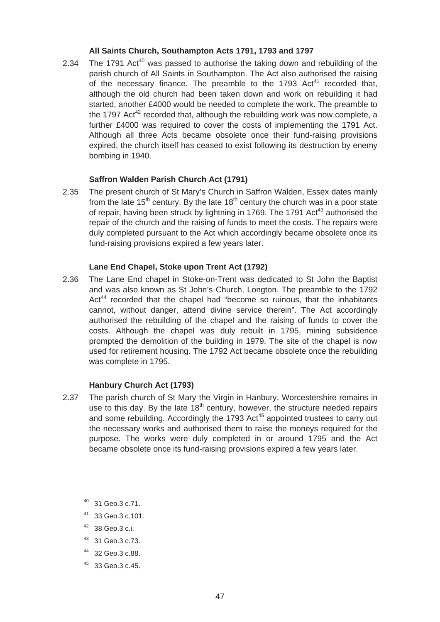## **All Saints Church, Southampton Acts 1791, 1793 and 1797**

2.34 The 1791 Act<sup>40</sup> was passed to authorise the taking down and rebuilding of the parish church of All Saints in Southampton. The Act also authorised the raising of the necessary finance. The preamble to the 1793  $Act<sup>41</sup>$  recorded that, although the old church had been taken down and work on rebuilding it had started, another £4000 would be needed to complete the work. The preamble to the 1797 Act<sup>42</sup> recorded that, although the rebuilding work was now complete, a further £4000 was required to cover the costs of implementing the 1791 Act. Although all three Acts became obsolete once their fund-raising provisions expired, the church itself has ceased to exist following its destruction by enemy bombing in 1940.

## **Saffron Walden Parish Church Act (1791)**

2.35 The present church of St Mary's Church in Saffron Walden, Essex dates mainly from the late  $15<sup>th</sup>$  century. By the late  $18<sup>th</sup>$  century the church was in a poor state of repair, having been struck by lightning in 1769. The 1791 Act<sup>43</sup> authorised the repair of the church and the raising of funds to meet the costs. The repairs were duly completed pursuant to the Act which accordingly became obsolete once its fund-raising provisions expired a few years later.

#### **Lane End Chapel, Stoke upon Trent Act (1792)**

2.36 The Lane End chapel in Stoke-on-Trent was dedicated to St John the Baptist and was also known as St John's Church, Longton. The preamble to the 1792 Act<sup>44</sup> recorded that the chapel had "become so ruinous, that the inhabitants cannot, without danger, attend divine service therein". The Act accordingly authorised the rebuilding of the chapel and the raising of funds to cover the costs. Although the chapel was duly rebuilt in 1795, mining subsidence prompted the demolition of the building in 1979. The site of the chapel is now used for retirement housing. The 1792 Act became obsolete once the rebuilding was complete in 1795.

#### **Hanbury Church Act (1793)**

- 2.37 The parish church of St Mary the Virgin in Hanbury, Worcestershire remains in use to this day. By the late  $18<sup>th</sup>$  century, however, the structure needed repairs and some rebuilding. Accordingly the 1793 Act<sup>45</sup> appointed trustees to carry out the necessary works and authorised them to raise the moneys required for the purpose. The works were duly completed in or around 1795 and the Act became obsolete once its fund-raising provisions expired a few years later.
	- 40 31 Geo.3 c.71.
	- 41 33 Geo.3 c.101.
	- 42 38 Geo.3 c.i.
	- 43 31 Geo.3 c.73.
	- 44 32 Geo.3 c.88.
	- $45$  33 Geo. 3 c. 45.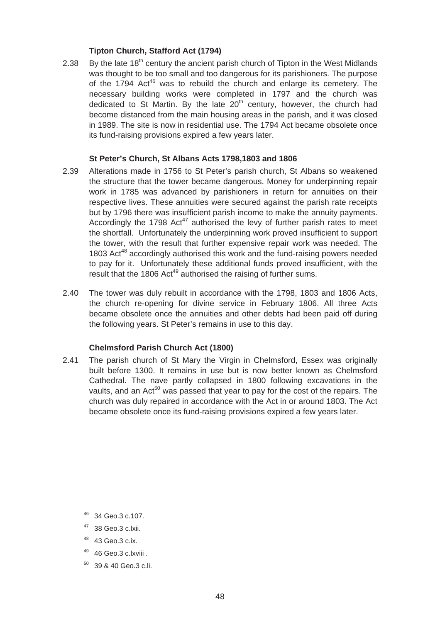# **Tipton Church, Stafford Act (1794)**

2.38 By the late  $18<sup>th</sup>$  century the ancient parish church of Tipton in the West Midlands was thought to be too small and too dangerous for its parishioners. The purpose of the 1794 Act<sup>46</sup> was to rebuild the church and enlarge its cemetery. The necessary building works were completed in 1797 and the church was dedicated to St Martin. By the late  $20<sup>th</sup>$  century, however, the church had become distanced from the main housing areas in the parish, and it was closed in 1989. The site is now in residential use. The 1794 Act became obsolete once its fund-raising provisions expired a few years later.

## **St Peter's Church, St Albans Acts 1798,1803 and 1806**

- 2.39 Alterations made in 1756 to St Peter's parish church, St Albans so weakened the structure that the tower became dangerous. Money for underpinning repair work in 1785 was advanced by parishioners in return for annuities on their respective lives. These annuities were secured against the parish rate receipts but by 1796 there was insufficient parish income to make the annuity payments. Accordingly the 1798  $Act^{47}$  authorised the levy of further parish rates to meet the shortfall. Unfortunately the underpinning work proved insufficient to support the tower, with the result that further expensive repair work was needed. The 1803 Act<sup>48</sup> accordingly authorised this work and the fund-raising powers needed to pay for it. Unfortunately these additional funds proved insufficient, with the result that the 1806 Act<sup>49</sup> authorised the raising of further sums.
- 2.40 The tower was duly rebuilt in accordance with the 1798, 1803 and 1806 Acts, the church re-opening for divine service in February 1806. All three Acts became obsolete once the annuities and other debts had been paid off during the following years. St Peter's remains in use to this day.

## **Chelmsford Parish Church Act (1800)**

2.41 The parish church of St Mary the Virgin in Chelmsford, Essex was originally built before 1300. It remains in use but is now better known as Chelmsford Cathedral. The nave partly collapsed in 1800 following excavations in the vaults, and an  $Act^{50}$  was passed that year to pay for the cost of the repairs. The church was duly repaired in accordance with the Act in or around 1803. The Act became obsolete once its fund-raising provisions expired a few years later.

- 49 46 Geo.3 c.lxviii .
- 50 39 & 40 Geo.3 c.li.

<sup>46 34</sup> Geo.3 c.107.

<sup>38</sup> Geo.3 c.lxii.

<sup>48 43</sup> Geo.3 c.ix.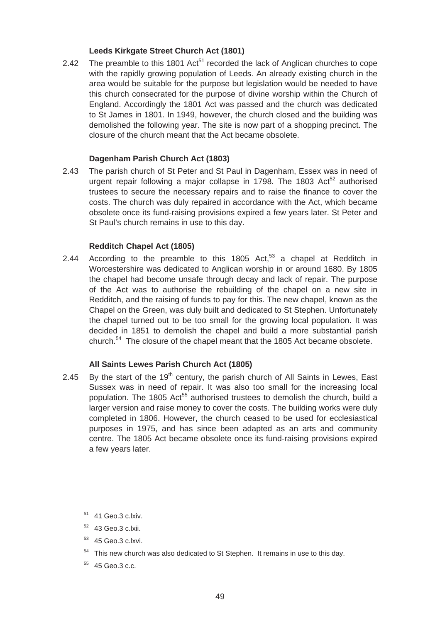# **Leeds Kirkgate Street Church Act (1801)**

2.42 The preamble to this 1801  $Act<sup>51</sup>$  recorded the lack of Anglican churches to cope with the rapidly growing population of Leeds. An already existing church in the area would be suitable for the purpose but legislation would be needed to have this church consecrated for the purpose of divine worship within the Church of England. Accordingly the 1801 Act was passed and the church was dedicated to St James in 1801. In 1949, however, the church closed and the building was demolished the following year. The site is now part of a shopping precinct. The closure of the church meant that the Act became obsolete.

## **Dagenham Parish Church Act (1803)**

2.43 The parish church of St Peter and St Paul in Dagenham, Essex was in need of urgent repair following a major collapse in 1798. The 1803  $Act^{52}$  authorised trustees to secure the necessary repairs and to raise the finance to cover the costs. The church was duly repaired in accordance with the Act, which became obsolete once its fund-raising provisions expired a few years later. St Peter and St Paul's church remains in use to this day.

# **Redditch Chapel Act (1805)**

2.44 According to the preamble to this 1805 Act, $53$  a chapel at Redditch in Worcestershire was dedicated to Anglican worship in or around 1680. By 1805 the chapel had become unsafe through decay and lack of repair. The purpose of the Act was to authorise the rebuilding of the chapel on a new site in Redditch, and the raising of funds to pay for this. The new chapel, known as the Chapel on the Green, was duly built and dedicated to St Stephen. Unfortunately the chapel turned out to be too small for the growing local population. It was decided in 1851 to demolish the chapel and build a more substantial parish church.<sup>54</sup> The closure of the chapel meant that the 1805 Act became obsolete.

# **All Saints Lewes Parish Church Act (1805)**

- 2.45 By the start of the 19<sup>th</sup> century, the parish church of All Saints in Lewes, East Sussex was in need of repair. It was also too small for the increasing local population. The 1805 Act<sup>55</sup> authorised trustees to demolish the church, build a larger version and raise money to cover the costs. The building works were duly completed in 1806. However, the church ceased to be used for ecclesiastical purposes in 1975, and has since been adapted as an arts and community centre. The 1805 Act became obsolete once its fund-raising provisions expired a few years later.
	- 51 41 Geo.3 c.lxiv.
	- 52 43 Geo.3 c.lxii.
	- 53 45 Geo.3 c.lxvi.
	- $54$  This new church was also dedicated to St Stephen. It remains in use to this day.
	- 55 45 Geo.3 c.c.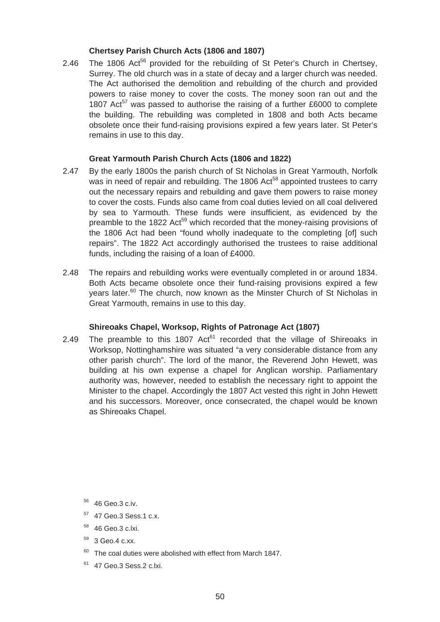# **Chertsey Parish Church Acts (1806 and 1807)**

2.46 The 1806 Act<sup>56</sup> provided for the rebuilding of St Peter's Church in Chertsey, Surrey. The old church was in a state of decay and a larger church was needed. The Act authorised the demolition and rebuilding of the church and provided powers to raise money to cover the costs. The money soon ran out and the 1807 Act<sup>57</sup> was passed to authorise the raising of a further £6000 to complete the building. The rebuilding was completed in 1808 and both Acts became obsolete once their fund-raising provisions expired a few years later. St Peter's remains in use to this day.

# **Great Yarmouth Parish Church Acts (1806 and 1822)**

- 2.47 By the early 1800s the parish church of St Nicholas in Great Yarmouth, Norfolk was in need of repair and rebuilding. The 1806 Act<sup>58</sup> appointed trustees to carry out the necessary repairs and rebuilding and gave them powers to raise money to cover the costs. Funds also came from coal duties levied on all coal delivered by sea to Yarmouth. These funds were insufficient, as evidenced by the preamble to the 1822 Act<sup>59</sup> which recorded that the money-raising provisions of the 1806 Act had been "found wholly inadequate to the completing [of] such repairs". The 1822 Act accordingly authorised the trustees to raise additional funds, including the raising of a loan of £4000.
- 2.48 The repairs and rebuilding works were eventually completed in or around 1834. Both Acts became obsolete once their fund-raising provisions expired a few years later.<sup>60</sup> The church, now known as the Minster Church of St Nicholas in Great Yarmouth, remains in use to this day.

# **Shireoaks Chapel, Worksop, Rights of Patronage Act (1807)**

2.49 The preamble to this 1807  $Act<sup>61</sup>$  recorded that the village of Shireoaks in Worksop, Nottinghamshire was situated "a very considerable distance from any other parish church". The lord of the manor, the Reverend John Hewett, was building at his own expense a chapel for Anglican worship. Parliamentary authority was, however, needed to establish the necessary right to appoint the Minister to the chapel. Accordingly the 1807 Act vested this right in John Hewett and his successors. Moreover, once consecrated, the chapel would be known as Shireoaks Chapel.

- 57 47 Geo.3 Sess.1 c.x.
- 58 46 Geo.3 c.lxi.
- 59 3 Geo.4 c.xx.
- $60$  The coal duties were abolished with effect from March 1847.
- 61 47 Geo.3 Sess.2 c.lxi.

<sup>56 46</sup> Geo.3 c.iv.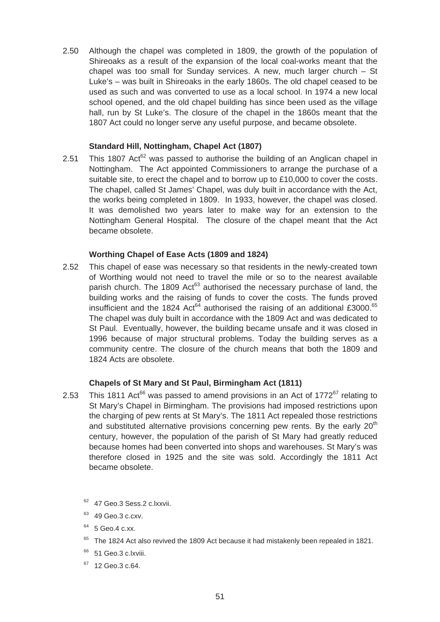2.50 Although the chapel was completed in 1809, the growth of the population of Shireoaks as a result of the expansion of the local coal-works meant that the chapel was too small for Sunday services. A new, much larger church – St Luke's – was built in Shireoaks in the early 1860s. The old chapel ceased to be used as such and was converted to use as a local school. In 1974 a new local school opened, and the old chapel building has since been used as the village hall, run by St Luke's. The closure of the chapel in the 1860s meant that the 1807 Act could no longer serve any useful purpose, and became obsolete.

# **Standard Hill, Nottingham, Chapel Act (1807)**

suitable site, to erect the chapel and to borrow up to £10,000 to cover the costs. 2.51 This 1807 Act<sup>62</sup> was passed to authorise the building of an Anglican chapel in Nottingham. The Act appointed Commissioners to arrange the purchase of a The chapel, called St James' Chapel, was duly built in accordance with the Act, the works being completed in 1809. In 1933, however, the chapel was closed. It was demolished two years later to make way for an extension to the Nottingham General Hospital. The closure of the chapel meant that the Act became obsolete.

## **Worthing Chapel of Ease Acts (1809 and 1824)**

2.52 This chapel of ease was necessary so that residents in the newly-created town of Worthing would not need to travel the mile or so to the nearest available parish church. The 1809 Act<sup>63</sup> authorised the necessary purchase of land, the building works and the raising of funds to cover the costs. The funds proved insufficient and the 1824 Act<sup>64</sup> authorised the raising of an additional £3000.<sup>65</sup> The chapel was duly built in accordance with the 1809 Act and was dedicated to St Paul. Eventually, however, the building became unsafe and it was closed in 1996 because of major structural problems. Today the building serves as a community centre. The closure of the church means that both the 1809 and 1824 Acts are obsolete.

## **Chapels of St Mary and St Paul, Birmingham Act (1811)**

- 2.53 This 1811 Act<sup>66</sup> was passed to amend provisions in an Act of 1772<sup>67</sup> relating to St Mary's Chapel in Birmingham. The provisions had imposed restrictions upon the charging of pew rents at St Mary's. The 1811 Act repealed those restrictions and substituted alternative provisions concerning pew rents. By the early  $20<sup>th</sup>$ century, however, the population of the parish of St Mary had greatly reduced because homes had been converted into shops and warehouses. St Mary's was therefore closed in 1925 and the site was sold. Accordingly the 1811 Act became obsolete.
	- <sup>62</sup> 47 Geo.3 Sess.2 c.lxxvii.
	- <sup>63</sup> 49 Geo.3 c.cxv.
	- <sup>64</sup> 5 Geo.4 c.xx.
	- <sup>65</sup> The 1824 Act also revived the 1809 Act because it had mistakenly been repealed in 1821.
	- <sup>66</sup> 51 Geo.3 c.lxviii.
	- $67$  12 Geo. 3 c. 64.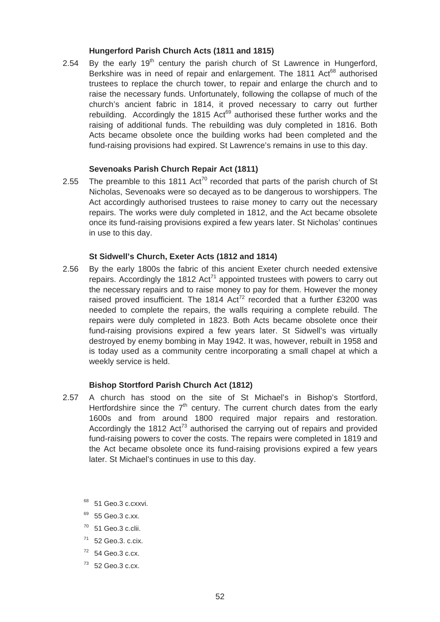#### **Hungerford Parish Church Acts (1811 and 1815)**

2.54 By the early  $19<sup>th</sup>$  century the parish church of St Lawrence in Hungerford, Berkshire was in need of repair and enlargement. The 1811 Act<sup>68</sup> authorised trustees to replace the church tower, to repair and enlarge the church and to raise the necessary funds. Unfortunately, following the collapse of much of the church's ancient fabric in 1814, it proved necessary to carry out further rebuilding. Accordingly the 1815 Act<sup>69</sup> authorised these further works and the raising of additional funds. The rebuilding was duly completed in 1816. Both Acts became obsolete once the building works had been completed and the fund-raising provisions had expired. St Lawrence's remains in use to this day.

# **Sevenoaks Parish Church Repair Act (1811)**

2.55 The preamble to this 1811 Act<sup>70</sup> recorded that parts of the parish church of St Nicholas, Sevenoaks were so decayed as to be dangerous to worshippers. The Act accordingly authorised trustees to raise money to carry out the necessary repairs. The works were duly completed in 1812, and the Act became obsolete once its fund-raising provisions expired a few years later. St Nicholas' continues in use to this day.

#### **St Sidwell's Church, Exeter Acts (1812 and 1814)**

2.56 By the early 1800s the fabric of this ancient Exeter church needed extensive repairs. Accordingly the 1812  $Act^{71}$  appointed trustees with powers to carry out the necessary repairs and to raise money to pay for them. However the money raised proved insufficient. The 1814  $Act^{72}$  recorded that a further £3200 was needed to complete the repairs, the walls requiring a complete rebuild. The repairs were duly completed in 1823. Both Acts became obsolete once their fund-raising provisions expired a few years later. St Sidwell's was virtually destroyed by enemy bombing in May 1942. It was, however, rebuilt in 1958 and is today used as a community centre incorporating a small chapel at which a weekly service is held.

## **Bishop Stortford Parish Church Act (1812)**

- 2.57 A church has stood on the site of St Michael's in Bishop's Stortford, Hertfordshire since the  $7<sup>th</sup>$  century. The current church dates from the early 1600s and from around 1800 required major repairs and restoration. Accordingly the 1812 Act<sup>73</sup> authorised the carrying out of repairs and provided fund-raising powers to cover the costs. The repairs were completed in 1819 and the Act became obsolete once its fund-raising provisions expired a few years later. St Michael's continues in use to this day.
	- 68 51 Geo.3 c.cxxvi.
	- 55 Geo.3 c.xx.
	- $70$  51 Geo.3 c.clii.
	- $71$  52 Geo.3. c.cix.
	- $72$  54 Geo.3 c.cx.
	- $73$  52 Geo.3 c.cx.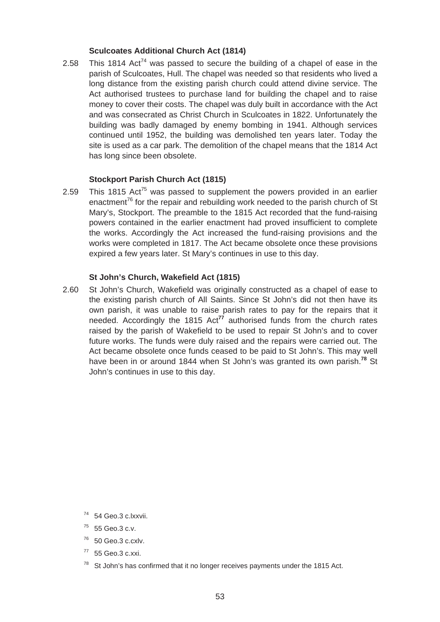## **Sculcoates Additional Church Act (1814)**

2.58 This 1814 Act<sup>74</sup> was passed to secure the building of a chapel of ease in the parish of Sculcoates, Hull. The chapel was needed so that residents who lived a long distance from the existing parish church could attend divine service. The Act authorised trustees to purchase land for building the chapel and to raise money to cover their costs. The chapel was duly built in accordance with the Act and was consecrated as Christ Church in Sculcoates in 1822. Unfortunately the building was badly damaged by enemy bombing in 1941. Although services continued until 1952, the building was demolished ten years later. Today the site is used as a car park. The demolition of the chapel means that the 1814 Act has long since been obsolete.

#### **Stockport Parish Church Act (1815)**

2.59 This 1815 Act<sup>75</sup> was passed to supplement the powers provided in an earlier enactment<sup>76</sup> for the repair and rebuilding work needed to the parish church of St Mary's, Stockport. The preamble to the 1815 Act recorded that the fund-raising powers contained in the earlier enactment had proved insufficient to complete the works. Accordingly the Act increased the fund-raising provisions and the works were completed in 1817. The Act became obsolete once these provisions expired a few years later. St Mary's continues in use to this day.

#### **St John's Church, Wakefield Act (1815)**

2.60 St John's Church, Wakefield was originally constructed as a chapel of ease to the existing parish church of All Saints. Since St John's did not then have its own parish, it was unable to raise parish rates to pay for the repairs that it needed. Accordingly the 1815 Act**<sup>77</sup>** authorised funds from the church rates raised by the parish of Wakefield to be used to repair St John's and to cover future works. The funds were duly raised and the repairs were carried out. The Act became obsolete once funds ceased to be paid to St John's. This may well have been in or around 1844 when St John's was granted its own parish.**<sup>78</sup>** St John's continues in use to this day.

<sup>74 54</sup> Geo.3 c.lxxvii.

<sup>75 55</sup> Geo.3 c.v.

 $76$  50 Geo.3 c.cxlv.

 $77$  55 Geo.3 c.xxi.

 $78$  St John's has confirmed that it no longer receives payments under the 1815 Act.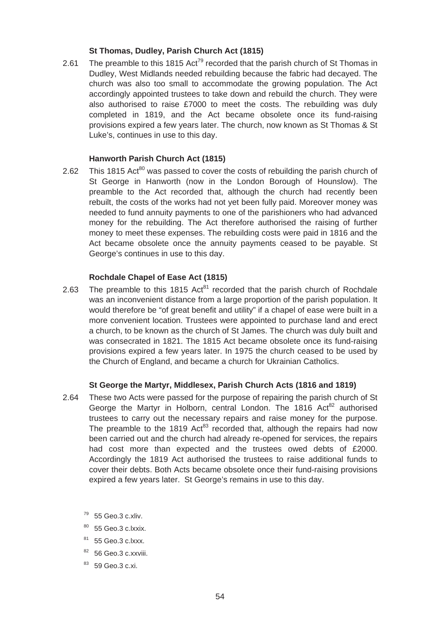## **St Thomas, Dudley, Parish Church Act (1815)**

2.61 The preamble to this 1815  $Act^{79}$  recorded that the parish church of St Thomas in Dudley, West Midlands needed rebuilding because the fabric had decayed. The church was also too small to accommodate the growing population. The Act accordingly appointed trustees to take down and rebuild the church. They were also authorised to raise £7000 to meet the costs. The rebuilding was duly completed in 1819, and the Act became obsolete once its fund-raising provisions expired a few years later. The church, now known as St Thomas & St Luke's, continues in use to this day.

# **Hanworth Parish Church Act (1815)**

2.62 This 1815 Act<sup>80</sup> was passed to cover the costs of rebuilding the parish church of St George in Hanworth (now in the London Borough of Hounslow). The preamble to the Act recorded that, although the church had recently been rebuilt, the costs of the works had not yet been fully paid. Moreover money was needed to fund annuity payments to one of the parishioners who had advanced money for the rebuilding. The Act therefore authorised the raising of further money to meet these expenses. The rebuilding costs were paid in 1816 and the Act became obsolete once the annuity payments ceased to be payable. St George's continues in use to this day.

#### **Rochdale Chapel of Ease Act (1815)**

2.63 The preamble to this 1815 Act<sup>81</sup> recorded that the parish church of Rochdale was an inconvenient distance from a large proportion of the parish population. It would therefore be "of great benefit and utility" if a chapel of ease were built in a more convenient location. Trustees were appointed to purchase land and erect a church, to be known as the church of St James. The church was duly built and was consecrated in 1821. The 1815 Act became obsolete once its fund-raising provisions expired a few years later. In 1975 the church ceased to be used by the Church of England, and became a church for Ukrainian Catholics.

#### **St George the Martyr, Middlesex, Parish Church Acts (1816 and 1819)**

- 2.64 These two Acts were passed for the purpose of repairing the parish church of St George the Martyr in Holborn, central London. The 1816 Act<sup>82</sup> authorised trustees to carry out the necessary repairs and raise money for the purpose. The preamble to the 1819 Act<sup>83</sup> recorded that, although the repairs had now been carried out and the church had already re-opened for services, the repairs had cost more than expected and the trustees owed debts of £2000. Accordingly the 1819 Act authorised the trustees to raise additional funds to cover their debts. Both Acts became obsolete once their fund-raising provisions expired a few years later. St George's remains in use to this day.
	- $79$  55 Geo.3 c.xliv.
	- 80 55 Geo.3 c.lxxix.
	- 81 55 Geo.3 c.lxxx.
	- $82$  56 Geo.3 c.xxviii.
	- 83 59 Geo. 3 c. xi.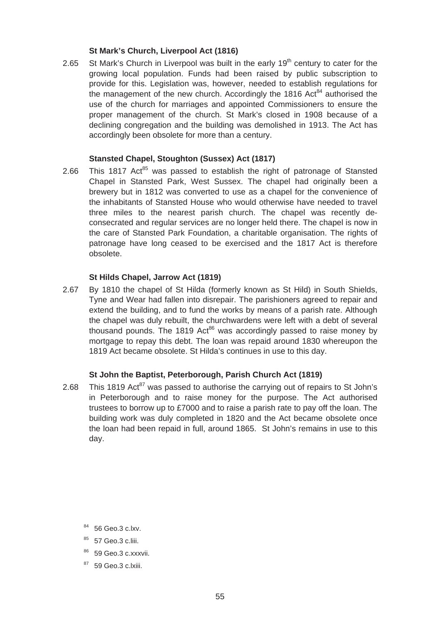## **St Mark's Church, Liverpool Act (1816)**

2.65  $\,$  St Mark's Church in Liverpool was built in the early 19<sup>th</sup> century to cater for the growing local population. Funds had been raised by public subscription to provide for this. Legislation was, however, needed to establish regulations for the management of the new church. Accordingly the 1816 Act<sup>84</sup> authorised the use of the church for marriages and appointed Commissioners to ensure the proper management of the church. St Mark's closed in 1908 because of a declining congregation and the building was demolished in 1913. The Act has accordingly been obsolete for more than a century.

# **Stansted Chapel, Stoughton (Sussex) Act (1817)**

 Chapel in Stansted Park, West Sussex. The chapel had originally been a 2.66 This 1817 Act<sup>85</sup> was passed to establish the right of patronage of Stansted brewery but in 1812 was converted to use as a chapel for the convenience of the inhabitants of Stansted House who would otherwise have needed to travel three miles to the nearest parish church. The chapel was recently deconsecrated and regular services are no longer held there. The chapel is now in the care of Stansted Park Foundation, a charitable organisation. The rights of patronage have long ceased to be exercised and the 1817 Act is therefore obsolete.

#### **St Hilds Chapel, Jarrow Act (1819)**

2.67 By 1810 the chapel of St Hilda (formerly known as St Hild) in South Shields, Tyne and Wear had fallen into disrepair. The parishioners agreed to repair and extend the building, and to fund the works by means of a parish rate. Although the chapel was duly rebuilt, the churchwardens were left with a debt of several thousand pounds. The 1819  $Act^{86}$  was accordingly passed to raise money by mortgage to repay this debt. The loan was repaid around 1830 whereupon the 1819 Act became obsolete. St Hilda's continues in use to this day.

## **St John the Baptist, Peterborough, Parish Church Act (1819)**

2.68 This 1819 Act<sup>87</sup> was passed to authorise the carrying out of repairs to St John's in Peterborough and to raise money for the purpose. The Act authorised trustees to borrow up to £7000 and to raise a parish rate to pay off the loan. The building work was duly completed in 1820 and the Act became obsolete once the loan had been repaid in full, around 1865. St John's remains in use to this day.

- 84 56 Geo.3 c.lxv.
- 85 57 Geo.3 c.liii.
- 59 Geo.3 c.xxxvii.
- <sup>87</sup> 59 Geo.3 c.lxiii.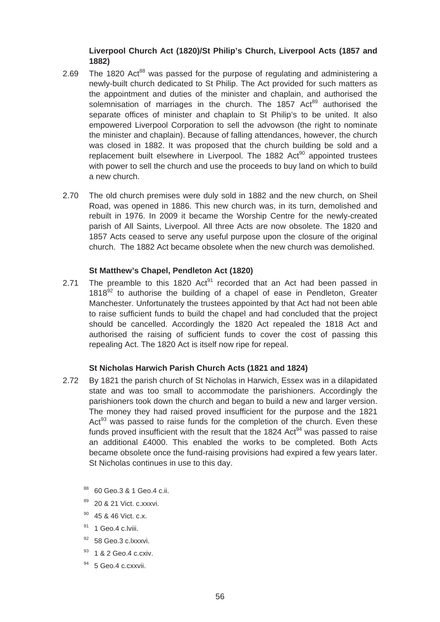# **Liverpool Church Act (1820)/St Philip's Church, Liverpool Acts (1857 and 1882)**

- 2.69 The 1820 Act<sup>88</sup> was passed for the purpose of regulating and administering a newly-built church dedicated to St Philip. The Act provided for such matters as the appointment and duties of the minister and chaplain, and authorised the solemnisation of marriages in the church. The 1857 Act<sup>89</sup> authorised the separate offices of minister and chaplain to St Philip's to be united. It also empowered Liverpool Corporation to sell the advowson (the right to nominate the minister and chaplain). Because of falling attendances, however, the church was closed in 1882. It was proposed that the church building be sold and a replacement built elsewhere in Liverpool. The 1882 Act<sup>90</sup> appointed trustees with power to sell the church and use the proceeds to buy land on which to build a new church.
- 2.70 The old church premises were duly sold in 1882 and the new church, on Sheil Road, was opened in 1886. This new church was, in its turn, demolished and rebuilt in 1976. In 2009 it became the Worship Centre for the newly-created parish of All Saints, Liverpool. All three Acts are now obsolete. The 1820 and 1857 Acts ceased to serve any useful purpose upon the closure of the original church. The 1882 Act became obsolete when the new church was demolished.

# **St Matthew's Chapel, Pendleton Act (1820)**

2.71 The preamble to this 1820 Act<sup>91</sup> recorded that an Act had been passed in  $1818<sup>92</sup>$  to authorise the building of a chapel of ease in Pendleton, Greater Manchester. Unfortunately the trustees appointed by that Act had not been able to raise sufficient funds to build the chapel and had concluded that the project should be cancelled. Accordingly the 1820 Act repealed the 1818 Act and authorised the raising of sufficient funds to cover the cost of passing this repealing Act. The 1820 Act is itself now ripe for repeal.

## **St Nicholas Harwich Parish Church Acts (1821 and 1824)**

- 2.72 By 1821 the parish church of St Nicholas in Harwich, Essex was in a dilapidated state and was too small to accommodate the parishioners. Accordingly the parishioners took down the church and began to build a new and larger version. The money they had raised proved insufficient for the purpose and the 1821 Act<sup>93</sup> was passed to raise funds for the completion of the church. Even these funds proved insufficient with the result that the 1824 Act<sup>94</sup> was passed to raise an additional £4000. This enabled the works to be completed. Both Acts became obsolete once the fund-raising provisions had expired a few years later. St Nicholas continues in use to this day.
	- 88 60 Geo.3 & 1 Geo.4 c.ii.
	- <sup>89</sup> 20 & 21 Vict. c.xxxvi.
	- $90$  45 & 46 Vict. c.x.
	- <sup>91</sup> 1 Geo.4 c.lviii.
	- <sup>92</sup> 58 Geo.3 c.lxxxvi.
	- 93 1 & 2 Geo.4 c.cxiv.
	- <sup>94</sup> 5 Geo.4 c.cxxvii.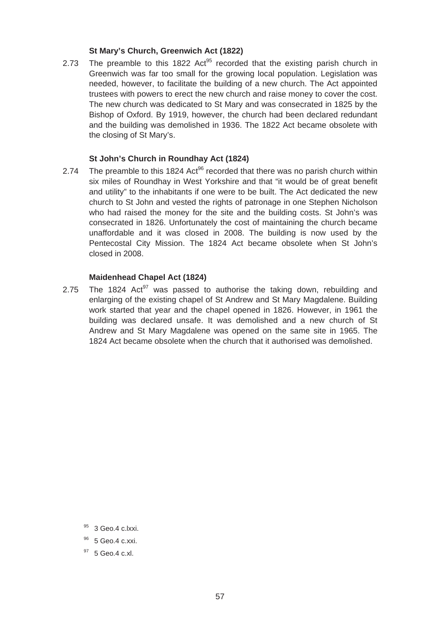## **St Mary's Church, Greenwich Act (1822)**

trustees with powers to erect the new church and raise money to cover the cost. 2.73 The preamble to this 1822  $Act^{95}$  recorded that the existing parish church in Greenwich was far too small for the growing local population. Legislation was needed, however, to facilitate the building of a new church. The Act appointed The new church was dedicated to St Mary and was consecrated in 1825 by the Bishop of Oxford. By 1919, however, the church had been declared redundant and the building was demolished in 1936. The 1822 Act became obsolete with the closing of St Mary's.

## **St John's Church in Roundhay Act (1824)**

2.74 The preamble to this 1824 Act<sup>96</sup> recorded that there was no parish church within six miles of Roundhay in West Yorkshire and that "it would be of great benefit and utility" to the inhabitants if one were to be built. The Act dedicated the new church to St John and vested the rights of patronage in one Stephen Nicholson who had raised the money for the site and the building costs. St John's was consecrated in 1826. Unfortunately the cost of maintaining the church became unaffordable and it was closed in 2008. The building is now used by the Pentecostal City Mission. The 1824 Act became obsolete when St John's closed in 2008.

#### **Maidenhead Chapel Act (1824)**

2.75 The 1824  $Act^{97}$  was passed to authorise the taking down, rebuilding and enlarging of the existing chapel of St Andrew and St Mary Magdalene. Building work started that year and the chapel opened in 1826. However, in 1961 the building was declared unsafe. It was demolished and a new church of St Andrew and St Mary Magdalene was opened on the same site in 1965. The 1824 Act became obsolete when the church that it authorised was demolished.

<sup>97</sup> 5 Geo.4 c.xl.

<sup>95 3</sup> Geo.4 c.lxxi.

<sup>&</sup>lt;sup>96</sup> 5 Geo.4 c.xxi.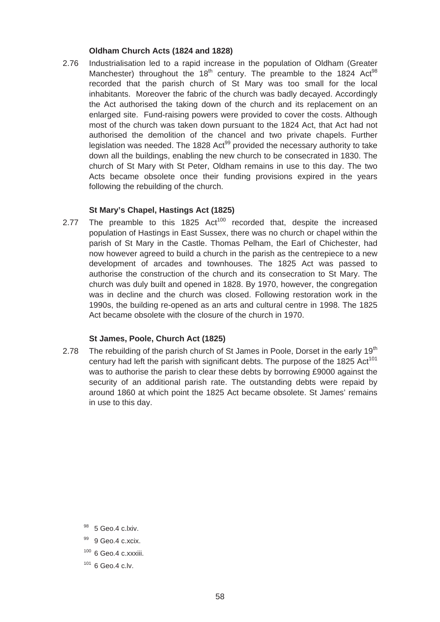## **Oldham Church Acts (1824 and 1828)**

2.76 Industrialisation led to a rapid increase in the population of Oldham (Greater Manchester) throughout the  $18<sup>th</sup>$  century. The preamble to the 1824 Act<sup>98</sup> recorded that the parish church of St Mary was too small for the local inhabitants. Moreover the fabric of the church was badly decayed. Accordingly the Act authorised the taking down of the church and its replacement on an enlarged site. Fund-raising powers were provided to cover the costs. Although most of the church was taken down pursuant to the 1824 Act, that Act had not authorised the demolition of the chancel and two private chapels. Further legislation was needed. The 1828 Act<sup>99</sup> provided the necessary authority to take down all the buildings, enabling the new church to be consecrated in 1830. The church of St Mary with St Peter, Oldham remains in use to this day. The two Acts became obsolete once their funding provisions expired in the years following the rebuilding of the church.

# **St Mary's Chapel, Hastings Act (1825)**

2.77 The preamble to this 1825  $Act^{100}$  recorded that, despite the increased population of Hastings in East Sussex, there was no church or chapel within the parish of St Mary in the Castle. Thomas Pelham, the Earl of Chichester, had now however agreed to build a church in the parish as the centrepiece to a new development of arcades and townhouses. The 1825 Act was passed to authorise the construction of the church and its consecration to St Mary. The church was duly built and opened in 1828. By 1970, however, the congregation was in decline and the church was closed. Following restoration work in the 1990s, the building re-opened as an arts and cultural centre in 1998. The 1825 Act became obsolete with the closure of the church in 1970.

# **St James, Poole, Church Act (1825)**

2.78 The rebuilding of the parish church of St James in Poole, Dorset in the early 19<sup>th</sup> century had left the parish with significant debts. The purpose of the 1825 Act<sup>101</sup> was to authorise the parish to clear these debts by borrowing £9000 against the security of an additional parish rate. The outstanding debts were repaid by around 1860 at which point the 1825 Act became obsolete. St James' remains in use to this day.

- $100$  6 Geo.4 c.xxxiii.
- $1016$  Geo. 4 c.lv.

<sup>98 5</sup> Geo.4 c.lxiv.

<sup>99 9</sup> Geo.4 c.xcix.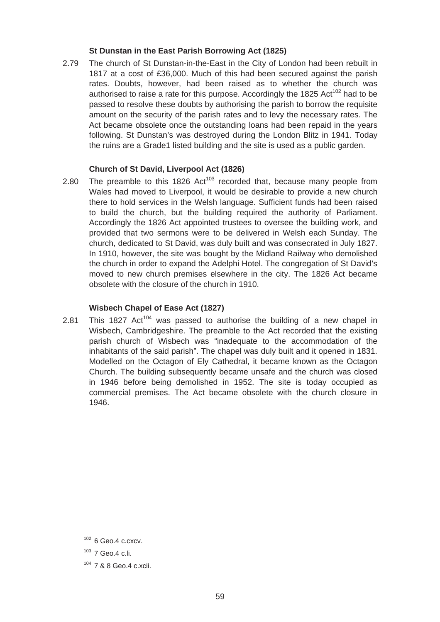#### **St Dunstan in the East Parish Borrowing Act (1825)**

2.79 The church of St Dunstan-in-the-East in the City of London had been rebuilt in 1817 at a cost of £36,000. Much of this had been secured against the parish rates. Doubts, however, had been raised as to whether the church was authorised to raise a rate for this purpose. Accordingly the 1825 Act<sup>102</sup> had to be passed to resolve these doubts by authorising the parish to borrow the requisite amount on the security of the parish rates and to levy the necessary rates. The Act became obsolete once the outstanding loans had been repaid in the years following. St Dunstan's was destroyed during the London Blitz in 1941. Today the ruins are a Grade1 listed building and the site is used as a public garden.

#### **Church of St David, Liverpool Act (1826)**

2.80 The preamble to this 1826  $Act^{103}$  recorded that, because many people from Wales had moved to Liverpool, it would be desirable to provide a new church there to hold services in the Welsh language. Sufficient funds had been raised to build the church, but the building required the authority of Parliament. Accordingly the 1826 Act appointed trustees to oversee the building work, and provided that two sermons were to be delivered in Welsh each Sunday. The church, dedicated to St David, was duly built and was consecrated in July 1827. In 1910, however, the site was bought by the Midland Railway who demolished the church in order to expand the Adelphi Hotel. The congregation of St David's moved to new church premises elsewhere in the city. The 1826 Act became obsolete with the closure of the church in 1910.

#### **Wisbech Chapel of Ease Act (1827)**

2.81 This 1827  $Act^{104}$  was passed to authorise the building of a new chapel in Wisbech, Cambridgeshire. The preamble to the Act recorded that the existing parish church of Wisbech was "inadequate to the accommodation of the inhabitants of the said parish". The chapel was duly built and it opened in 1831. Modelled on the Octagon of Ely Cathedral, it became known as the Octagon Church. The building subsequently became unsafe and the church was closed in 1946 before being demolished in 1952. The site is today occupied as commercial premises. The Act became obsolete with the church closure in 1946.

 $102$  6 Geo. 4 c.cxcv.

<sup>103 7</sup> Geo.4 c.li.

<sup>104 7 &</sup>amp; 8 Geo.4 c.xcii.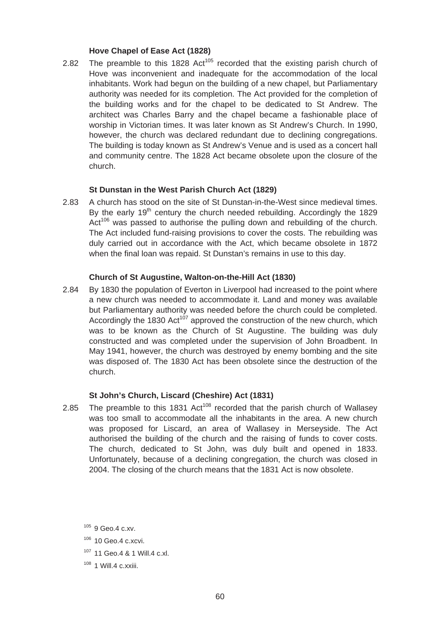#### **Hove Chapel of Ease Act (1828)**

2.82 The preamble to this 1828 Act<sup>105</sup> recorded that the existing parish church of Hove was inconvenient and inadequate for the accommodation of the local inhabitants. Work had begun on the building of a new chapel, but Parliamentary authority was needed for its completion. The Act provided for the completion of the building works and for the chapel to be dedicated to St Andrew. The architect was Charles Barry and the chapel became a fashionable place of worship in Victorian times. It was later known as St Andrew's Church. In 1990, however, the church was declared redundant due to declining congregations. The building is today known as St Andrew's Venue and is used as a concert hall and community centre. The 1828 Act became obsolete upon the closure of the church.

#### **St Dunstan in the West Parish Church Act (1829)**

 $Act^{106}$  was passed to authorise the pulling down and rebuilding of the church. 2.83 A church has stood on the site of St Dunstan-in-the-West since medieval times. By the early  $19<sup>th</sup>$  century the church needed rebuilding. Accordingly the 1829 The Act included fund-raising provisions to cover the costs. The rebuilding was duly carried out in accordance with the Act, which became obsolete in 1872 when the final loan was repaid. St Dunstan's remains in use to this day.

#### **Church of St Augustine, Walton-on-the-Hill Act (1830)**

2.84 By 1830 the population of Everton in Liverpool had increased to the point where a new church was needed to accommodate it. Land and money was available but Parliamentary authority was needed before the church could be completed. Accordingly the 1830 Act<sup>107</sup> approved the construction of the new church, which was to be known as the Church of St Augustine. The building was duly constructed and was completed under the supervision of John Broadbent. In May 1941, however, the church was destroyed by enemy bombing and the site was disposed of. The 1830 Act has been obsolete since the destruction of the church.

## **St John's Church, Liscard (Cheshire) Act (1831)**

The church, dedicated to St John, was duly built and opened in 1833. 2.85 The preamble to this 1831 Act<sup>108</sup> recorded that the parish church of Wallasey was too small to accommodate all the inhabitants in the area. A new church was proposed for Liscard, an area of Wallasey in Merseyside. The Act authorised the building of the church and the raising of funds to cover costs. Unfortunately, because of a declining congregation, the church was closed in 2004. The closing of the church means that the 1831 Act is now obsolete.

105 9 Geo.4 c.xv.

- 107 11 Geo.4 & 1 Will.4 c.xl.
- $108$  1 Will.4 c.xxiii.

<sup>106 10</sup> Geo.4 c.xcvi.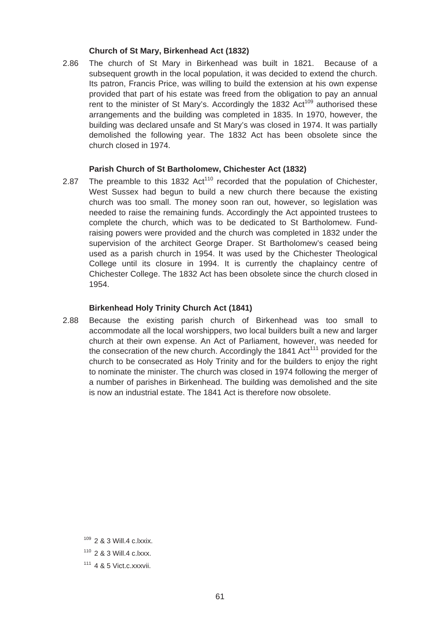#### **Church of St Mary, Birkenhead Act (1832)**

2.86 The church of St Mary in Birkenhead was built in 1821. Because of a subsequent growth in the local population, it was decided to extend the church. Its patron, Francis Price, was willing to build the extension at his own expense provided that part of his estate was freed from the obligation to pay an annual rent to the minister of St Mary's. Accordingly the 1832  $Act^{109}$  authorised these arrangements and the building was completed in 1835. In 1970, however, the building was declared unsafe and St Mary's was closed in 1974. It was partially demolished the following year. The 1832 Act has been obsolete since the church closed in 1974.

# **Parish Church of St Bartholomew, Chichester Act (1832)**

2.87 The preamble to this 1832  $Act^{110}$  recorded that the population of Chichester, West Sussex had begun to build a new church there because the existing church was too small. The money soon ran out, however, so legislation was needed to raise the remaining funds. Accordingly the Act appointed trustees to complete the church, which was to be dedicated to St Bartholomew. Fundraising powers were provided and the church was completed in 1832 under the supervision of the architect George Draper. St Bartholomew's ceased being used as a parish church in 1954. It was used by the Chichester Theological College until its closure in 1994. It is currently the chaplaincy centre of Chichester College. The 1832 Act has been obsolete since the church closed in 1954.

#### **Birkenhead Holy Trinity Church Act (1841)**

2.88 Because the existing parish church of Birkenhead was too small to accommodate all the local worshippers, two local builders built a new and larger church at their own expense. An Act of Parliament, however, was needed for the consecration of the new church. Accordingly the 1841  $Act^{111}$  provided for the church to be consecrated as Holy Trinity and for the builders to enjoy the right to nominate the minister. The church was closed in 1974 following the merger of a number of parishes in Birkenhead. The building was demolished and the site is now an industrial estate. The 1841 Act is therefore now obsolete.

 $109$  2 & 3 Will.4 c.lxxix.

<sup>110 2 &</sup>amp; 3 Will.4 c.lxxx.

 $111$  4 & 5 Vict.c.xxxvii.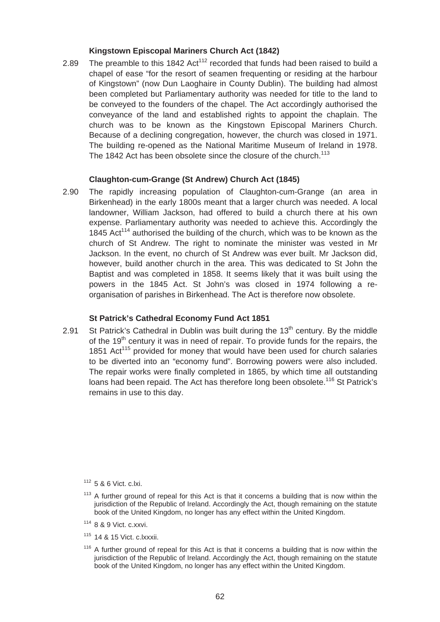#### **Kingstown Episcopal Mariners Church Act (1842)**

church was to be known as the Kingstown Episcopal Mariners Church. 2.89 The preamble to this 1842  $Act^{112}$  recorded that funds had been raised to build a chapel of ease "for the resort of seamen frequenting or residing at the harbour of Kingstown" (now Dun Laoghaire in County Dublin). The building had almost been completed but Parliamentary authority was needed for title to the land to be conveyed to the founders of the chapel. The Act accordingly authorised the conveyance of the land and established rights to appoint the chaplain. The Because of a declining congregation, however, the church was closed in 1971. The building re-opened as the National Maritime Museum of Ireland in 1978. The 1842 Act has been obsolete since the closure of the church.<sup>113</sup>

#### **Claughton-cum-Grange (St Andrew) Church Act (1845)**

2.90 The rapidly increasing population of Claughton-cum-Grange (an area in Birkenhead) in the early 1800s meant that a larger church was needed. A local landowner, William Jackson, had offered to build a church there at his own expense. Parliamentary authority was needed to achieve this. Accordingly the 1845 Act<sup>114</sup> authorised the building of the church, which was to be known as the church of St Andrew. The right to nominate the minister was vested in Mr Jackson. In the event, no church of St Andrew was ever built. Mr Jackson did, however, build another church in the area. This was dedicated to St John the Baptist and was completed in 1858. It seems likely that it was built using the powers in the 1845 Act. St John's was closed in 1974 following a reorganisation of parishes in Birkenhead. The Act is therefore now obsolete.

#### **St Patrick's Cathedral Economy Fund Act 1851**

2.91 St Patrick's Cathedral in Dublin was built during the  $13<sup>th</sup>$  century. By the middle of the 19<sup>th</sup> century it was in need of repair. To provide funds for the repairs, the 1851 Act<sup>115</sup> provided for money that would have been used for church salaries to be diverted into an "economy fund". Borrowing powers were also included. The repair works were finally completed in 1865, by which time all outstanding loans had been repaid. The Act has therefore long been obsolete.<sup>116</sup> St Patrick's remains in use to this day.

 $116$  A further ground of repeal for this Act is that it concerns a building that is now within the jurisdiction of the Republic of Ireland. Accordingly the Act, though remaining on the statute book of the United Kingdom, no longer has any effect within the United Kingdom.

 $112$  5 & 6 Vict. c.lxi.

 $113$  A further ground of repeal for this Act is that it concerns a building that is now within the jurisdiction of the Republic of Ireland. Accordingly the Act, though remaining on the statute book of the United Kingdom, no longer has any effect within the United Kingdom.

<sup>114 8 &</sup>amp; 9 Vict. c.xxvi.

 $115$  14 & 15 Vict. c. xxxii.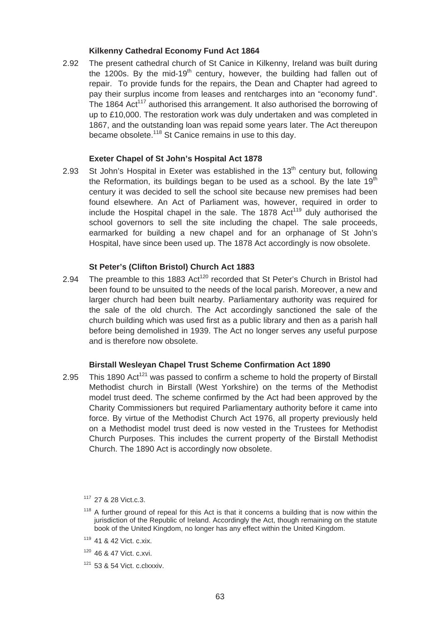#### **Kilkenny Cathedral Economy Fund Act 1864**

2.92 The present cathedral church of St Canice in Kilkenny, Ireland was built during the 1200s. By the mid-19<sup>th</sup> century, however, the building had fallen out of repair. To provide funds for the repairs, the Dean and Chapter had agreed to pay their surplus income from leases and rentcharges into an "economy fund". The 1864 Act<sup>117</sup> authorised this arrangement. It also authorised the borrowing of up to £10,000. The restoration work was duly undertaken and was completed in 1867, and the outstanding loan was repaid some years later. The Act thereupon became obsolete.<sup>118</sup> St Canice remains in use to this day.

#### **Exeter Chapel of St John's Hospital Act 1878**

2.93  $\,$  St John's Hospital in Exeter was established in the 13<sup>th</sup> century but, following the Reformation, its buildings began to be used as a school. By the late  $19<sup>th</sup>$ century it was decided to sell the school site because new premises had been found elsewhere. An Act of Parliament was, however, required in order to include the Hospital chapel in the sale. The 1878  $Act^{119}$  duly authorised the school governors to sell the site including the chapel. The sale proceeds, earmarked for building a new chapel and for an orphanage of St John's Hospital, have since been used up. The 1878 Act accordingly is now obsolete.

## **St Peter's (Clifton Bristol) Church Act 1883**

2.94 The preamble to this 1883 Act<sup>120</sup> recorded that St Peter's Church in Bristol had been found to be unsuited to the needs of the local parish. Moreover, a new and larger church had been built nearby. Parliamentary authority was required for the sale of the old church. The Act accordingly sanctioned the sale of the church building which was used first as a public library and then as a parish hall before being demolished in 1939. The Act no longer serves any useful purpose and is therefore now obsolete.

#### **Birstall Wesleyan Chapel Trust Scheme Confirmation Act 1890**

2.95 This 1890 Act<sup>121</sup> was passed to confirm a scheme to hold the property of Birstall Methodist church in Birstall (West Yorkshire) on the terms of the Methodist model trust deed. The scheme confirmed by the Act had been approved by the Charity Commissioners but required Parliamentary authority before it came into force. By virtue of the Methodist Church Act 1976, all property previously held on a Methodist model trust deed is now vested in the Trustees for Methodist Church Purposes. This includes the current property of the Birstall Methodist Church. The 1890 Act is accordingly now obsolete.

 $121$  53 & 54 Vict. c.clxxxiv.

 $117$  27 & 28 Vict c.3.

 $118$  A further ground of repeal for this Act is that it concerns a building that is now within the jurisdiction of the Republic of Ireland. Accordingly the Act, though remaining on the statute book of the United Kingdom, no longer has any effect within the United Kingdom.

<sup>119 41 &</sup>amp; 42 Vict. c.xix.

<sup>120 46 &</sup>amp; 47 Vict. c.xvi.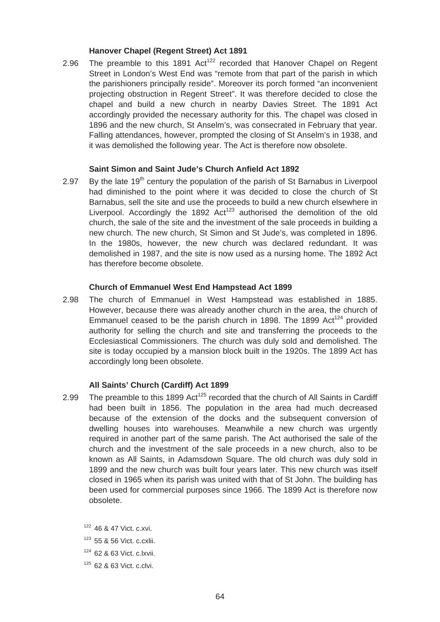#### **Hanover Chapel (Regent Street) Act 1891**

2.96 The preamble to this 1891 Act<sup>122</sup> recorded that Hanover Chapel on Regent Street in London's West End was "remote from that part of the parish in which the parishioners principally reside". Moreover its porch formed "an inconvenient projecting obstruction in Regent Street". It was therefore decided to close the chapel and build a new church in nearby Davies Street. The 1891 Act accordingly provided the necessary authority for this. The chapel was closed in 1896 and the new church, St Anselm's, was consecrated in February that year. Falling attendances, however, prompted the closing of St Anselm's in 1938, and it was demolished the following year. The Act is therefore now obsolete.

#### **Saint Simon and Saint Jude's Church Anfield Act 1892**

2.97 By the late  $19<sup>th</sup>$  century the population of the parish of St Barnabus in Liverpool had diminished to the point where it was decided to close the church of St Barnabus, sell the site and use the proceeds to build a new church elsewhere in Liverpool. Accordingly the 1892  $Act^{123}$  authorised the demolition of the old church, the sale of the site and the investment of the sale proceeds in building a new church. The new church, St Simon and St Jude's, was completed in 1896. In the 1980s, however, the new church was declared redundant. It was demolished in 1987, and the site is now used as a nursing home. The 1892 Act has therefore become obsolete.

#### **Church of Emmanuel West End Hampstead Act 1899**

2.98 The church of Emmanuel in West Hampstead was established in 1885. However, because there was already another church in the area, the church of Emmanuel ceased to be the parish church in 1898. The 1899  $Act^{124}$  provided authority for selling the church and site and transferring the proceeds to the Ecclesiastical Commissioners. The church was duly sold and demolished. The site is today occupied by a mansion block built in the 1920s. The 1899 Act has accordingly long been obsolete.

#### **All Saints' Church (Cardiff) Act 1899**

2.99 The preamble to this 1899  $Act^{125}$  recorded that the church of All Saints in Cardiff had been built in 1856. The population in the area had much decreased because of the extension of the docks and the subsequent conversion of dwelling houses into warehouses. Meanwhile a new church was urgently required in another part of the same parish. The Act authorised the sale of the church and the investment of the sale proceeds in a new church, also to be known as All Saints, in Adamsdown Square. The old church was duly sold in 1899 and the new church was built four years later. This new church was itself closed in 1965 when its parish was united with that of St John. The building has been used for commercial purposes since 1966. The 1899 Act is therefore now obsolete.

 $122$  46 & 47 Vict. c.xvi.

<sup>123 55 &</sup>amp; 56 Vict. c.cxlii.

<sup>124 62 &</sup>amp; 63 Vict. c.lxvii.

<sup>125 62 &</sup>amp; 63 Vict. c.clvi.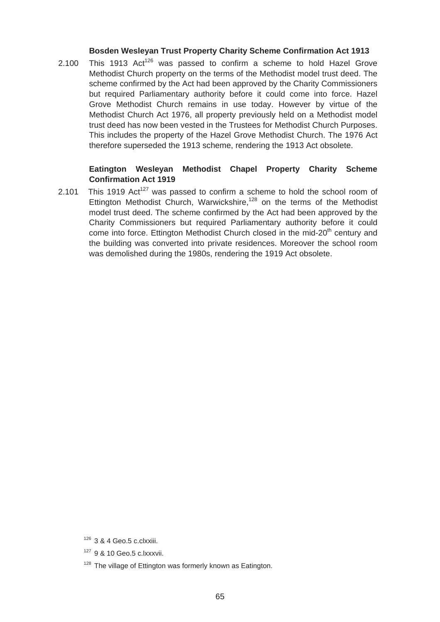#### **Bosden Wesleyan Trust Property Charity Scheme Confirmation Act 1913**

2.100 This 1913  $Act^{126}$  was passed to confirm a scheme to hold Hazel Grove Methodist Church property on the terms of the Methodist model trust deed. The scheme confirmed by the Act had been approved by the Charity Commissioners but required Parliamentary authority before it could come into force. Hazel Grove Methodist Church remains in use today. However by virtue of the Methodist Church Act 1976, all property previously held on a Methodist model trust deed has now been vested in the Trustees for Methodist Church Purposes. This includes the property of the Hazel Grove Methodist Church. The 1976 Act therefore superseded the 1913 scheme, rendering the 1913 Act obsolete.

# **Eatington Wesleyan Methodist Chapel Property Charity Scheme Confirmation Act 1919**

2.101 This 1919  $Act^{127}$  was passed to confirm a scheme to hold the school room of Ettington Methodist Church, Warwickshire,<sup>128</sup> on the terms of the Methodist model trust deed. The scheme confirmed by the Act had been approved by the Charity Commissioners but required Parliamentary authority before it could come into force. Ettington Methodist Church closed in the mid- $20<sup>th</sup>$  century and the building was converted into private residences. Moreover the school room was demolished during the 1980s, rendering the 1919 Act obsolete.

 $126$  3 & 4 Geo.5 c.clxxiii.

<sup>127 9 &</sup>amp; 10 Geo.5 c.lxxxvii.

<sup>&</sup>lt;sup>128</sup> The village of Ettington was formerly known as Eatington.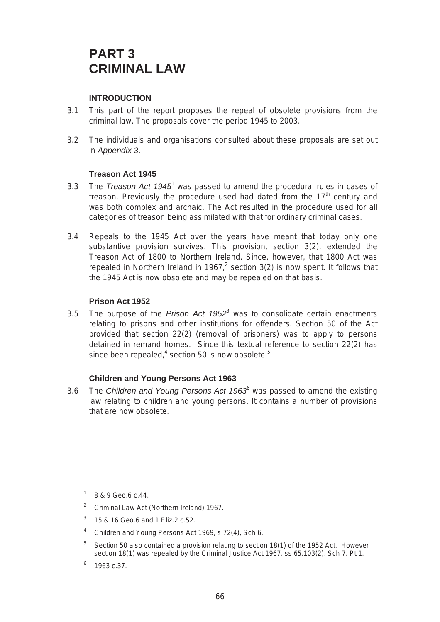# **PART 3 CRIMINAL LAW**

# **INTRODUCTION**

- 3.1 This part of the report proposes the repeal of obsolete provisions from the criminal law. The proposals cover the period 1945 to 2003.
- 3.2 The individuals and organisations consulted about these proposals are set out in *Appendix 3*.

## **Treason Act 1945**

- 3.3 The *Treason Act 1945*1 was passed to amend the procedural rules in cases of treason. Previously the procedure used had dated from the  $17<sup>th</sup>$  century and was both complex and archaic. The Act resulted in the procedure used for all categories of treason being assimilated with that for ordinary criminal cases.
- 3.4 Repeals to the 1945 Act over the years have meant that today only one substantive provision survives. This provision, section 3(2), extended the Treason Act of 1800 to Northern Ireland. Since, however, that 1800 Act was repealed in Northern Ireland in 1967,<sup>2</sup> section 3(2) is now spent. It follows that the 1945 Act is now obsolete and may be repealed on that basis.

#### **Prison Act 1952**

3.5 The purpose of the *Prison Act 1952*<sup>3</sup> was to consolidate certain enactments relating to prisons and other institutions for offenders. Section 50 of the Act provided that section 22(2) (removal of prisoners) was to apply to persons detained in remand homes. Since this textual reference to section 22(2) has since been repealed,<sup>4</sup> section 50 is now obsolete.<sup>5</sup>

## **Children and Young Persons Act 1963**

3.6 The *Children and Young Persons Act 1963*<sup>6</sup> was passed to amend the existing law relating to children and young persons. It contains a number of provisions that are now obsolete.

- $1\quad 8$  & 9 Geo.6 c.44.
- <sup>2</sup> Criminal Law Act (Northern Ireland) 1967.
- <sup>3</sup> 15 & 16 Geo.6 and 1 Eliz.2 c.52.
- <sup>4</sup> Children and Young Persons Act 1969, s 72(4), Sch 6.
- $5$  Section 50 also contained a provision relating to section 18(1) of the 1952 Act. However section 18(1) was repealed by the Criminal Justice Act 1967, ss 65,103(2), Sch 7, Pt 1.
- $6$  1963 c.37.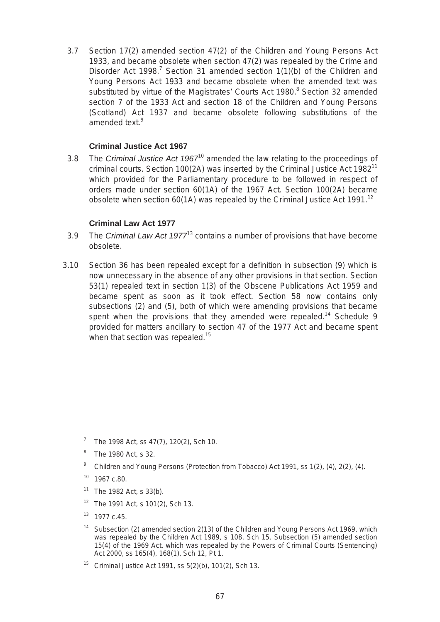3.7 Section 17(2) amended section 47(2) of the Children and Young Persons Act 1933, and became obsolete when section 47(2) was repealed by the Crime and Disorder Act 1998.<sup>7</sup> Section 31 amended section  $1(1)(b)$  of the Children and Young Persons Act 1933 and became obsolete when the amended text was substituted by virtue of the Magistrates' Courts Act 1980.<sup>8</sup> Section 32 amended section 7 of the 1933 Act and section 18 of the Children and Young Persons (Scotland) Act 1937 and became obsolete following substitutions of the amended text.<sup>9</sup>

## **Criminal Justice Act 1967**

3.8 The *Criminal Justice Act 1967*10 amended the law relating to the proceedings of criminal courts. Section 100(2A) was inserted by the Criminal Justice Act 1982<sup>11</sup> which provided for the Parliamentary procedure to be followed in respect of orders made under section 60(1A) of the 1967 Act. Section 100(2A) became obsolete when section  $60(1A)$  was repealed by the Criminal Justice Act 1991.<sup>12</sup>

## **Criminal Law Act 1977**

- 3.9 The *Criminal Law Act 1977*13 contains a number of provisions that have become obsolete.
- 3.10 Section 36 has been repealed except for a definition in subsection (9) which is now unnecessary in the absence of any other provisions in that section. Section 53(1) repealed text in section 1(3) of the Obscene Publications Act 1959 and became spent as soon as it took effect. Section 58 now contains only subsections (2) and (5), both of which were amending provisions that became spent when the provisions that they amended were repealed.<sup>14</sup> Schedule 9 provided for matters ancillary to section 47 of the 1977 Act and became spent when that section was repealed.<sup>15</sup>

- $7$  The 1998 Act, ss 47(7), 120(2), Sch 10.
- $8$  The 1980 Act, s 32.
- <sup>9</sup> Children and Young Persons (Protection from Tobacco) Act 1991, ss 1(2), (4), 2(2), (4).
- $10$  1967 c.80.
- $11$  The 1982 Act, s 33(b).
- $12$  The 1991 Act, s 101(2), Sch 13.
- 13 1977 c.45.
- <sup>14</sup> Subsection (2) amended section 2(13) of the Children and Young Persons Act 1969, which was repealed by the Children Act 1989, s 108, Sch 15. Subsection (5) amended section 15(4) of the 1969 Act, which was repealed by the Powers of Criminal Courts (Sentencing) Act 2000, ss 165(4), 168(1), Sch 12, Pt 1.
- <sup>15</sup> Criminal Justice Act 1991, ss  $5(2)(b)$ , 101(2), Sch 13.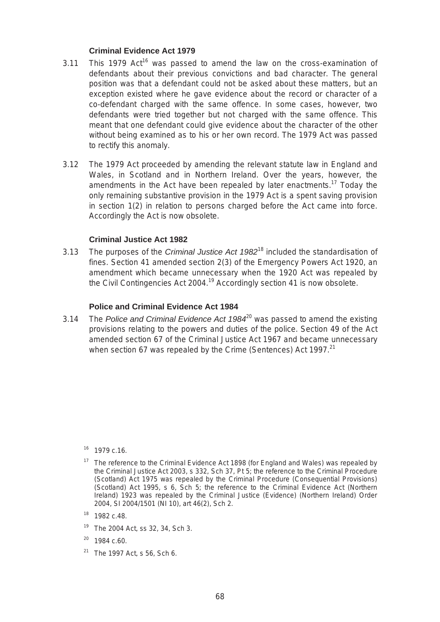## **Criminal Evidence Act 1979**

- $3.11$  This 1979 Act<sup>16</sup> was passed to amend the law on the cross-examination of defendants about their previous convictions and bad character. The general position was that a defendant could not be asked about these matters, but an exception existed where he gave evidence about the record or character of a co-defendant charged with the same offence. In some cases, however, two defendants were tried together but not charged with the same offence. This meant that one defendant could give evidence about the character of the other without being examined as to his or her own record. The 1979 Act was passed to rectify this anomaly.
- 3.12 The 1979 Act proceeded by amending the relevant statute law in England and Wales, in Scotland and in Northern Ireland. Over the years, however, the amendments in the Act have been repealed by later enactments.<sup>17</sup> Today the only remaining substantive provision in the 1979 Act is a spent saving provision in section 1(2) in relation to persons charged before the Act came into force. Accordingly the Act is now obsolete.

## **Criminal Justice Act 1982**

3.13 The purposes of the *Criminal Justice Act 1982*18 included the standardisation of fines. Section 41 amended section 2(3) of the Emergency Powers Act 1920, an amendment which became unnecessary when the 1920 Act was repealed by the Civil Contingencies Act 2004.<sup>19</sup> Accordingly section 41 is now obsolete.

#### **Police and Criminal Evidence Act 1984**

3.14 The *Police and Criminal Evidence Act 1984*20 was passed to amend the existing provisions relating to the powers and duties of the police. Section 49 of the Act amended section 67 of the Criminal Justice Act 1967 and became unnecessary when section 67 was repealed by the Crime (Sentences) Act 1997. $21$ 

- <sup>19</sup> The 2004 Act, ss 32, 34, Sch 3.
- $20$  1984 c.60.
- $21$  The 1997 Act, s 56, Sch 6.

<sup>16 1979</sup> c.16.

 $17$  The reference to the Criminal Evidence Act 1898 (for England and Wales) was repealed by the Criminal Justice Act 2003, s 332, Sch 37, Pt 5; the reference to the Criminal Procedure (Scotland) Act 1975 was repealed by the Criminal Procedure (Consequential Provisions) (Scotland) Act 1995, s 6, Sch 5; the reference to the Criminal Evidence Act (Northern Ireland) 1923 was repealed by the Criminal Justice (Evidence) (Northern Ireland) Order 2004, SI 2004/1501 (NI 10), art 46(2), Sch 2.

<sup>18 1982</sup> c.48.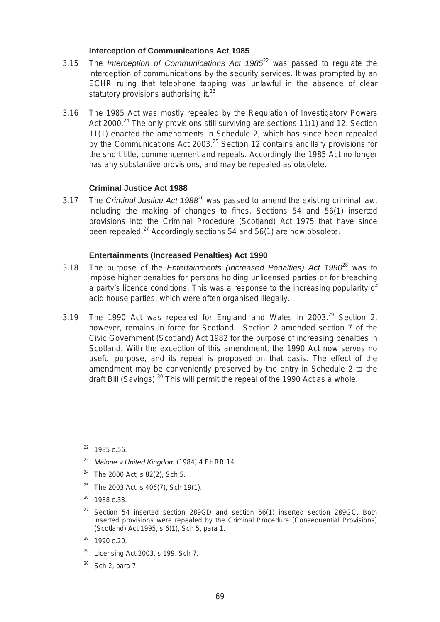# **Interception of Communications Act 1985**

- 3.15 The *Interception of Communications Act 1985*22 was passed to regulate the interception of communications by the security services. It was prompted by an ECHR ruling that telephone tapping was unlawful in the absence of clear statutory provisions authorising it. $^{23}$
- 3.16 The 1985 Act was mostly repealed by the Regulation of Investigatory Powers Act 2000.<sup>24</sup> The only provisions still surviving are sections 11(1) and 12. Section 11(1) enacted the amendments in Schedule 2, which has since been repealed by the Communications Act 2003.<sup>25</sup> Section 12 contains ancillary provisions for the short title, commencement and repeals. Accordingly the 1985 Act no longer has any substantive provisions, and may be repealed as obsolete.

## **Criminal Justice Act 1988**

3.17 The *Criminal Justice Act 1988*26 was passed to amend the existing criminal law, including the making of changes to fines. Sections 54 and 56(1) inserted provisions into the Criminal Procedure (Scotland) Act 1975 that have since been repealed. $27$  Accordingly sections 54 and 56(1) are now obsolete.

## **Entertainments (Increased Penalties) Act 1990**

- 3.18 The purpose of the *Entertainments (Increased Penalties) Act 1990*28 was to impose higher penalties for persons holding unlicensed parties or for breaching a party's licence conditions. This was a response to the increasing popularity of acid house parties, which were often organised illegally.
- 3.19 The 1990 Act was repealed for England and Wales in  $2003.<sup>29</sup>$  Section 2. however, remains in force for Scotland. Section 2 amended section 7 of the Civic Government (Scotland) Act 1982 for the purpose of increasing penalties in Scotland. With the exception of this amendment, the 1990 Act now serves no useful purpose, and its repeal is proposed on that basis. The effect of the amendment may be conveniently preserved by the entry in Schedule 2 to the draft Bill (Savings).<sup>30</sup> This will permit the repeal of the 1990 Act as a whole.

 $22$  1985 c.56.

- <sup>23</sup>*Malone v United Kingdom* (1984) 4 EHRR 14.
- <sup>24</sup> The 2000 Act, s 82(2), Sch 5.
- <sup>25</sup> The 2003 Act, s 406(7), Sch 19(1).
- <sup>26</sup> 1988 c.33.
- $27$  Section 54 inserted section 289GD and section 56(1) inserted section 289GC. Both inserted provisions were repealed by the Criminal Procedure (Consequential Provisions) (Scotland) Act 1995, s 6(1), Sch 5, para 1.
- 28 1990 c.20.
- $29$  Licensing Act 2003, s 199, Sch 7.
- Sch 2, para 7.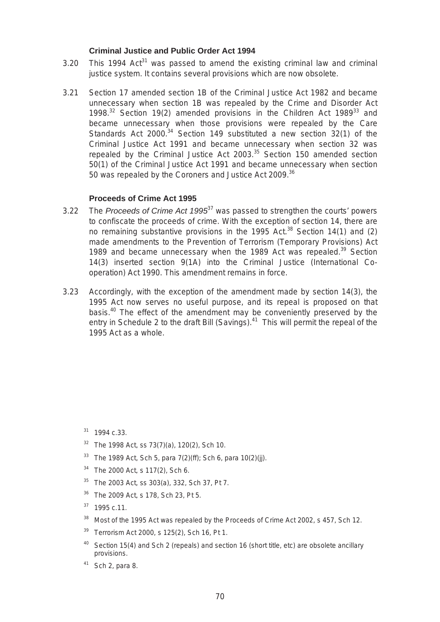## **Criminal Justice and Public Order Act 1994**

- 3.20 This 1994 Act<sup>31</sup> was passed to amend the existing criminal law and criminal justice system. It contains several provisions which are now obsolete.
- 3.21 Section 17 amended section 1B of the Criminal Justice Act 1982 and became unnecessary when section 1B was repealed by the Crime and Disorder Act 1998. $32$  Section 19(2) amended provisions in the Children Act 1989 $33$  and became unnecessary when those provisions were repealed by the Care Standards Act 2000.<sup>34</sup> Section 149 substituted a new section 32(1) of the Criminal Justice Act 1991 and became unnecessary when section 32 was repealed by the Criminal Justice Act  $2003$ .<sup>35</sup> Section 150 amended section 50(1) of the Criminal Justice Act 1991 and became unnecessary when section 50 was repealed by the Coroners and Justice Act 2009.<sup>36</sup>

## **Proceeds of Crime Act 1995**

- 3.22 The *Proceeds of Crime Act 1995*37 was passed to strengthen the courts' powers to confiscate the proceeds of crime. With the exception of section 14, there are no remaining substantive provisions in the 1995 Act. $38$  Section 14(1) and (2) made amendments to the Prevention of Terrorism (Temporary Provisions) Act 1989 and became unnecessary when the 1989 Act was repealed.<sup>39</sup> Section 14(3) inserted section 9(1A) into the Criminal Justice (International Cooperation) Act 1990. This amendment remains in force.
- 3.23 Accordingly, with the exception of the amendment made by section 14(3), the 1995 Act now serves no useful purpose, and its repeal is proposed on that basis.<sup>40</sup> The effect of the amendment may be conveniently preserved by the entry in Schedule 2 to the draft Bill (Savings). $41$  This will permit the repeal of the 1995 Act as a whole.

- $32$  The 1998 Act, ss 73(7)(a), 120(2), Sch 10.
- <sup>33</sup> The 1989 Act, Sch 5, para  $7(2)(ff)$ ; Sch 6, para 10(2)(jj).
- <sup>34</sup> The 2000 Act, s 117(2), Sch 6.
- <sup>35</sup> The 2003 Act, ss 303(a), 332, Sch 37, Pt 7.
- <sup>36</sup> The 2009 Act, s 178, Sch 23, Pt 5.
- $37$  1995 c.11.
- <sup>38</sup> Most of the 1995 Act was repealed by the Proceeds of Crime Act 2002, s 457, Sch 12.
- <sup>39</sup> Terrorism Act 2000, s 125(2), Sch 16, Pt 1.
- <sup>40</sup> Section 15(4) and Sch 2 (repeals) and section 16 (short title, etc) are obsolete ancillary provisions.
- $41$  Sch 2, para 8.

<sup>31 1994</sup> c.33.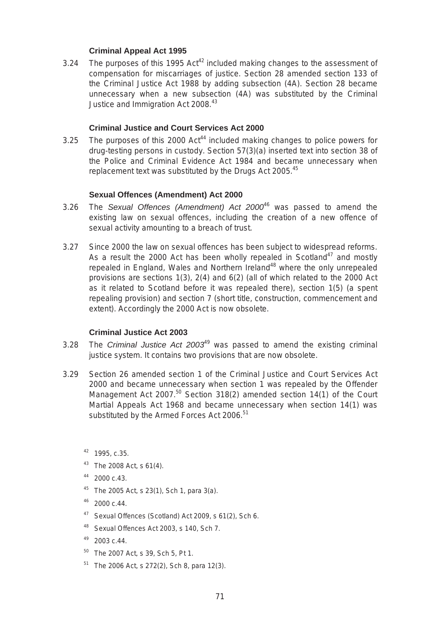# **Criminal Appeal Act 1995**

3.24 The purposes of this 1995  $Act^{42}$  included making changes to the assessment of compensation for miscarriages of justice. Section 28 amended section 133 of the Criminal Justice Act 1988 by adding subsection (4A). Section 28 became unnecessary when a new subsection (4A) was substituted by the Criminal Justice and Immigration Act 2008.<sup>43</sup>

# **Criminal Justice and Court Services Act 2000**

3.25 The purposes of this 2000 Act<sup>44</sup> included making changes to police powers for drug-testing persons in custody. Section 57(3)(a) inserted text into section 38 of the Police and Criminal Evidence Act 1984 and became unnecessary when replacement text was substituted by the Drugs Act 2005.<sup>45</sup>

# **Sexual Offences (Amendment) Act 2000**

- 3.26 The *Sexual Offences (Amendment) Act 2000*46 was passed to amend the existing law on sexual offences, including the creation of a new offence of sexual activity amounting to a breach of trust.
- 3.27 Since 2000 the law on sexual offences has been subject to widespread reforms. As a result the 2000 Act has been wholly repealed in Scotland<sup>47</sup> and mostly repealed in England, Wales and Northern Ireland<sup>48</sup> where the only unrepealed provisions are sections 1(3), 2(4) and 6(2) (all of which related to the 2000 Act as it related to Scotland before it was repealed there), section 1(5) (a spent repealing provision) and section 7 (short title, construction, commencement and extent). Accordingly the 2000 Act is now obsolete.

# **Criminal Justice Act 2003**

- 3.28 The *Criminal Justice Act 2003*49 was passed to amend the existing criminal justice system. It contains two provisions that are now obsolete.
- Management Act 2007.<sup>50</sup> Section 318(2) amended section 14(1) of the Court 3.29 Section 26 amended section 1 of the Criminal Justice and Court Services Act 2000 and became unnecessary when section 1 was repealed by the Offender Martial Appeals Act 1968 and became unnecessary when section 14(1) was substituted by the Armed Forces Act 2006.<sup>51</sup>
	- 42 1995, c.35.
	- $43$  The 2008 Act, s 61(4).
	- 44 2000 c.43.
	- <sup>45</sup> The 2005 Act, s 23(1), Sch 1, para 3(a).
	- $46$  2000 c.44.
	- 47 Sexual Offences (Scotland) Act 2009, s 61(2), Sch 6.
	- 48 Sexual Offences Act 2003, s 140, Sch 7.
	- $49$  2003 c.44.
	- 50 The 2007 Act, s 39, Sch 5, Pt 1.
	- $51$  The 2006 Act, s 272(2), Sch 8, para 12(3).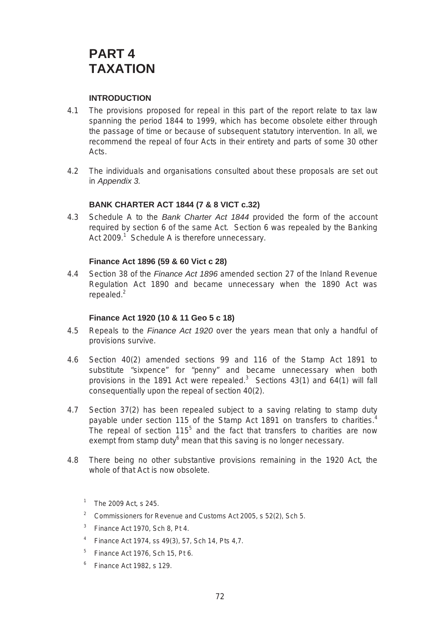# **PART 4 TAXATION**

# **INTRODUCTION**

- 4.1 The provisions proposed for repeal in this part of the report relate to tax law spanning the period 1844 to 1999, which has become obsolete either through the passage of time or because of subsequent statutory intervention. In all, we recommend the repeal of four Acts in their entirety and parts of some 30 other Acts.
- 4.2 The individuals and organisations consulted about these proposals are set out in *Appendix 3.*

# **BANK CHARTER ACT 1844 (7 & 8 VICT c.32)**

4.3 Schedule A to the *Bank Charter Act 1844* provided the form of the account required by section 6 of the same Act. Section 6 was repealed by the Banking Act 2009.<sup>1</sup> Schedule A is therefore unnecessary.

# **Finance Act 1896 (59 & 60 Vict c 28)**

4.4 Section 38 of the *Finance Act 1896* amended section 27 of the Inland Revenue Regulation Act 1890 and became unnecessary when the 1890 Act was repealed. $2$ 

# **Finance Act 1920 (10 & 11 Geo 5 c 18)**

- 4.5 Repeals to the *Finance Act 1920* over the years mean that only a handful of provisions survive.
- 4.6 Section 40(2) amended sections 99 and 116 of the Stamp Act 1891 to substitute "sixpence" for "penny" and became unnecessary when both provisions in the 1891 Act were repealed.<sup>3</sup> Sections  $43(1)$  and  $64(1)$  will fall consequentially upon the repeal of section 40(2).
- 4.7 Section 37(2) has been repealed subject to a saving relating to stamp duty payable under section 115 of the Stamp Act 1891 on transfers to charities.<sup>4</sup> The repeal of section 115<sup>5</sup> and the fact that transfers to charities are now exempt from stamp duty $^6$  mean that this saving is no longer necessary.
- 4.8 There being no other substantive provisions remaining in the 1920 Act, the whole of that Act is now obsolete.
	- 1 The 2009 Act, s 245.
	- <sup>2</sup> Commissioners for Revenue and Customs Act 2005, s  $52(2)$ , Sch 5.
	- $3$  Finance Act 1970, Sch 8, Pt 4.
	- 4 Finance Act 1974, ss 49(3), 57, Sch 14, Pts 4,7.
	- $5$  Finance Act 1976, Sch 15, Pt 6.
	- $6$  Finance Act 1982, s 129.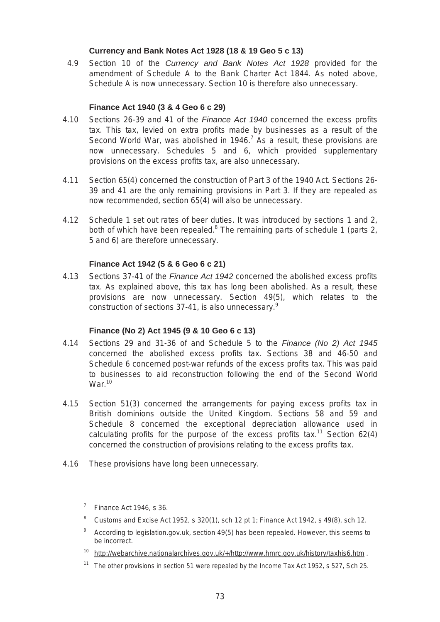# **Currency and Bank Notes Act 1928 (18 & 19 Geo 5 c 13)**

4.9 Section 10 of the *Currency and Bank Notes Act 1928* provided for the amendment of Schedule A to the Bank Charter Act 1844. As noted above, Schedule A is now unnecessary. Section 10 is therefore also unnecessary.

# **Finance Act 1940 (3 & 4 Geo 6 c 29)**

- 4.10 Sections 26-39 and 41 of the *Finance Act 1940* concerned the excess profits tax. This tax, levied on extra profits made by businesses as a result of the Second World War, was abolished in 1946.<sup>7</sup> As a result, these provisions are now unnecessary. Schedules 5 and 6, which provided supplementary provisions on the excess profits tax, are also unnecessary.
- 4.11 Section 65(4) concerned the construction of Part 3 of the 1940 Act. Sections 26 39 and 41 are the only remaining provisions in Part 3. If they are repealed as now recommended, section 65(4) will also be unnecessary.
- 4.12 Schedule 1 set out rates of beer duties. It was introduced by sections 1 and 2, both of which have been repealed.<sup>8</sup> The remaining parts of schedule 1 (parts 2, 5 and 6) are therefore unnecessary.

# **Finance Act 1942 (5 & 6 Geo 6 c 21)**

4.13 Sections 37-41 of the *Finance Act 1942* concerned the abolished excess profits tax. As explained above, this tax has long been abolished. As a result, these provisions are now unnecessary. Section 49(5), which relates to the construction of sections 37-41, is also unnecessary.<sup>9</sup>

# **Finance (No 2) Act 1945 (9 & 10 Geo 6 c 13)**

- 4.14 Sections 29 and 31-36 of and Schedule 5 to the *Finance (No 2) Act 1945*  concerned the abolished excess profits tax. Sections 38 and 46-50 and Schedule 6 concerned post-war refunds of the excess profits tax. This was paid to businesses to aid reconstruction following the end of the Second World  $War<sup>10</sup>$
- 4.15 Section 51(3) concerned the arrangements for paying excess profits tax in British dominions outside the United Kingdom. Sections 58 and 59 and Schedule 8 concerned the exceptional depreciation allowance used in calculating profits for the purpose of the excess profits  $tax.^{11}$  Section 62(4) concerned the construction of provisions relating to the excess profits tax.
- 4.16 These provisions have long been unnecessary.
	- $7$  Finance Act 1946, s 36.
	- <sup>8</sup> Customs and Excise Act 1952, s 320(1), sch 12 pt 1; Finance Act 1942, s 49(8), sch 12.
	- $9\degree$  According to legislation.gov.uk, section 49(5) has been repealed. However, this seems to be incorrect.
	- <sup>10</sup> http://webarchive.nationalarchives.gov.uk/+/http://www.hmrc.gov.uk/history/taxhis6.htm.
	- <sup>11</sup> The other provisions in section 51 were repealed by the Income Tax Act 1952, s 527, Sch 25.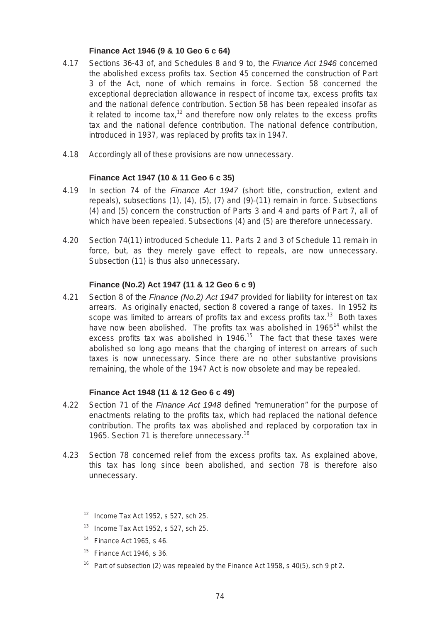# **Finance Act 1946 (9 & 10 Geo 6 c 64)**

- 4.17 Sections 36-43 of, and Schedules 8 and 9 to, the *Finance Act 1946* concerned the abolished excess profits tax. Section 45 concerned the construction of Part 3 of the Act, none of which remains in force. Section 58 concerned the exceptional depreciation allowance in respect of income tax, excess profits tax and the national defence contribution. Section 58 has been repealed insofar as it related to income tax,<sup>12</sup> and therefore now only relates to the excess profits tax and the national defence contribution. The national defence contribution, introduced in 1937, was replaced by profits tax in 1947.
- 4.18 Accordingly all of these provisions are now unnecessary.

# **Finance Act 1947 (10 & 11 Geo 6 c 35)**

- 4.19 In section 74 of the *Finance Act 1947* (short title, construction, extent and repeals), subsections (1), (4), (5), (7) and (9)-(11) remain in force. Subsections (4) and (5) concern the construction of Parts 3 and 4 and parts of Part 7, all of which have been repealed. Subsections (4) and (5) are therefore unnecessary.
- 4.20 Section 74(11) introduced Schedule 11. Parts 2 and 3 of Schedule 11 remain in force, but, as they merely gave effect to repeals, are now unnecessary. Subsection (11) is thus also unnecessary.

# **Finance (No.2) Act 1947 (11 & 12 Geo 6 c 9)**

4.21 Section 8 of the *Finance (No.2) Act 1947* provided for liability for interest on tax arrears. As originally enacted, section 8 covered a range of taxes. In 1952 its scope was limited to arrears of profits tax and excess profits tax.<sup>13</sup> Both taxes have now been abolished. The profits tax was abolished in 1965<sup>14</sup> whilst the excess profits tax was abolished in 1946.<sup>15</sup> The fact that these taxes were abolished so long ago means that the charging of interest on arrears of such taxes is now unnecessary. Since there are no other substantive provisions remaining, the whole of the 1947 Act is now obsolete and may be repealed.

# **Finance Act 1948 (11 & 12 Geo 6 c 49)**

- 4.22 Section 71 of the *Finance Act 1948* defined "remuneration" for the purpose of enactments relating to the profits tax, which had replaced the national defence contribution. The profits tax was abolished and replaced by corporation tax in 1965. Section 71 is therefore unnecessary.<sup>16</sup>
- 4.23 Section 78 concerned relief from the excess profits tax. As explained above, this tax has long since been abolished, and section 78 is therefore also unnecessary.
	- $12$  Income Tax Act 1952, s 527, sch 25.
	- $13$  Income Tax Act 1952, s 527, sch 25.
	- 14 Finance Act 1965, s 46.
	- $15$  Finance Act 1946, s 36.
	- <sup>16</sup> Part of subsection (2) was repealed by the Finance Act 1958, s 40(5), sch 9 pt 2.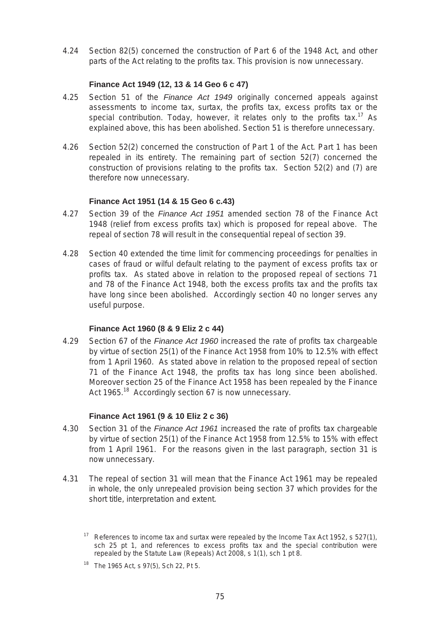4.24 Section 82(5) concerned the construction of Part 6 of the 1948 Act, and other parts of the Act relating to the profits tax. This provision is now unnecessary.

# **Finance Act 1949 (12, 13 & 14 Geo 6 c 47)**

- 4.25 Section 51 of the *Finance Act 1949* originally concerned appeals against assessments to income tax, surtax, the profits tax, excess profits tax or the special contribution. Today, however, it relates only to the profits tax.<sup>17</sup> As explained above, this has been abolished. Section 51 is therefore unnecessary.
- 4.26 Section 52(2) concerned the construction of Part 1 of the Act. Part 1 has been repealed in its entirety. The remaining part of section 52(7) concerned the construction of provisions relating to the profits tax. Section 52(2) and (7) are therefore now unnecessary.

# **Finance Act 1951 (14 & 15 Geo 6 c.43)**

- 4.27 Section 39 of the *Finance Act 1951* amended section 78 of the Finance Act 1948 (relief from excess profits tax) which is proposed for repeal above. The repeal of section 78 will result in the consequential repeal of section 39.
- 4.28 Section 40 extended the time limit for commencing proceedings for penalties in cases of fraud or wilful default relating to the payment of excess profits tax or profits tax. As stated above in relation to the proposed repeal of sections 71 and 78 of the Finance Act 1948, both the excess profits tax and the profits tax have long since been abolished. Accordingly section 40 no longer serves any useful purpose.

# **Finance Act 1960 (8 & 9 Eliz 2 c 44)**

71 of the Finance Act 1948, the profits tax has long since been abolished. 4.29 Section 67 of the *Finance Act 1960* increased the rate of profits tax chargeable by virtue of section 25(1) of the Finance Act 1958 from 10% to 12.5% with effect from 1 April 1960. As stated above in relation to the proposed repeal of section Moreover section 25 of the Finance Act 1958 has been repealed by the Finance Act 1965.<sup>18</sup> Accordingly section 67 is now unnecessary.

# **Finance Act 1961 (9 & 10 Eliz 2 c 36)**

- 4.30 Section 31 of the *Finance Act 1961* increased the rate of profits tax chargeable by virtue of section 25(1) of the Finance Act 1958 from 12.5% to 15% with effect from 1 April 1961. For the reasons given in the last paragraph, section 31 is now unnecessary.
- 4.31 The repeal of section 31 will mean that the Finance Act 1961 may be repealed in whole, the only unrepealed provision being section 37 which provides for the short title, interpretation and extent.

<sup>&</sup>lt;sup>17</sup> References to income tax and surtax were repealed by the Income Tax Act 1952, s 527(1), sch 25 pt 1, and references to excess profits tax and the special contribution were repealed by the Statute Law (Repeals) Act 2008, s 1(1), sch 1 pt 8.

<sup>&</sup>lt;sup>18</sup> The 1965 Act, s 97(5), Sch 22, Pt 5.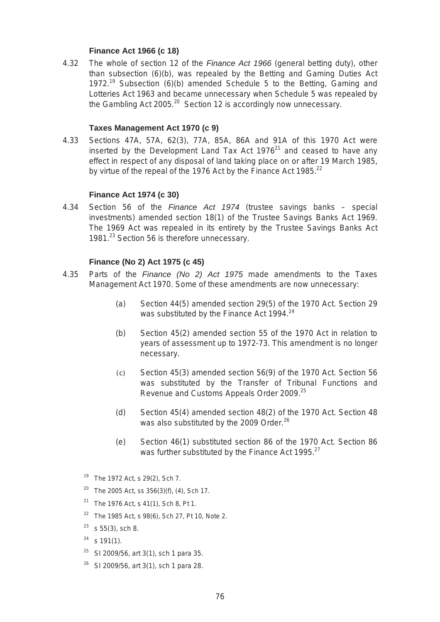# **Finance Act 1966 (c 18)**

4.32 The whole of section 12 of the *Finance Act 1966* (general betting duty), other than subsection (6)(b), was repealed by the Betting and Gaming Duties Act 1972.<sup>19</sup> Subsection (6)(b) amended Schedule 5 to the Betting, Gaming and Lotteries Act 1963 and became unnecessary when Schedule 5 was repealed by the Gambling Act 2005.<sup>20</sup> Section 12 is accordingly now unnecessary.

## **Taxes Management Act 1970 (c 9)**

4.33 Sections 47A, 57A, 62(3), 77A, 85A, 86A and 91A of this 1970 Act were inserted by the Development Land Tax Act  $1976<sup>21</sup>$  and ceased to have any effect in respect of any disposal of land taking place on or after 19 March 1985, by virtue of the repeal of the 1976 Act by the Finance Act 1985.<sup>22</sup>

## **Finance Act 1974 (c 30)**

4.34 Section 56 of the *Finance Act 1974* (trustee savings banks – special investments) amended section 18(1) of the Trustee Savings Banks Act 1969. The 1969 Act was repealed in its entirety by the Trustee Savings Banks Act 1981.<sup>23</sup> Section 56 is therefore unnecessary.

## **Finance (No 2) Act 1975 (c 45)**

- 4.35 Parts of the *Finance (No 2) Act 1975* made amendments to the Taxes Management Act 1970. Some of these amendments are now unnecessary:
	- (a) Section 44(5) amended section 29(5) of the 1970 Act. Section 29 was substituted by the Finance Act 1994.<sup>24</sup>
	- (b) Section 45(2) amended section 55 of the 1970 Act in relation to years of assessment up to 1972-73. This amendment is no longer necessary.
	- $(c)$  Section 45(3) amended section 56(9) of the 1970 Act. Section 56 was substituted by the Transfer of Tribunal Functions and Revenue and Customs Appeals Order 2009.25
	- (d) Section 45(4) amended section 48(2) of the 1970 Act. Section 48 was also substituted by the 2009 Order.<sup>26</sup>
	- (e) Section 46(1) substituted section 86 of the 1970 Act. Section 86 was further substituted by the Finance Act 1995.<sup>27</sup>
	- <sup>19</sup> The 1972 Act, s 29(2), Sch 7.
	- <sup>20</sup> The 2005 Act, ss  $356(3)(f)$ , (4), Sch 17.
	- <sup>21</sup> The 1976 Act, s 41(1), Sch 8, Pt 1.
	- <sup>22</sup> The 1985 Act, s 98(6), Sch 27, Pt 10, Note 2.
	- $23$  s 55(3), sch 8.
	- $24$  s 191(1).
	- $25$  SI 2009/56, art 3(1), sch 1 para 35.
	- $26$  SI 2009/56, art 3(1), sch 1 para 28.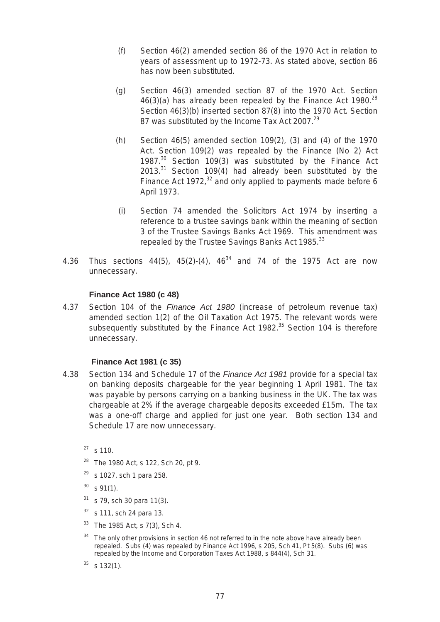- (f) Section 46(2) amended section 86 of the 1970 Act in relation to years of assessment up to 1972-73. As stated above, section 86 has now been substituted.
- (g) Section 46(3) amended section 87 of the 1970 Act. Section  $46(3)(a)$  has already been repealed by the Finance Act 1980.<sup>28</sup> Section 46(3)(b) inserted section 87(8) into the 1970 Act. Section 87 was substituted by the Income Tax Act 2007.<sup>29</sup>
- (h) Section  $46(5)$  amended section  $109(2)$ , (3) and (4) of the 1970 Act. Section 109(2) was repealed by the Finance (No 2) Act 1987.<sup>30</sup> Section 109(3) was substituted by the Finance Act  $2013.<sup>31</sup>$  Section 109(4) had already been substituted by the Finance Act 1972, $32$  and only applied to payments made before 6 April 1973.
- (i) Section 74 amended the Solicitors Act 1974 by inserting a reference to a trustee savings bank within the meaning of section 3 of the Trustee Savings Banks Act 1969. This amendment was repealed by the Trustee Savings Banks Act 1985.<sup>33</sup>
- 4.36 Thus sections  $44(5)$ ,  $45(2)-(4)$ ,  $46^{34}$  and 74 of the 1975 Act are now unnecessary.

# **Finance Act 1980 (c 48)**

4.37 Section 104 of the *Finance Act 1980* (increase of petroleum revenue tax) amended section 1(2) of the Oil Taxation Act 1975. The relevant words were subsequently substituted by the Finance Act 1982.<sup>35</sup> Section 104 is therefore unnecessary.

#### **Finance Act 1981 (c 35)**

- 4.38 Section 134 and Schedule 17 of the *Finance Act 1981* provide for a special tax on banking deposits chargeable for the year beginning 1 April 1981. The tax was payable by persons carrying on a banking business in the UK. The tax was chargeable at 2% if the average chargeable deposits exceeded £15m. The tax was a one-off charge and applied for just one year. Both section 134 and Schedule 17 are now unnecessary.
	- $27$  s 110.
	- <sup>28</sup> The 1980 Act, s 122, Sch 20, pt 9.
	- $29$  s 1027, sch 1 para 258.
	- $30$  s 91(1).
	- $31$  s 79, sch 30 para 11(3).
	- $32$  s 111, sch 24 para 13.
	- $33$  The 1985 Act, s 7(3), Sch 4.
	- <sup>34</sup> The only other provisions in section 46 not referred to in the note above have already been repealed. Subs (4) was repealed by Finance Act 1996, s 205, Sch 41, Pt 5(8). Subs (6) was repealed by the Income and Corporation Taxes Act 1988, s 844(4), Sch 31.
	- $35$  s 132(1).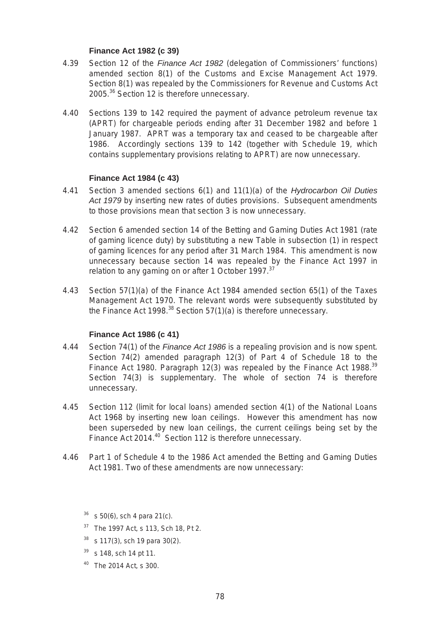# **Finance Act 1982 (c 39)**

- 4.39 Section 12 of the *Finance Act 1982* (delegation of Commissioners' functions) amended section 8(1) of the Customs and Excise Management Act 1979. Section 8(1) was repealed by the Commissioners for Revenue and Customs Act 2005.<sup>36</sup> Section 12 is therefore unnecessary.
- 4.40 Sections 139 to 142 required the payment of advance petroleum revenue tax (APRT) for chargeable periods ending after 31 December 1982 and before 1 January 1987. APRT was a temporary tax and ceased to be chargeable after 1986. Accordingly sections 139 to 142 (together with Schedule 19, which contains supplementary provisions relating to APRT) are now unnecessary.

# **Finance Act 1984 (c 43)**

- 4.41 Section 3 amended sections 6(1) and 11(1)(a) of the *Hydrocarbon Oil Duties Act 1979* by inserting new rates of duties provisions. Subsequent amendments to those provisions mean that section 3 is now unnecessary.
- 4.42 Section 6 amended section 14 of the Betting and Gaming Duties Act 1981 (rate of gaming licence duty) by substituting a new Table in subsection (1) in respect of gaming licences for any period after 31 March 1984. This amendment is now unnecessary because section 14 was repealed by the Finance Act 1997 in relation to any gaming on or after 1 October 1997.<sup>37</sup>
- 4.43 Section 57(1)(a) of the Finance Act 1984 amended section 65(1) of the Taxes Management Act 1970. The relevant words were subsequently substituted by the Finance Act 1998. $38$  Section 57(1)(a) is therefore unnecessary.

# **Finance Act 1986 (c 41)**

- 4.44 Section 74(1) of the *Finance Act 1986* is a repealing provision and is now spent. Section 74(2) amended paragraph 12(3) of Part 4 of Schedule 18 to the Finance Act 1980. Paragraph 12(3) was repealed by the Finance Act 1988.<sup>39</sup> Section 74(3) is supplementary. The whole of section 74 is therefore unnecessary.
- 4.45 Section 112 (limit for local loans) amended section 4(1) of the National Loans Act 1968 by inserting new loan ceilings. However this amendment has now been superseded by new loan ceilings, the current ceilings being set by the Finance Act 2014.<sup>40</sup> Section 112 is therefore unnecessary.
- 4.46 Part 1 of Schedule 4 to the 1986 Act amended the Betting and Gaming Duties Act 1981. Two of these amendments are now unnecessary:

- <sup>37</sup> The 1997 Act, s 113, Sch 18, Pt 2.
- $38$  s 117(3), sch 19 para 30(2).
- 39 s 148, sch 14 pt 11.
- 40 The 2014 Act, s 300.

 $36$  s 50(6), sch 4 para 21(c).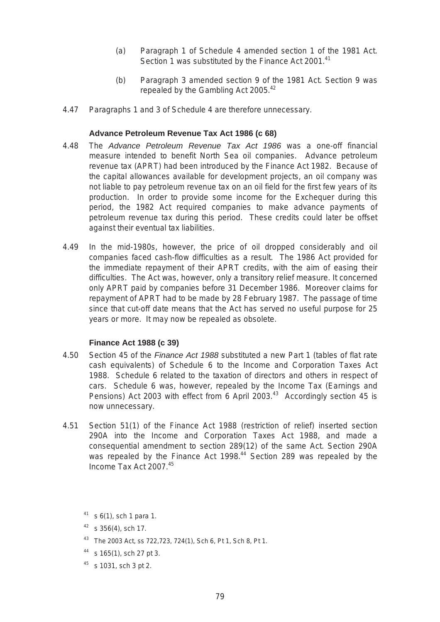- (a) Paragraph 1 of Schedule 4 amended section 1 of the 1981 Act. Section 1 was substituted by the Finance Act 2001.<sup>41</sup>
- (b) Paragraph 3 amended section 9 of the 1981 Act. Section 9 was repealed by the Gambling Act 2005.<sup>42</sup>
- 4.47 Paragraphs 1 and 3 of Schedule 4 are therefore unnecessary.

## **Advance Petroleum Revenue Tax Act 1986 (c 68)**

- 4.48 The *Advance Petroleum Revenue Tax Act 1986* was a one-off financial measure intended to benefit North Sea oil companies. Advance petroleum revenue tax (APRT) had been introduced by the Finance Act 1982. Because of the capital allowances available for development projects, an oil company was not liable to pay petroleum revenue tax on an oil field for the first few years of its production. In order to provide some income for the Exchequer during this period, the 1982 Act required companies to make advance payments of petroleum revenue tax during this period. These credits could later be offset against their eventual tax liabilities.
- difficulties. The Act was, however, only a transitory relief measure. It concerned 4.49 In the mid-1980s, however, the price of oil dropped considerably and oil companies faced cash-flow difficulties as a result. The 1986 Act provided for the immediate repayment of their APRT credits, with the aim of easing their only APRT paid by companies before 31 December 1986. Moreover claims for repayment of APRT had to be made by 28 February 1987. The passage of time since that cut-off date means that the Act has served no useful purpose for 25 years or more. It may now be repealed as obsolete.

#### **Finance Act 1988 (c 39)**

- 4.50 Section 45 of the *Finance Act 1988* substituted a new Part 1 (tables of flat rate cash equivalents) of Schedule 6 to the Income and Corporation Taxes Act 1988. Schedule 6 related to the taxation of directors and others in respect of cars. Schedule 6 was, however, repealed by the Income Tax (Earnings and Pensions) Act 2003 with effect from 6 April 2003.<sup>43</sup> Accordingly section 45 is now unnecessary.
- 4.51 Section 51(1) of the Finance Act 1988 (restriction of relief) inserted section 290A into the Income and Corporation Taxes Act 1988, and made a consequential amendment to section 289(12) of the same Act. Section 290A was repealed by the Finance Act 1998.<sup>44</sup> Section 289 was repealed by the Income Tax Act 2007.<sup>45</sup>

- 43 The 2003 Act, ss 722,723, 724(1), Sch 6, Pt 1, Sch 8, Pt 1.
- $44$  s 165(1), sch 27 pt 3.
- $45$  s 1031, sch 3 pt 2.

 $41$  s 6(1), sch 1 para 1.

 $42$  s 356(4), sch 17.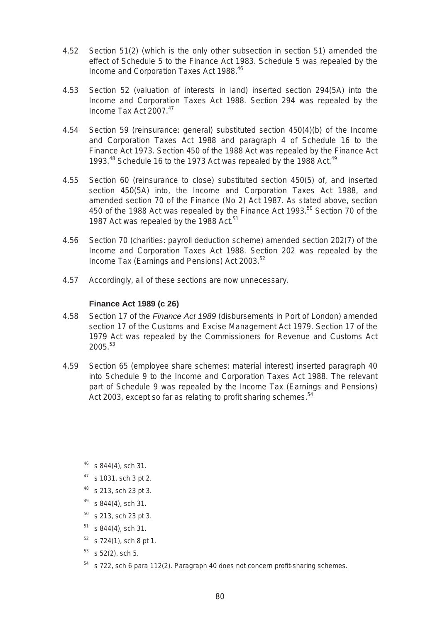- 4.52 Section 51(2) (which is the only other subsection in section 51) amended the effect of Schedule 5 to the Finance Act 1983. Schedule 5 was repealed by the Income and Corporation Taxes Act 1988.<sup>46</sup>
- 4.53 Section 52 (valuation of interests in land) inserted section 294(5A) into the Income and Corporation Taxes Act 1988. Section 294 was repealed by the Income Tax Act 2007.<sup>47</sup>
- Finance Act 1973. Section 450 of the 1988 Act was repealed by the Finance Act 4.54 Section 59 (reinsurance: general) substituted section 450(4)(b) of the Income and Corporation Taxes Act 1988 and paragraph 4 of Schedule 16 to the 1993.<sup>48</sup> Schedule 16 to the 1973 Act was repealed by the 1988 Act.<sup>49</sup>
- 4.55 Section 60 (reinsurance to close) substituted section 450(5) of, and inserted section 450(5A) into, the Income and Corporation Taxes Act 1988, and amended section 70 of the Finance (No 2) Act 1987. As stated above, section 450 of the 1988 Act was repealed by the Finance Act 1993.<sup>50</sup> Section 70 of the 1987 Act was repealed by the 1988 Act.<sup>51</sup>
- 4.56 Section 70 (charities: payroll deduction scheme) amended section 202(7) of the Income and Corporation Taxes Act 1988. Section 202 was repealed by the Income Tax (Earnings and Pensions) Act 2003. $52$
- 4.57 Accordingly, all of these sections are now unnecessary.

## **Finance Act 1989 (c 26)**

- 4.58 Section 17 of the *Finance Act 1989* (disbursements in Port of London) amended section 17 of the Customs and Excise Management Act 1979. Section 17 of the 1979 Act was repealed by the Commissioners for Revenue and Customs Act  $2005.<sup>53</sup>$
- 4.59 Section 65 (employee share schemes: material interest) inserted paragraph 40 into Schedule 9 to the Income and Corporation Taxes Act 1988. The relevant part of Schedule 9 was repealed by the Income Tax (Earnings and Pensions) Act 2003, except so far as relating to profit sharing schemes.<sup>54</sup>
	- $46$  s 844(4), sch 31.
	- $47$  s 1031, sch 3 pt 2.
	- 48 s 213, sch 23 pt 3.
	- $49$  s 844(4), sch 31.
	- $50$  s 213, sch 23 pt 3.
	- $51$  s 844(4), sch 31.
	- $52$  s 724(1), sch 8 pt 1.
	- $53$  s 52(2), sch 5.
	- $54$  s 722, sch 6 para 112(2). Paragraph 40 does not concern profit-sharing schemes.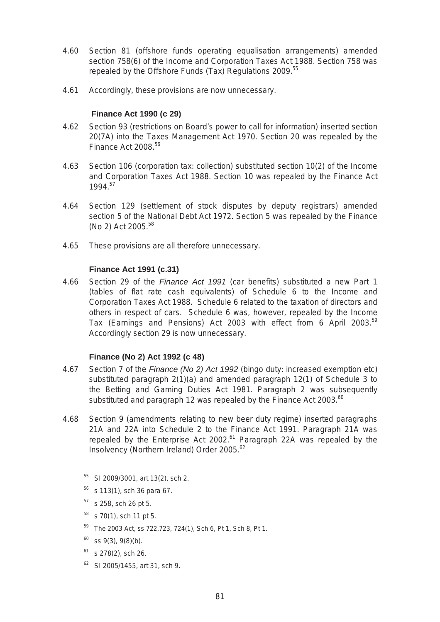- 4.60 Section 81 (offshore funds operating equalisation arrangements) amended section 758(6) of the Income and Corporation Taxes Act 1988. Section 758 was repealed by the Offshore Funds (Tax) Regulations 2009.<sup>55</sup>
- 4.61 Accordingly, these provisions are now unnecessary.

# **Finance Act 1990 (c 29)**

- 4.62 Section 93 (restrictions on Board's power to call for information) inserted section 20(7A) into the Taxes Management Act 1970. Section 20 was repealed by the Finance Act 2008.<sup>56</sup>
- 4.63 Section 106 (corporation tax: collection) substituted section 10(2) of the Income and Corporation Taxes Act 1988. Section 10 was repealed by the Finance Act 1994.<sup>57</sup>
- 4.64 Section 129 (settlement of stock disputes by deputy registrars) amended section 5 of the National Debt Act 1972. Section 5 was repealed by the Finance (No 2) Act 2005.<sup>58</sup>
- 4.65 These provisions are all therefore unnecessary.

# **Finance Act 1991 (c.31)**

4.66 Section 29 of the *Finance Act 1991* (car benefits) substituted a new Part 1 (tables of flat rate cash equivalents) of Schedule 6 to the Income and Corporation Taxes Act 1988. Schedule 6 related to the taxation of directors and others in respect of cars. Schedule 6 was, however, repealed by the Income Tax (Earnings and Pensions) Act 2003 with effect from 6 April 2003.<sup>59</sup> Accordingly section 29 is now unnecessary.

# **Finance (No 2) Act 1992 (c 48)**

- 4.67 Section 7 of the *Finance (No 2) Act 1992* (bingo duty: increased exemption etc) substituted paragraph 2(1)(a) and amended paragraph 12(1) of Schedule 3 to the Betting and Gaming Duties Act 1981. Paragraph 2 was subsequently substituted and paragraph 12 was repealed by the Finance Act 2003. $^{60}$
- 4.68 Section 9 (amendments relating to new beer duty regime) inserted paragraphs 21A and 22A into Schedule 2 to the Finance Act 1991. Paragraph 21A was repealed by the Enterprise Act 2002.<sup>61</sup> Paragraph 22A was repealed by the Insolvency (Northern Ireland) Order 2005.<sup>62</sup>
	- 55 SI 2009/3001, art 13(2), sch 2.
	- $56$  s 113(1), sch 36 para 67.
	- $57$  s 258, sch 26 pt 5.
	- $58$  s 70(1), sch 11 pt 5.
	- 59 The 2003 Act, ss 722,723, 724(1), Sch 6, Pt 1, Sch 8, Pt 1.
	- $60$  ss 9(3), 9(8)(b).
	- $61$  s 278(2), sch 26.
	- $62$  SI 2005/1455, art 31, sch 9.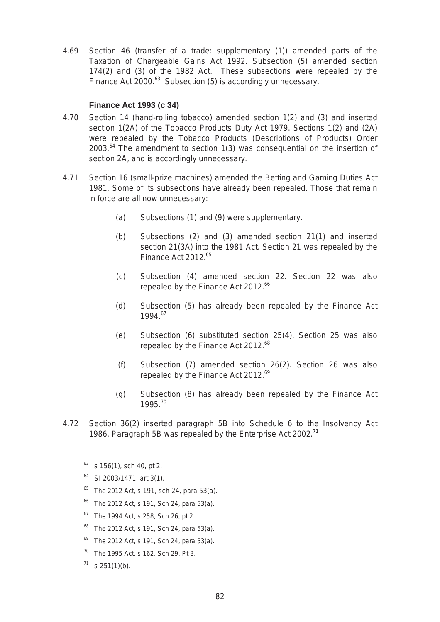4.69 Section 46 (transfer of a trade: supplementary (1)) amended parts of the Taxation of Chargeable Gains Act 1992. Subsection (5) amended section 174(2) and (3) of the 1982 Act. These subsections were repealed by the Finance Act 2000.<sup>63</sup> Subsection (5) is accordingly unnecessary.

## **Finance Act 1993 (c 34)**

- 4.70 Section 14 (hand-rolling tobacco) amended section 1(2) and (3) and inserted section 1(2A) of the Tobacco Products Duty Act 1979. Sections 1(2) and (2A) were repealed by the Tobacco Products (Descriptions of Products) Order  $2003<sup>64</sup>$  The amendment to section 1(3) was consequential on the insertion of section 2A, and is accordingly unnecessary.
- 4.71 Section 16 (small-prize machines) amended the Betting and Gaming Duties Act 1981. Some of its subsections have already been repealed. Those that remain in force are all now unnecessary:
	- (a) Subsections (1) and (9) were supplementary.
	- (b) Subsections (2) and (3) amended section 21(1) and inserted section 21(3A) into the 1981 Act. Section 21 was repealed by the Finance Act 2012.<sup>65</sup>
	- (c) Subsection (4) amended section 22. Section 22 was also repealed by the Finance Act 2012.<sup>66</sup>
	- (d) Subsection (5) has already been repealed by the Finance Act 1994.<sup>67</sup>
	- (e) Subsection (6) substituted section 25(4). Section 25 was also repealed by the Finance Act 2012.<sup>68</sup>
	- (f) Subsection (7) amended section 26(2). Section 26 was also repealed by the Finance Act 2012.<sup>69</sup>
	- (g) Subsection (8) has already been repealed by the Finance Act 1995.<sup>70</sup>
- 4.72 Section 36(2) inserted paragraph 5B into Schedule 6 to the Insolvency Act 1986. Paragraph 5B was repealed by the Enterprise Act 2002.<sup>71</sup>

 $63$  s 156(1), sch 40, pt 2.

- $64$  SI 2003/1471, art 3(1).
- $65$  The 2012 Act, s 191, sch 24, para 53(a).
- $66$  The 2012 Act, s 191, Sch 24, para 53(a).
- <sup>67</sup> The 1994 Act, s 258, Sch 26, pt 2.
- $68$  The 2012 Act, s 191, Sch 24, para 53(a).
- $69$  The 2012 Act, s 191, Sch 24, para 53(a).
- 70 The 1995 Act, s 162, Sch 29, Pt 3.
- $71$  s 251(1)(b).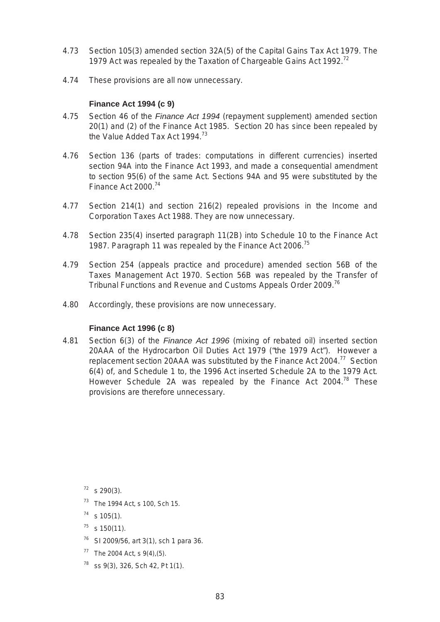- 4.73 Section 105(3) amended section 32A(5) of the Capital Gains Tax Act 1979. The 1979 Act was repealed by the Taxation of Chargeable Gains Act 1992.<sup>72</sup>
- 4.74 These provisions are all now unnecessary.

# **Finance Act 1994 (c 9)**

- 4.75 Section 46 of the *Finance Act 1994* (repayment supplement) amended section 20(1) and (2) of the Finance Act 1985. Section 20 has since been repealed by the Value Added Tax Act 1994.<sup>73</sup>
- 4.76 Section 136 (parts of trades: computations in different currencies) inserted section 94A into the Finance Act 1993, and made a consequential amendment to section 95(6) of the same Act. Sections 94A and 95 were substituted by the Finance Act 2000.<sup>74</sup>
- 4.77 Section 214(1) and section 216(2) repealed provisions in the Income and Corporation Taxes Act 1988. They are now unnecessary.
- 4.78 Section 235(4) inserted paragraph 11(2B) into Schedule 10 to the Finance Act 1987. Paragraph 11 was repealed by the Finance Act 2006.<sup>75</sup>
- 4.79 Section 254 (appeals practice and procedure) amended section 56B of the Taxes Management Act 1970. Section 56B was repealed by the Transfer of Tribunal Functions and Revenue and Customs Appeals Order 2009.<sup>76</sup>
- 4.80 Accordingly, these provisions are now unnecessary.

# **Finance Act 1996 (c 8)**

6(4) of, and Schedule 1 to, the 1996 Act inserted Schedule 2A to the 1979 Act. 4.81 Section 6(3) of the *Finance Act 1996* (mixing of rebated oil) inserted section 20AAA of the Hydrocarbon Oil Duties Act 1979 ("the 1979 Act"). However a replacement section 20AAA was substituted by the Finance Act  $2004$ <sup>77</sup> Section However Schedule 2A was repealed by the Finance Act 2004.<sup>78</sup> These provisions are therefore unnecessary.

 $72$  s 290(3).

 $73$  The 1994 Act, s 100, Sch 15.

 $74$  s 105(1).

- $^{75}$  s 150(11).
- $76$  SI 2009/56, art 3(1), sch 1 para 36.
- $77$  The 2004 Act, s 9(4), (5).
- $78$  ss 9(3), 326, Sch 42, Pt 1(1).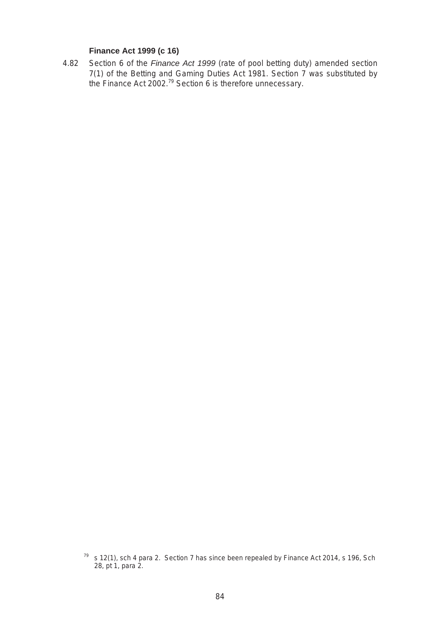## **Finance Act 1999 (c 16)**

4.82 Section 6 of the *Finance Act 1999* (rate of pool betting duty) amended section 7(1) of the Betting and Gaming Duties Act 1981. Section 7 was substituted by the Finance Act 2002.<sup>79</sup> Section 6 is therefore unnecessary.

 $79$  s 12(1), sch 4 para 2. Section 7 has since been repealed by Finance Act 2014, s 196, Sch 28, pt 1, para 2.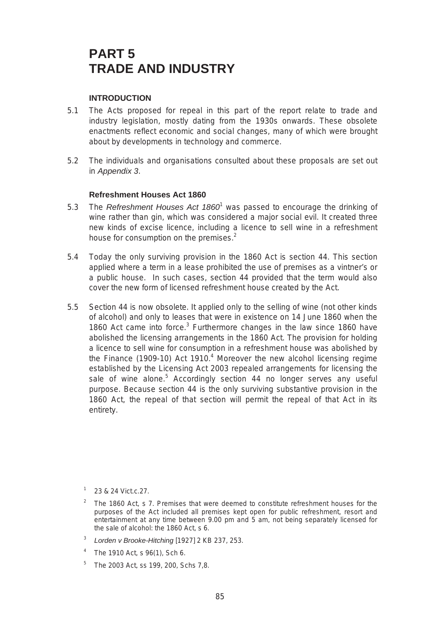# **PART 5 TRADE AND INDUSTRY**

## **INTRODUCTION**

- 5.1 The Acts proposed for repeal in this part of the report relate to trade and industry legislation, mostly dating from the 1930s onwards. These obsolete enactments reflect economic and social changes, many of which were brought about by developments in technology and commerce.
- 5.2 The individuals and organisations consulted about these proposals are set out in *Appendix 3*.

#### **Refreshment Houses Act 1860**

- 5.3 The *Refreshment Houses Act 1860<sup>1</sup>* was passed to encourage the drinking of wine rather than gin, which was considered a major social evil. It created three new kinds of excise licence, including a licence to sell wine in a refreshment house for consumption on the premises.<sup>2</sup>
- 5.4 Today the only surviving provision in the 1860 Act is section 44. This section applied where a term in a lease prohibited the use of premises as a vintner's or a public house. In such cases, section 44 provided that the term would also cover the new form of licensed refreshment house created by the Act.
- 5.5 Section 44 is now obsolete. It applied only to the selling of wine (not other kinds of alcohol) and only to leases that were in existence on 14 June 1860 when the 1860 Act came into force.<sup>3</sup> Furthermore changes in the law since 1860 have abolished the licensing arrangements in the 1860 Act. The provision for holding a licence to sell wine for consumption in a refreshment house was abolished by the Finance (1909-10) Act 1910.<sup>4</sup> Moreover the new alcohol licensing regime established by the Licensing Act 2003 repealed arrangements for licensing the sale of wine alone.<sup>5</sup> Accordingly section 44 no longer serves any useful purpose. Because section 44 is the only surviving substantive provision in the 1860 Act, the repeal of that section will permit the repeal of that Act in its entirety.

- The 1860 Act, s 7. Premises that were deemed to constitute refreshment houses for the purposes of the Act included all premises kept open for public refreshment, resort and entertainment at any time between 9.00 pm and 5 am, not being separately licensed for the sale of alcohol: the 1860 Act, s 6.
- <sup>3</sup>*Lorden v Brooke-Hitching* [1927] 2 KB 237, 253.
- $4$  The 1910 Act, s 96(1), Sch 6.
- <sup>5</sup> The 2003 Act, ss 199, 200, Schs 7.8.

<sup>23 &</sup>amp; 24 Vict.c.27.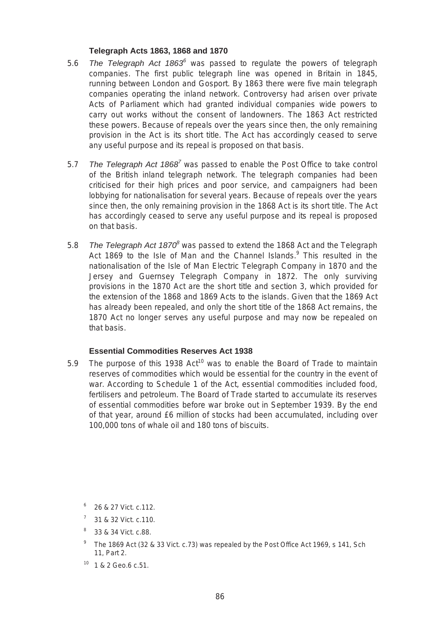## **Telegraph Acts 1863, 1868 and 1870**

- 5.6 The Telegraph Act 1863<sup>6</sup> was passed to regulate the powers of telegraph companies. The first public telegraph line was opened in Britain in 1845, running between London and Gosport. By 1863 there were five main telegraph companies operating the inland network. Controversy had arisen over private Acts of Parliament which had granted individual companies wide powers to carry out works without the consent of landowners. The 1863 Act restricted these powers. Because of repeals over the years since then, the only remaining provision in the Act is its short title. The Act has accordingly ceased to serve any useful purpose and its repeal is proposed on that basis.
- 5.7 *The Telegraph Act 1868<sup>7</sup>*was passed to enable the Post Office to take control of the British inland telegraph network. The telegraph companies had been criticised for their high prices and poor service, and campaigners had been lobbying for nationalisation for several years. Because of repeals over the years since then, the only remaining provision in the 1868 Act is its short title. The Act has accordingly ceased to serve any useful purpose and its repeal is proposed on that basis.
- 5.8 *The Telegraph Act 18708* was passed to extend the 1868 Act and the Telegraph Act 1869 to the Isle of Man and the Channel Islands.<sup>9</sup> This resulted in the nationalisation of the Isle of Man Electric Telegraph Company in 1870 and the Jersey and Guernsey Telegraph Company in 1872. The only surviving provisions in the 1870 Act are the short title and section 3, which provided for the extension of the 1868 and 1869 Acts to the islands. Given that the 1869 Act has already been repealed, and only the short title of the 1868 Act remains, the 1870 Act no longer serves any useful purpose and may now be repealed on that basis.

# **Essential Commodities Reserves Act 1938**

5.9 The purpose of this 1938  $Act^{10}$  was to enable the Board of Trade to maintain reserves of commodities which would be essential for the country in the event of war. According to Schedule 1 of the Act, essential commodities included food, fertilisers and petroleum. The Board of Trade started to accumulate its reserves of essential commodities before war broke out in September 1939. By the end of that year, around £6 million of stocks had been accumulated, including over 100,000 tons of whale oil and 180 tons of biscuits.

- 31 & 32 Vict. c.110.
- 8 33 & 34 Vict. c.88.
- <sup>9</sup> The 1869 Act (32 & 33 Vict. c.73) was repealed by the Post Office Act 1969, s 141, Sch 11, Part 2.
- 10 1 & 2 Geo.6 c.51.

<sup>6 26 &</sup>amp; 27 Vict. c.112.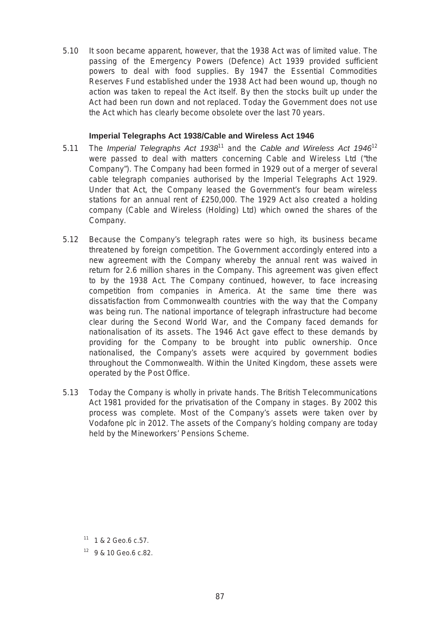5.10 It soon became apparent, however, that the 1938 Act was of limited value. The passing of the Emergency Powers (Defence) Act 1939 provided sufficient powers to deal with food supplies. By 1947 the Essential Commodities Reserves Fund established under the 1938 Act had been wound up, though no action was taken to repeal the Act itself. By then the stocks built up under the Act had been run down and not replaced. Today the Government does not use the Act which has clearly become obsolete over the last 70 years.

## **Imperial Telegraphs Act 1938/Cable and Wireless Act 1946**

- Company"). The Company had been formed in 1929 out of a merger of several cable telegraph companies authorised by the Imperial Telegraphs Act 1929. 5.11 The *Imperial Telegraphs Act 1938*11 and the *Cable and Wireless Act 1946*<sup>12</sup> were passed to deal with matters concerning Cable and Wireless Ltd ("the Under that Act, the Company leased the Government's four beam wireless stations for an annual rent of £250,000. The 1929 Act also created a holding company (Cable and Wireless (Holding) Ltd) which owned the shares of the Company.
- 5.12 Because the Company's telegraph rates were so high, its business became threatened by foreign competition. The Government accordingly entered into a new agreement with the Company whereby the annual rent was waived in return for 2.6 million shares in the Company. This agreement was given effect to by the 1938 Act. The Company continued, however, to face increasing competition from companies in America. At the same time there was dissatisfaction from Commonwealth countries with the way that the Company was being run. The national importance of telegraph infrastructure had become clear during the Second World War, and the Company faced demands for nationalisation of its assets. The 1946 Act gave effect to these demands by providing for the Company to be brought into public ownership. Once nationalised, the Company's assets were acquired by government bodies throughout the Commonwealth. Within the United Kingdom, these assets were operated by the Post Office.
- 5.13 Today the Company is wholly in private hands. The British Telecommunications Act 1981 provided for the privatisation of the Company in stages. By 2002 this process was complete. Most of the Company's assets were taken over by Vodafone plc in 2012. The assets of the Company's holding company are today held by the Mineworkers' Pensions Scheme.

<sup>11 1 &</sup>amp; 2 Geo.6 c.57.

<sup>12 9 &</sup>amp; 10 Geo.6 c.82.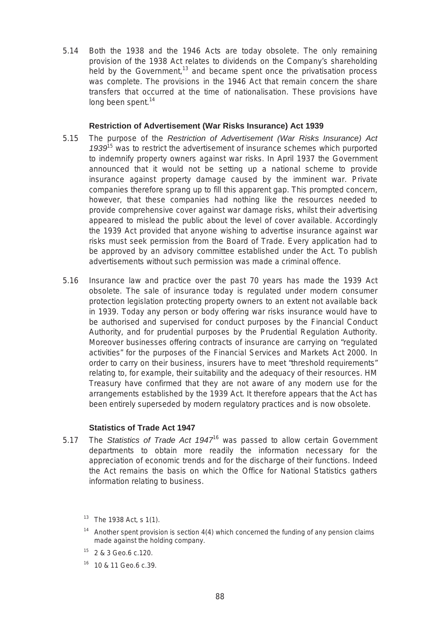5.14 Both the 1938 and the 1946 Acts are today obsolete. The only remaining provision of the 1938 Act relates to dividends on the Company's shareholding held by the Government, $13$  and became spent once the privatisation process was complete. The provisions in the 1946 Act that remain concern the share transfers that occurred at the time of nationalisation. These provisions have long been spent.<sup>14</sup>

## **Restriction of Advertisement (War Risks Insurance) Act 1939**

- 5.15 The purpose of the *Restriction of Advertisement (War Risks Insurance) Act 1939*15 was to restrict the advertisement of insurance schemes which purported to indemnify property owners against war risks. In April 1937 the Government announced that it would not be setting up a national scheme to provide insurance against property damage caused by the imminent war. Private companies therefore sprang up to fill this apparent gap. This prompted concern, however, that these companies had nothing like the resources needed to provide comprehensive cover against war damage risks, whilst their advertising appeared to mislead the public about the level of cover available. Accordingly the 1939 Act provided that anyone wishing to advertise insurance against war risks must seek permission from the Board of Trade. Every application had to be approved by an advisory committee established under the Act. To publish advertisements without such permission was made a criminal offence.
- 5.16 Insurance law and practice over the past 70 years has made the 1939 Act obsolete. The sale of insurance today is regulated under modern consumer protection legislation protecting property owners to an extent not available back in 1939. Today any person or body offering war risks insurance would have to be authorised and supervised for conduct purposes by the Financial Conduct Authority, and for prudential purposes by the Prudential Regulation Authority. Moreover businesses offering contracts of insurance are carrying on "regulated activities" for the purposes of the Financial Services and Markets Act 2000. In order to carry on their business, insurers have to meet "threshold requirements" relating to, for example, their suitability and the adequacy of their resources. HM Treasury have confirmed that they are not aware of any modern use for the arrangements established by the 1939 Act. It therefore appears that the Act has been entirely superseded by modern regulatory practices and is now obsolete.

#### **Statistics of Trade Act 1947**

5.17 The *Statistics of Trade Act 1947*16 was passed to allow certain Government departments to obtain more readily the information necessary for the appreciation of economic trends and for the discharge of their functions. Indeed the Act remains the basis on which the Office for National Statistics gathers information relating to business.

- $15$  2 & 3 Geo.6 c.120.
- $16$  10 & 11 Geo.6 c.39.

<sup>&</sup>lt;sup>13</sup> The 1938 Act, s 1(1).

<sup>&</sup>lt;sup>14</sup> Another spent provision is section  $4(4)$  which concerned the funding of any pension claims made against the holding company.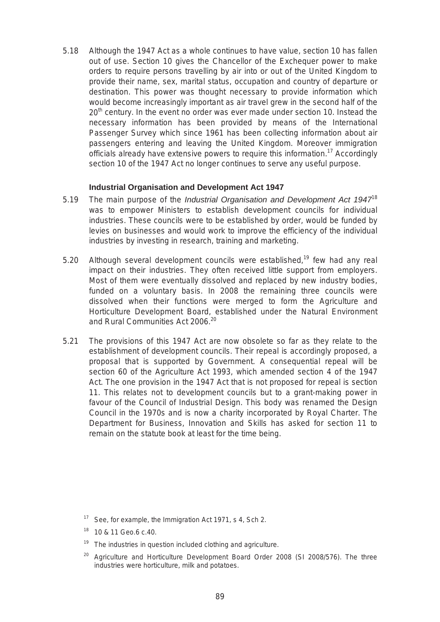5.18 Although the 1947 Act as a whole continues to have value, section 10 has fallen out of use. Section 10 gives the Chancellor of the Exchequer power to make orders to require persons travelling by air into or out of the United Kingdom to provide their name, sex, marital status, occupation and country of departure or destination. This power was thought necessary to provide information which would become increasingly important as air travel grew in the second half of the 20<sup>th</sup> century. In the event no order was ever made under section 10. Instead the necessary information has been provided by means of the International Passenger Survey which since 1961 has been collecting information about air passengers entering and leaving the United Kingdom. Moreover immigration officials already have extensive powers to require this information.<sup>17</sup> Accordingly section 10 of the 1947 Act no longer continues to serve any useful purpose.

#### **Industrial Organisation and Development Act 1947**

- 5.19 The main purpose of the *Industrial Organisation and Development Act 1947<sup>18</sup>* was to empower Ministers to establish development councils for individual industries. These councils were to be established by order, would be funded by levies on businesses and would work to improve the efficiency of the individual industries by investing in research, training and marketing.
- impact on their industries. They often received little support from employers. 5.20 Although several development councils were established,<sup>19</sup> few had any real Most of them were eventually dissolved and replaced by new industry bodies, funded on a voluntary basis. In 2008 the remaining three councils were dissolved when their functions were merged to form the Agriculture and Horticulture Development Board, established under the Natural Environment and Rural Communities Act 2006.<sup>20</sup>
- 5.21 The provisions of this 1947 Act are now obsolete so far as they relate to the establishment of development councils. Their repeal is accordingly proposed, a proposal that is supported by Government. A consequential repeal will be section 60 of the Agriculture Act 1993, which amended section 4 of the 1947 Act. The one provision in the 1947 Act that is not proposed for repeal is section 11. This relates not to development councils but to a grant-making power in favour of the Council of Industrial Design. This body was renamed the Design Council in the 1970s and is now a charity incorporated by Royal Charter. The Department for Business, Innovation and Skills has asked for section 11 to remain on the statute book at least for the time being.

<sup>&</sup>lt;sup>17</sup> See, for example, the Immigration Act 1971, s 4, Sch 2.

<sup>18 10 &</sup>amp; 11 Geo.6 c.40.

The industries in question included clothing and agriculture.

<sup>20</sup> Agriculture and Horticulture Development Board Order 2008 (SI 2008/576). The three industries were horticulture, milk and potatoes.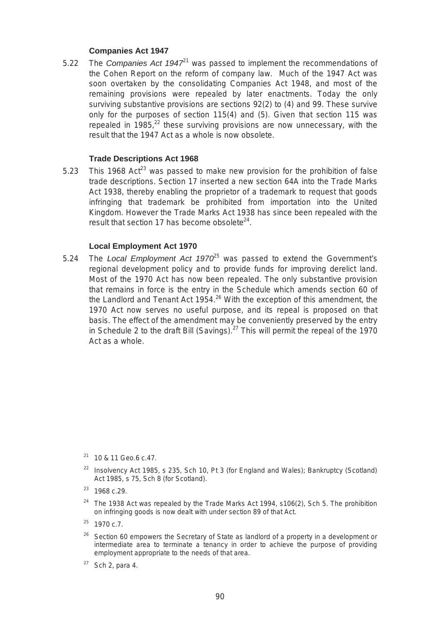# **Companies Act 1947**

5.22 The *Companies Act 1947*21 was passed to implement the recommendations of the Cohen Report on the reform of company law. Much of the 1947 Act was soon overtaken by the consolidating Companies Act 1948, and most of the remaining provisions were repealed by later enactments. Today the only surviving substantive provisions are sections 92(2) to (4) and 99. These survive only for the purposes of section 115(4) and (5). Given that section 115 was repealed in 1985, $^{22}$  these surviving provisions are now unnecessary, with the result that the 1947 Act as a whole is now obsolete.

## **Trade Descriptions Act 1968**

5.23 This 1968 Act<sup>23</sup> was passed to make new provision for the prohibition of false trade descriptions. Section 17 inserted a new section 64A into the Trade Marks Act 1938, thereby enabling the proprietor of a trademark to request that goods infringing that trademark be prohibited from importation into the United Kingdom. However the Trade Marks Act 1938 has since been repealed with the result that section 17 has become obsolete $24$ .

## **Local Employment Act 1970**

regional development policy and to provide funds for improving derelict land. 5.24 The *Local Employment Act 1970*<sup>25</sup> was passed to extend the Government's Most of the 1970 Act has now been repealed. The only substantive provision that remains in force is the entry in the Schedule which amends section 60 of the Landlord and Tenant Act  $1954<sup>26</sup>$  With the exception of this amendment, the 1970 Act now serves no useful purpose, and its repeal is proposed on that basis. The effect of the amendment may be conveniently preserved by the entry in Schedule 2 to the draft Bill (Savings). $27$  This will permit the repeal of the 1970 Act as a whole.

- $26$  Section 60 empowers the Secretary of State as landlord of a property in a development or intermediate area to terminate a tenancy in order to achieve the purpose of providing employment appropriate to the needs of that area.
- $27$  Sch 2, para 4.

 $21$  10 & 11 Geo.6 c.47.

<sup>&</sup>lt;sup>22</sup> Insolvency Act 1985, s 235, Sch 10, Pt 3 (for England and Wales); Bankruptcy (Scotland) Act 1985, s 75, Sch 8 (for Scotland).

 $23$  1968 c.29.

 $24$  The 1938 Act was repealed by the Trade Marks Act 1994, s106(2), Sch 5. The prohibition on infringing goods is now dealt with under section 89 of that Act.

<sup>&</sup>lt;sup>25</sup> 1970 c.7.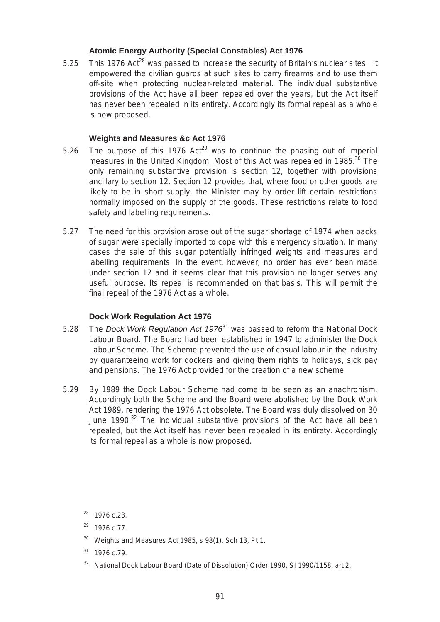# **Atomic Energy Authority (Special Constables) Act 1976**

5.25 This 1976 Act<sup>28</sup> was passed to increase the security of Britain's nuclear sites. It empowered the civilian guards at such sites to carry firearms and to use them off-site when protecting nuclear-related material. The individual substantive provisions of the Act have all been repealed over the years, but the Act itself has never been repealed in its entirety. Accordingly its formal repeal as a whole is now proposed.

# **Weights and Measures &c Act 1976**

- 5.26 The purpose of this 1976 Act<sup>29</sup> was to continue the phasing out of imperial measures in the United Kingdom. Most of this Act was repealed in 1985.<sup>30</sup> The only remaining substantive provision is section 12, together with provisions ancillary to section 12. Section 12 provides that, where food or other goods are likely to be in short supply, the Minister may by order lift certain restrictions normally imposed on the supply of the goods. These restrictions relate to food safety and labelling requirements.
- 5.27 The need for this provision arose out of the sugar shortage of 1974 when packs of sugar were specially imported to cope with this emergency situation. In many cases the sale of this sugar potentially infringed weights and measures and labelling requirements. In the event, however, no order has ever been made under section 12 and it seems clear that this provision no longer serves any useful purpose. Its repeal is recommended on that basis. This will permit the final repeal of the 1976 Act as a whole.

# **Dock Work Regulation Act 1976**

- 5.28 The *Dock Work Regulation Act 1976*31 was passed to reform the National Dock Labour Board. The Board had been established in 1947 to administer the Dock Labour Scheme. The Scheme prevented the use of casual labour in the industry by guaranteeing work for dockers and giving them rights to holidays, sick pay and pensions. The 1976 Act provided for the creation of a new scheme.
- 5.29 By 1989 the Dock Labour Scheme had come to be seen as an anachronism. Accordingly both the Scheme and the Board were abolished by the Dock Work Act 1989, rendering the 1976 Act obsolete. The Board was duly dissolved on 30 June  $1990.<sup>32</sup>$  The individual substantive provisions of the Act have all been repealed, but the Act itself has never been repealed in its entirety. Accordingly its formal repeal as a whole is now proposed.

- <sup>30</sup> Weights and Measures Act 1985, s 98(1), Sch 13, Pt 1.
- 31 1976 c.79.
- 32 National Dock Labour Board (Date of Dissolution) Order 1990, SI 1990/1158, art 2.

<sup>28 1976</sup> c.23.

<sup>29 1976</sup> c.77.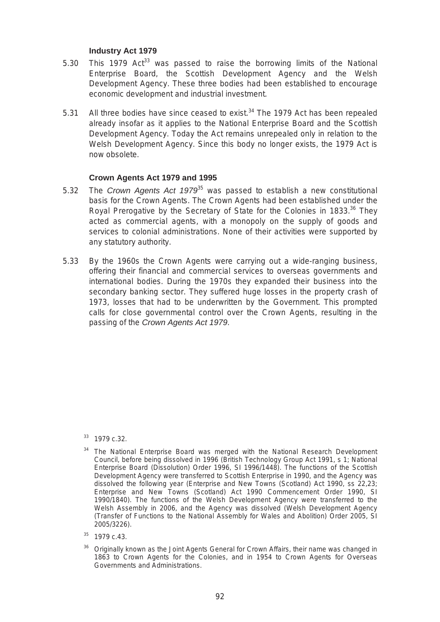# **Industry Act 1979**

- 5.30 This 1979  $Act^{33}$  was passed to raise the borrowing limits of the National Enterprise Board, the Scottish Development Agency and the Welsh Development Agency. These three bodies had been established to encourage economic development and industrial investment.
- 5.31 All three bodies have since ceased to exist. $34$  The 1979 Act has been repealed already insofar as it applies to the National Enterprise Board and the Scottish Development Agency. Today the Act remains unrepealed only in relation to the Welsh Development Agency. Since this body no longer exists, the 1979 Act is now obsolete.

# **Crown Agents Act 1979 and 1995**

- 5.32 The *Crown Agents Act 1979*35 was passed to establish a new constitutional basis for the Crown Agents. The Crown Agents had been established under the Royal Prerogative by the Secretary of State for the Colonies in 1833.<sup>36</sup> They acted as commercial agents, with a monopoly on the supply of goods and services to colonial administrations. None of their activities were supported by any statutory authority.
- 5.33 By the 1960s the Crown Agents were carrying out a wide-ranging business, offering their financial and commercial services to overseas governments and international bodies. During the 1970s they expanded their business into the secondary banking sector. They suffered huge losses in the property crash of 1973, losses that had to be underwritten by the Government. This prompted calls for close governmental control over the Crown Agents, resulting in the passing of the *Crown Agents Act 1979*.

<sup>33 1979</sup> c.32.

<sup>&</sup>lt;sup>34</sup> The National Enterprise Board was merged with the National Research Development Council, before being dissolved in 1996 (British Technology Group Act 1991, s 1; National Enterprise Board (Dissolution) Order 1996, SI 1996/1448). The functions of the Scottish Development Agency were transferred to Scottish Enterprise in 1990, and the Agency was dissolved the following year (Enterprise and New Towns (Scotland) Act 1990, ss 22,23; Enterprise and New Towns (Scotland) Act 1990 Commencement Order 1990, SI 1990/1840). The functions of the Welsh Development Agency were transferred to the Welsh Assembly in 2006, and the Agency was dissolved (Welsh Development Agency (Transfer of Functions to the National Assembly for Wales and Abolition) Order 2005, SI 2005/3226).

<sup>35 1979</sup> c.43.

<sup>&</sup>lt;sup>36</sup> Originally known as the Joint Agents General for Crown Affairs, their name was changed in 1863 to Crown Agents for the Colonies, and in 1954 to Crown Agents for Overseas Governments and Administrations.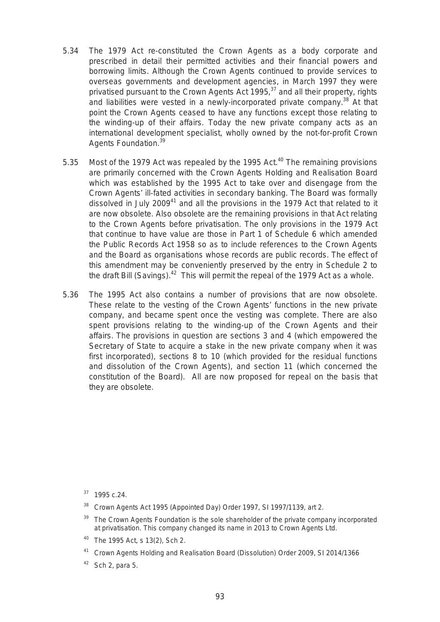- 5.34 The 1979 Act re-constituted the Crown Agents as a body corporate and prescribed in detail their permitted activities and their financial powers and borrowing limits. Although the Crown Agents continued to provide services to overseas governments and development agencies, in March 1997 they were privatised pursuant to the Crown Agents Act 1995, $37$  and all their property, rights and liabilities were vested in a newly-incorporated private company.<sup>38</sup> At that point the Crown Agents ceased to have any functions except those relating to the winding-up of their affairs. Today the new private company acts as an international development specialist, wholly owned by the not-for-profit Crown Agents Foundation.<sup>39</sup>
- 5.35 Most of the 1979 Act was repealed by the 1995 Act.<sup>40</sup> The remaining provisions are primarily concerned with the Crown Agents Holding and Realisation Board which was established by the 1995 Act to take over and disengage from the Crown Agents' ill-fated activities in secondary banking. The Board was formally dissolved in July 2009 $41$  and all the provisions in the 1979 Act that related to it are now obsolete. Also obsolete are the remaining provisions in that Act relating to the Crown Agents before privatisation. The only provisions in the 1979 Act that continue to have value are those in Part 1 of Schedule 6 which amended the Public Records Act 1958 so as to include references to the Crown Agents and the Board as organisations whose records are public records. The effect of this amendment may be conveniently preserved by the entry in Schedule 2 to the draft Bill (Savings).<sup>42</sup> This will permit the repeal of the 1979 Act as a whole.
- 5.36 The 1995 Act also contains a number of provisions that are now obsolete. These relate to the vesting of the Crown Agents' functions in the new private company, and became spent once the vesting was complete. There are also spent provisions relating to the winding-up of the Crown Agents and their affairs. The provisions in question are sections 3 and 4 (which empowered the Secretary of State to acquire a stake in the new private company when it was first incorporated), sections 8 to 10 (which provided for the residual functions and dissolution of the Crown Agents), and section 11 (which concerned the constitution of the Board). All are now proposed for repeal on the basis that they are obsolete.

- <sup>38</sup> Crown Agents Act 1995 (Appointed Day) Order 1997, SI 1997/1139, art 2.
- The Crown Agents Foundation is the sole shareholder of the private company incorporated at privatisation. This company changed its name in 2013 to Crown Agents Ltd.
- 40 The 1995 Act, s 13(2), Sch 2.
- <sup>41</sup> Crown Agents Holding and Realisation Board (Dissolution) Order 2009, SI 2014/1366
- Sch 2, para 5.

<sup>37 1995</sup> c.24.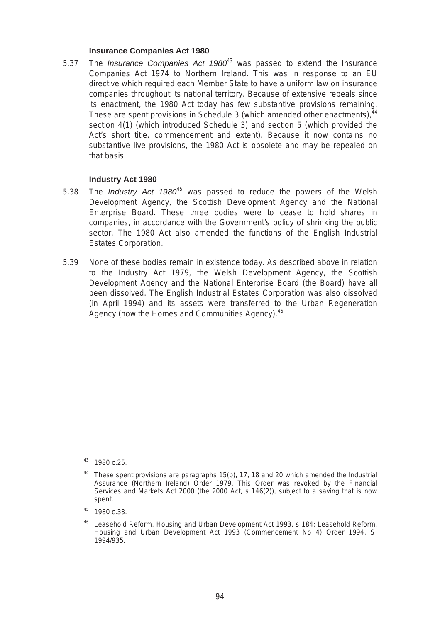## **Insurance Companies Act 1980**

5.37 The *Insurance Companies Act 1980*43 was passed to extend the Insurance Companies Act 1974 to Northern Ireland. This was in response to an EU directive which required each Member State to have a uniform law on insurance companies throughout its national territory. Because of extensive repeals since its enactment, the 1980 Act today has few substantive provisions remaining. These are spent provisions in Schedule 3 (which amended other enactments),  $44$ section 4(1) (which introduced Schedule 3) and section 5 (which provided the Act's short title, commencement and extent). Because it now contains no substantive live provisions, the 1980 Act is obsolete and may be repealed on that basis.

## **Industry Act 1980**

- 5.38 The *Industry Act 1980*45 was passed to reduce the powers of the Welsh Development Agency, the Scottish Development Agency and the National Enterprise Board. These three bodies were to cease to hold shares in companies, in accordance with the Government's policy of shrinking the public sector. The 1980 Act also amended the functions of the English Industrial Estates Corporation.
- 5.39 None of these bodies remain in existence today. As described above in relation to the Industry Act 1979, the Welsh Development Agency, the Scottish Development Agency and the National Enterprise Board (the Board) have all been dissolved. The English Industrial Estates Corporation was also dissolved (in April 1994) and its assets were transferred to the Urban Regeneration Agency (now the Homes and Communities Agency).<sup>46</sup>

<sup>43 1980</sup> c.25.

<sup>&</sup>lt;sup>44</sup> These spent provisions are paragraphs 15(b), 17, 18 and 20 which amended the Industrial Assurance (Northern Ireland) Order 1979. This Order was revoked by the Financial Services and Markets Act 2000 (the 2000 Act, s 146(2)), subject to a saving that is now spent.

<sup>45 1980</sup> c.33.

Leasehold Reform, Housing and Urban Development Act 1993, s 184; Leasehold Reform, Housing and Urban Development Act 1993 (Commencement No 4) Order 1994, SI 1994/935.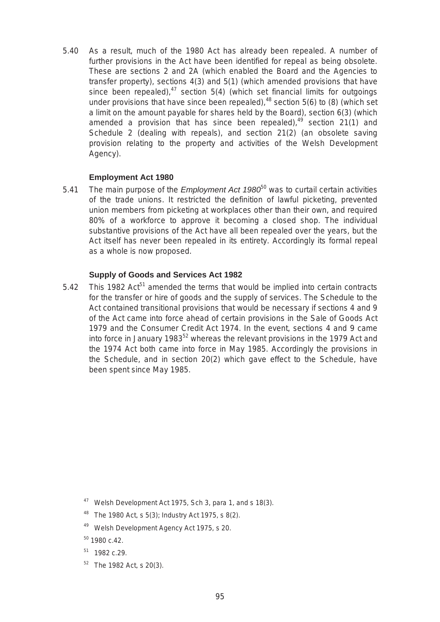5.40 As a result, much of the 1980 Act has already been repealed. A number of further provisions in the Act have been identified for repeal as being obsolete. These are sections 2 and 2A (which enabled the Board and the Agencies to transfer property), sections 4(3) and 5(1) (which amended provisions that have since been repealed),  $47$  section 5(4) (which set financial limits for outgoings under provisions that have since been repealed),  $48$  section 5(6) to (8) (which set a limit on the amount payable for shares held by the Board), section 6(3) (which amended a provision that has since been repealed), $49$  section 21(1) and Schedule 2 (dealing with repeals), and section 21(2) (an obsolete saving provision relating to the property and activities of the Welsh Development Agency).

## **Employment Act 1980**

5.41 The main purpose of the *Employment Act 1980*50 was to curtail certain activities of the trade unions. It restricted the definition of lawful picketing, prevented union members from picketing at workplaces other than their own, and required 80% of a workforce to approve it becoming a closed shop. The individual substantive provisions of the Act have all been repealed over the years, but the Act itself has never been repealed in its entirety. Accordingly its formal repeal as a whole is now proposed.

# **Supply of Goods and Services Act 1982**

5.42 This 1982 Act<sup>51</sup> amended the terms that would be implied into certain contracts for the transfer or hire of goods and the supply of services. The Schedule to the Act contained transitional provisions that would be necessary if sections 4 and 9 of the Act came into force ahead of certain provisions in the Sale of Goods Act 1979 and the Consumer Credit Act 1974. In the event, sections 4 and 9 came into force in January 1983<sup>52</sup> whereas the relevant provisions in the 1979 Act and the 1974 Act both came into force in May 1985. Accordingly the provisions in the Schedule, and in section 20(2) which gave effect to the Schedule, have been spent since May 1985.

49 Welsh Development Agency Act 1975, s 20.

- $51$  1982 c.29.
- $52$  The 1982 Act, s 20(3).

<sup>47</sup> Welsh Development Act 1975, Sch 3, para 1, and s 18(3).

<sup>&</sup>lt;sup>48</sup> The 1980 Act, s 5(3); Industry Act 1975, s 8(2).

<sup>50 1980</sup> c.42.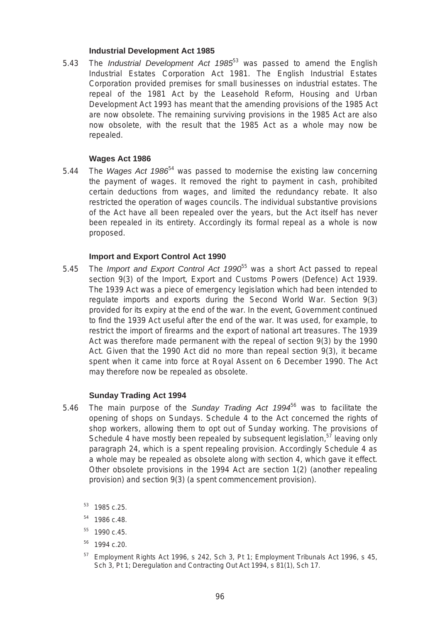## **Industrial Development Act 1985**

5.43 The *Industrial Development Act 1985*53 was passed to amend the English Industrial Estates Corporation Act 1981. The English Industrial Estates Corporation provided premises for small businesses on industrial estates. The repeal of the 1981 Act by the Leasehold Reform, Housing and Urban Development Act 1993 has meant that the amending provisions of the 1985 Act are now obsolete. The remaining surviving provisions in the 1985 Act are also now obsolete, with the result that the 1985 Act as a whole may now be repealed.

## **Wages Act 1986**

5.44 The *Wages Act 1986*54 was passed to modernise the existing law concerning the payment of wages. It removed the right to payment in cash, prohibited certain deductions from wages, and limited the redundancy rebate. It also restricted the operation of wages councils. The individual substantive provisions of the Act have all been repealed over the years, but the Act itself has never been repealed in its entirety. Accordingly its formal repeal as a whole is now proposed.

## **Import and Export Control Act 1990**

5.45 The *Import and Export Control Act 1990*55 was a short Act passed to repeal section 9(3) of the Import, Export and Customs Powers (Defence) Act 1939. The 1939 Act was a piece of emergency legislation which had been intended to regulate imports and exports during the Second World War. Section 9(3) provided for its expiry at the end of the war. In the event, Government continued to find the 1939 Act useful after the end of the war. It was used, for example, to restrict the import of firearms and the export of national art treasures. The 1939 Act was therefore made permanent with the repeal of section 9(3) by the 1990 Act. Given that the 1990 Act did no more than repeal section 9(3), it became spent when it came into force at Royal Assent on 6 December 1990. The Act may therefore now be repealed as obsolete.

#### **Sunday Trading Act 1994**

- 5.46 The main purpose of the *Sunday Trading Act 1994*56 was to facilitate the opening of shops on Sundays. Schedule 4 to the Act concerned the rights of shop workers, allowing them to opt out of Sunday working. The provisions of Schedule 4 have mostly been repealed by subsequent legislation,<sup>57</sup> leaving only paragraph 24, which is a spent repealing provision. Accordingly Schedule 4 as a whole may be repealed as obsolete along with section 4, which gave it effect. Other obsolete provisions in the 1994 Act are section 1(2) (another repealing provision) and section 9(3) (a spent commencement provision).
	- $53$  1985 c.25.
	- $54$  1986 c.48.
	- $55$  1990 c.45.
	- 56 1994 c.20.
	- Employment Rights Act 1996, s 242, Sch 3, Pt 1; Employment Tribunals Act 1996, s 45, Sch 3, Pt 1; Deregulation and Contracting Out Act 1994, s 81(1), Sch 17.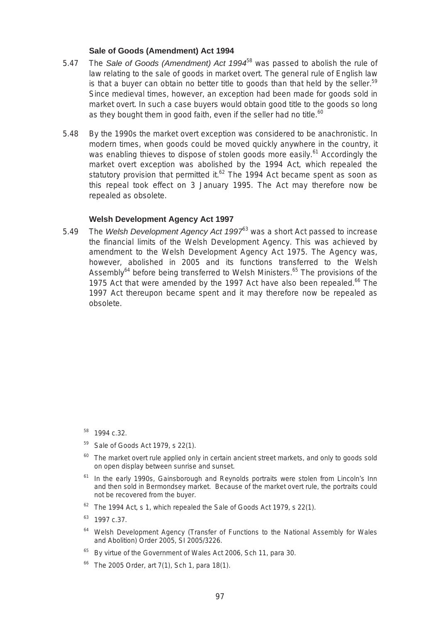## **Sale of Goods (Amendment) Act 1994**

- 5.47 The *Sale of Goods (Amendment) Act 1994*58 was passed to abolish the rule of law relating to the sale of goods in market overt. The general rule of English law is that a buyer can obtain no better title to goods than that held by the seller.<sup>59</sup> Since medieval times, however, an exception had been made for goods sold in market overt. In such a case buyers would obtain good title to the goods so long as they bought them in good faith, even if the seller had no title. $60$
- 5.48 By the 1990s the market overt exception was considered to be anachronistic. In modern times, when goods could be moved quickly anywhere in the country, it was enabling thieves to dispose of stolen goods more easily.<sup>61</sup> Accordingly the market overt exception was abolished by the 1994 Act, which repealed the statutory provision that permitted it. $62$  The 1994 Act became spent as soon as this repeal took effect on 3 January 1995. The Act may therefore now be repealed as obsolete.

## **Welsh Development Agency Act 1997**

5.49 The *Welsh Development Agency Act 1997*63 was a short Act passed to increase the financial limits of the Welsh Development Agency. This was achieved by amendment to the Welsh Development Agency Act 1975. The Agency was, however, abolished in 2005 and its functions transferred to the Welsh Assembly<sup>64</sup> before being transferred to Welsh Ministers.<sup>65</sup> The provisions of the 1975 Act that were amended by the 1997 Act have also been repealed. $66$  The 1997 Act thereupon became spent and it may therefore now be repealed as obsolete.

- Sale of Goods Act 1979, s 22(1).
- $60$  The market overt rule applied only in certain ancient street markets, and only to goods sold on open display between sunrise and sunset.
- <sup>61</sup> In the early 1990s, Gainsborough and Reynolds portraits were stolen from Lincoln's Inn and then sold in Bermondsey market. Because of the market overt rule, the portraits could not be recovered from the buyer.
- $62$  The 1994 Act, s 1, which repealed the Sale of Goods Act 1979, s 22(1).
- $63$  1997 c.37.
- <sup>64</sup> Welsh Development Agency (Transfer of Functions to the National Assembly for Wales and Abolition) Order 2005, SI 2005/3226.
- <sup>65</sup> By virtue of the Government of Wales Act 2006, Sch 11, para 30.
- The 2005 Order, art 7(1), Sch 1, para 18(1).

<sup>58 1994</sup> c.32.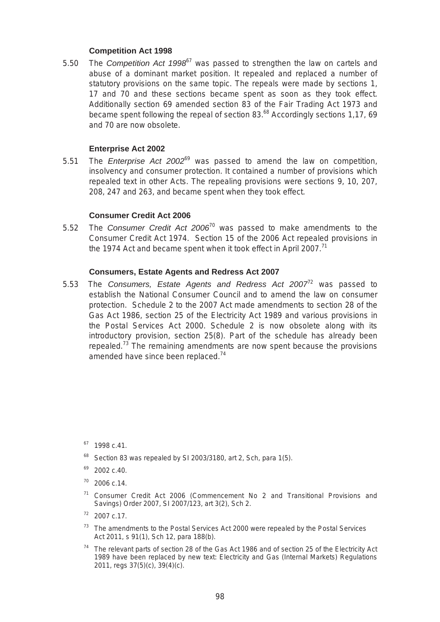## **Competition Act 1998**

 17 and 70 and these sections became spent as soon as they took effect. 5.50 The *Competition Act 1998*67 was passed to strengthen the law on cartels and abuse of a dominant market position. It repealed and replaced a number of statutory provisions on the same topic. The repeals were made by sections 1, Additionally section 69 amended section 83 of the Fair Trading Act 1973 and became spent following the repeal of section 83.<sup>68</sup> Accordingly sections 1,17, 69 and 70 are now obsolete.

# **Enterprise Act 2002**

5.51 The *Enterprise Act 2002*69 was passed to amend the law on competition, insolvency and consumer protection. It contained a number of provisions which repealed text in other Acts. The repealing provisions were sections 9, 10, 207, 208, 247 and 263, and became spent when they took effect.

## **Consumer Credit Act 2006**

5.52 The *Consumer Credit Act 2006*70 was passed to make amendments to the Consumer Credit Act 1974. Section 15 of the 2006 Act repealed provisions in the 1974 Act and became spent when it took effect in April 2007.<sup>71</sup>

#### **Consumers, Estate Agents and Redress Act 2007**

5.53 The *Consumers, Estate Agents and Redress Act 2007*72 was passed to establish the National Consumer Council and to amend the law on consumer protection. Schedule 2 to the 2007 Act made amendments to section 28 of the Gas Act 1986, section 25 of the Electricity Act 1989 and various provisions in the Postal Services Act 2000. Schedule 2 is now obsolete along with its introductory provision, section 25(8). Part of the schedule has already been repealed.<sup>73</sup> The remaining amendments are now spent because the provisions amended have since been replaced.<sup>74</sup>

- $68$  Section 83 was repealed by SI 2003/3180, art 2, Sch, para 1(5).
- 69 2002 c.40.
- $70$  2006 c.14.
- 71 Consumer Credit Act 2006 (Commencement No 2 and Transitional Provisions and Savings) Order 2007, SI 2007/123, art 3(2), Sch 2.
- $72$  2007 c.17.
- $73$  The amendments to the Postal Services Act 2000 were repealed by the Postal Services Act 2011, s 91(1), Sch 12, para 188(b).
- $74$  The relevant parts of section 28 of the Gas Act 1986 and of section 25 of the Electricity Act 1989 have been replaced by new text: Electricity and Gas (Internal Markets) Regulations 2011, regs 37(5)(c), 39(4)(c).

 $67$  1998 c.41.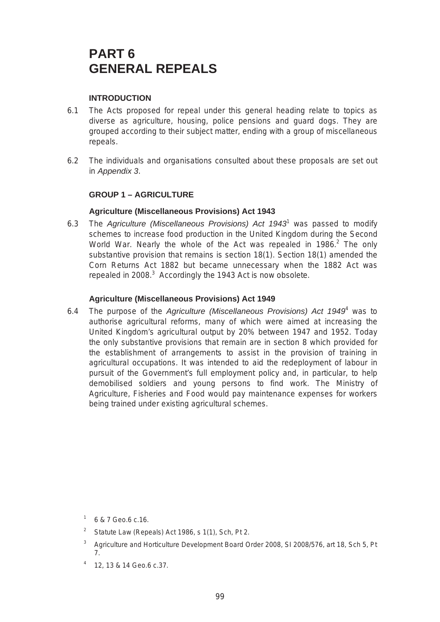# **PART 6 GENERAL REPEALS**

# **INTRODUCTION**

- 6.1 The Acts proposed for repeal under this general heading relate to topics as diverse as agriculture, housing, police pensions and guard dogs. They are grouped according to their subject matter, ending with a group of miscellaneous repeals.
- 6.2 The individuals and organisations consulted about these proposals are set out in *Appendix 3*.

# **GROUP 1 – AGRICULTURE**

# **Agriculture (Miscellaneous Provisions) Act 1943**

6.3 The *Agriculture (Miscellaneous Provisions) Act 1943*<sup>1</sup> was passed to modify schemes to increase food production in the United Kingdom during the Second World War. Nearly the whole of the Act was repealed in 1986. $^2$  The only substantive provision that remains is section 18(1). Section 18(1) amended the Corn Returns Act 1882 but became unnecessary when the 1882 Act was repealed in 2008. $3$  Accordingly the 1943 Act is now obsolete.

# **Agriculture (Miscellaneous Provisions) Act 1949**

6.4 The purpose of the *Agriculture (Miscellaneous Provisions) Act 1949*<sup>4</sup> was to authorise agricultural reforms, many of which were aimed at increasing the United Kingdom's agricultural output by 20% between 1947 and 1952. Today the only substantive provisions that remain are in section 8 which provided for the establishment of arrangements to assist in the provision of training in agricultural occupations. It was intended to aid the redeployment of labour in pursuit of the Government's full employment policy and, in particular, to help demobilised soldiers and young persons to find work. The Ministry of Agriculture, Fisheries and Food would pay maintenance expenses for workers being trained under existing agricultural schemes.

- 1 6 & 7 Geo.6 c.16.
- <sup>2</sup> Statute Law (Repeals) Act 1986, s 1(1), Sch, Pt 2.
- <sup>3</sup> Agriculture and Horticulture Development Board Order 2008, SI 2008/576, art 18, Sch 5, Pt 7.
- 4 12, 13 & 14 Geo.6 c.37.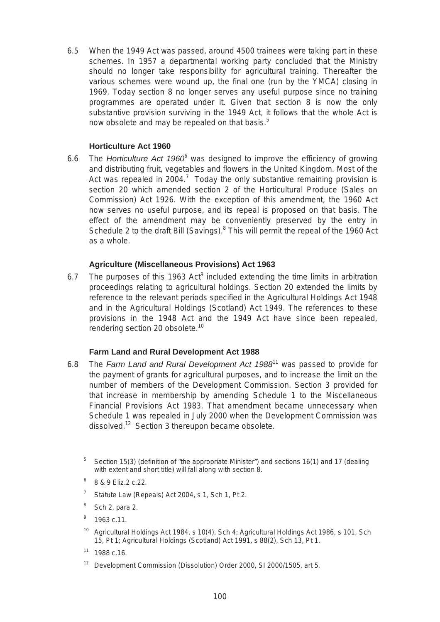6.5 When the 1949 Act was passed, around 4500 trainees were taking part in these schemes. In 1957 a departmental working party concluded that the Ministry should no longer take responsibility for agricultural training. Thereafter the various schemes were wound up, the final one (run by the YMCA) closing in 1969. Today section 8 no longer serves any useful purpose since no training programmes are operated under it. Given that section 8 is now the only substantive provision surviving in the 1949 Act, it follows that the whole Act is now obsolete and may be repealed on that basis.<sup>5</sup>

# **Horticulture Act 1960**

 effect of the amendment may be conveniently preserved by the entry in 6.6 The *Horticulture Act 1960*<sup>6</sup> was designed to improve the efficiency of growing and distributing fruit, vegetables and flowers in the United Kingdom. Most of the Act was repealed in 2004.<sup>7</sup> Today the only substantive remaining provision is section 20 which amended section 2 of the Horticultural Produce (Sales on Commission) Act 1926. With the exception of this amendment, the 1960 Act now serves no useful purpose, and its repeal is proposed on that basis. The Schedule 2 to the draft Bill (Savings).<sup>8</sup> This will permit the repeal of the 1960 Act as a whole.

# **Agriculture (Miscellaneous Provisions) Act 1963**

6.7 The purposes of this 1963 Act<sup>9</sup> included extending the time limits in arbitration proceedings relating to agricultural holdings. Section 20 extended the limits by reference to the relevant periods specified in the Agricultural Holdings Act 1948 and in the Agricultural Holdings (Scotland) Act 1949. The references to these provisions in the 1948 Act and the 1949 Act have since been repealed, rendering section 20 obsolete.<sup>10</sup>

# **Farm Land and Rural Development Act 1988**

- 6.8 The *Farm Land and Rural Development Act 1988*11 was passed to provide for the payment of grants for agricultural purposes, and to increase the limit on the number of members of the Development Commission. Section 3 provided for that increase in membership by amending Schedule 1 to the Miscellaneous Financial Provisions Act 1983. That amendment became unnecessary when Schedule 1 was repealed in July 2000 when the Development Commission was dissolved.<sup>12</sup> Section 3 thereupon became obsolete.
	- $5$  Section 15(3) (definition of "the appropriate Minister") and sections 16(1) and 17 (dealing with extent and short title) will fall along with section 8.
	- $6 \times 8.9$  Eliz. 2 c. 22.
	- $7$  Statute Law (Repeals) Act 2004, s 1, Sch 1, Pt 2.
	- $8$  Sch 2, para 2.
	- $9$  1963 c.11.
	- Agricultural Holdings Act 1984, s 10(4), Sch 4; Agricultural Holdings Act 1986, s 101, Sch 15, Pt 1; Agricultural Holdings (Scotland) Act 1991, s 88(2), Sch 13, Pt 1.
	- $11$  1988 c.16.
	- Development Commission (Dissolution) Order 2000, SI 2000/1505, art 5.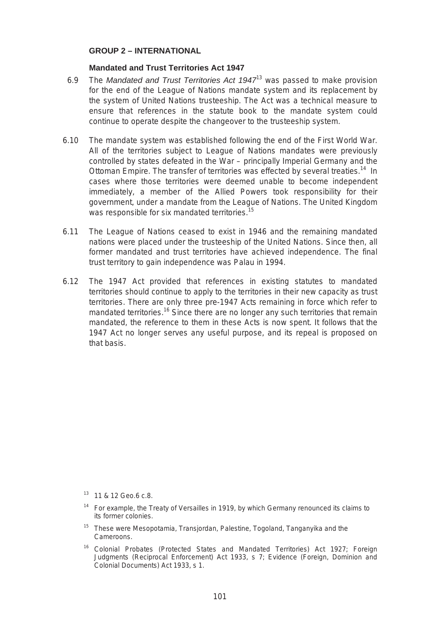## **GROUP 2 – INTERNATIONAL**

## **Mandated and Trust Territories Act 1947**

- 6.9 The *Mandated and Trust Territories Act 1947*13 was passed to make provision for the end of the League of Nations mandate system and its replacement by the system of United Nations trusteeship. The Act was a technical measure to ensure that references in the statute book to the mandate system could continue to operate despite the changeover to the trusteeship system.
- The mandate system was established following the end of the First World War. 6.10 The mandate system was established following the end of the First World War.<br>All of the territories subject to League of Nations mandates were previously controlled by states defeated in the War – principally Imperial Germany and the Ottoman Empire. The transfer of territories was effected by several treaties.<sup>14</sup> In cases where those territories were deemed unable to become independent immediately, a member of the Allied Powers took responsibility for their government, under a mandate from the League of Nations. The United Kingdom was responsible for six mandated territories.<sup>15</sup>
- 6.11 The League of Nations ceased to exist in 1946 and the remaining mandated nations were placed under the trusteeship of the United Nations. Since then, all former mandated and trust territories have achieved independence. The final trust territory to gain independence was Palau in 1994.
- 6.12 The 1947 Act provided that references in existing statutes to mandated territories should continue to apply to the territories in their new capacity as trust territories. There are only three pre-1947 Acts remaining in force which refer to mandated territories.<sup>16</sup> Since there are no longer any such territories that remain mandated, the reference to them in these Acts is now spent. It follows that the 1947 Act no longer serves any useful purpose, and its repeal is proposed on that basis.

<sup>&</sup>lt;sup>13</sup> 11 & 12 Geo.6 c.8.

 $14$  For example, the Treaty of Versailles in 1919, by which Germany renounced its claims to its former colonies.

<sup>&</sup>lt;sup>15</sup> These were Mesopotamia, Transjordan, Palestine, Togoland, Tanganyika and the Cameroons.

<sup>&</sup>lt;sup>16</sup> Colonial Probates (Protected States and Mandated Territories) Act 1927; Foreign Judgments (Reciprocal Enforcement) Act 1933, s 7; Evidence (Foreign, Dominion and Colonial Documents) Act 1933, s 1.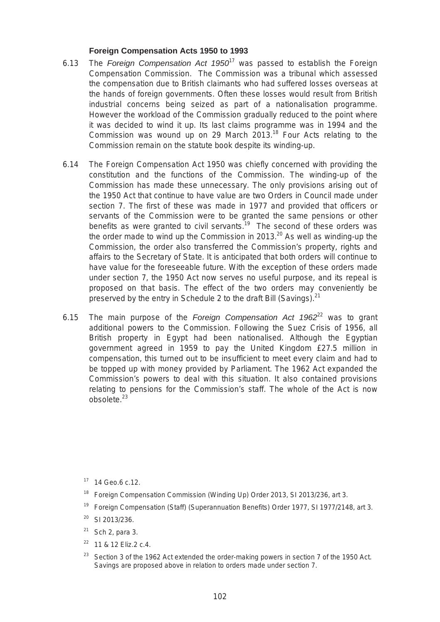## **Foreign Compensation Acts 1950 to 1993**

- 6.13 The *Foreign Compensation Act 1950*17 was passed to establish the Foreign Compensation Commission. The Commission was a tribunal which assessed the compensation due to British claimants who had suffered losses overseas at the hands of foreign governments. Often these losses would result from British industrial concerns being seized as part of a nationalisation programme. However the workload of the Commission gradually reduced to the point where it was decided to wind it up. Its last claims programme was in 1994 and the Commission was wound up on 29 March 2013.<sup>18</sup> Four Acts relating to the Commission remain on the statute book despite its winding-up.
- 6.14 The Foreign Compensation Act 1950 was chiefly concerned with providing the constitution and the functions of the Commission. The winding-up of the Commission has made these unnecessary. The only provisions arising out of the 1950 Act that continue to have value are two Orders in Council made under section 7. The first of these was made in 1977 and provided that officers or servants of the Commission were to be granted the same pensions or other benefits as were granted to civil servants.<sup>19</sup> The second of these orders was the order made to wind up the Commission in 2013. $^{20}$  As well as winding-up the Commission, the order also transferred the Commission's property, rights and affairs to the Secretary of State. It is anticipated that both orders will continue to have value for the foreseeable future. With the exception of these orders made under section 7, the 1950 Act now serves no useful purpose, and its repeal is proposed on that basis. The effect of the two orders may conveniently be preserved by the entry in Schedule 2 to the draft Bill (Savings).<sup>21</sup>
- 6.15 The main purpose of the *Foreign Compensation Act 1962*22 was to grant additional powers to the Commission. Following the Suez Crisis of 1956, all British property in Egypt had been nationalised. Although the Egyptian government agreed in 1959 to pay the United Kingdom £27.5 million in compensation, this turned out to be insufficient to meet every claim and had to be topped up with money provided by Parliament. The 1962 Act expanded the Commission's powers to deal with this situation. It also contained provisions relating to pensions for the Commission's staff. The whole of the Act is now  $obso$ lete. $23$

<sup>17</sup> 14 Geo.6 c.12.

- <sup>18</sup> Foreign Compensation Commission (Winding Up) Order 2013, SI 2013/236, art 3.
- <sup>19</sup> Foreign Compensation (Staff) (Superannuation Benefits) Order 1977, SI 1977/2148, art 3.
- $20$  SI 2013/236.
- $21$  Sch 2, para 3.
- $22$  11 & 12 Eliz.2 c.4.
- <sup>23</sup> Section 3 of the 1962 Act extended the order-making powers in section 7 of the 1950 Act. Savings are proposed above in relation to orders made under section 7.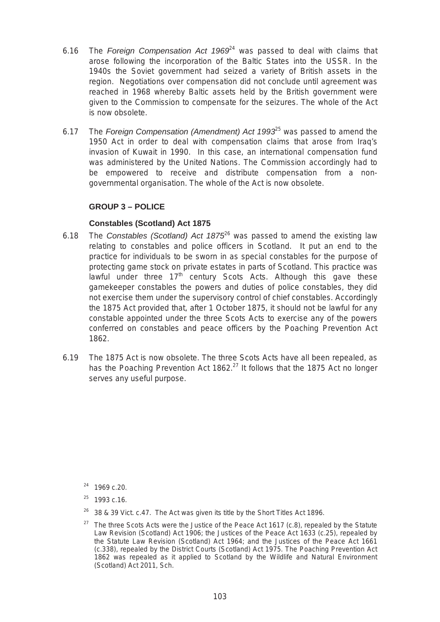- arose following the incorporation of the Baltic States into the USSR. In the 6.16 The *Foreign Compensation Act 1969*24 was passed to deal with claims that 1940s the Soviet government had seized a variety of British assets in the region. Negotiations over compensation did not conclude until agreement was reached in 1968 whereby Baltic assets held by the British government were given to the Commission to compensate for the seizures. The whole of the Act is now obsolete.
- 6.17 The *Foreign Compensation (Amendment) Act 1993*25 was passed to amend the 1950 Act in order to deal with compensation claims that arose from Iraq's invasion of Kuwait in 1990. In this case, an international compensation fund was administered by the United Nations. The Commission accordingly had to be empowered to receive and distribute compensation from a nongovernmental organisation. The whole of the Act is now obsolete.

# **GROUP 3 – POLICE**

# **Constables (Scotland) Act 1875**

- 6.18 The *Constables (Scotland) Act 1875*26 was passed to amend the existing law relating to constables and police officers in Scotland. It put an end to the practice for individuals to be sworn in as special constables for the purpose of protecting game stock on private estates in parts of Scotland. This practice was lawful under three  $17<sup>th</sup>$  century Scots Acts. Although this gave these gamekeeper constables the powers and duties of police constables, they did not exercise them under the supervisory control of chief constables. Accordingly the 1875 Act provided that, after 1 October 1875, it should not be lawful for any constable appointed under the three Scots Acts to exercise any of the powers conferred on constables and peace officers by the Poaching Prevention Act 1862.
- 6.19 The 1875 Act is now obsolete. The three Scots Acts have all been repealed, as has the Poaching Prevention Act 1862.<sup>27</sup> It follows that the 1875 Act no longer serves any useful purpose.

- $26$  38 & 39 Vict. c.47. The Act was given its title by the Short Titles Act 1896.
- <sup>27</sup> The three Scots Acts were the Justice of the Peace Act 1617 (c.8), repealed by the Statute Law Revision (Scotland) Act 1906; the Justices of the Peace Act 1633 (c.25), repealed by the Statute Law Revision (Scotland) Act 1964; and the Justices of the Peace Act 1661 (c.338), repealed by the District Courts (Scotland) Act 1975. The Poaching Prevention Act 1862 was repealed as it applied to Scotland by the Wildlife and Natural Environment (Scotland) Act 2011, Sch.

<sup>24 1969</sup> c.20.

 $25$  1993 c.16.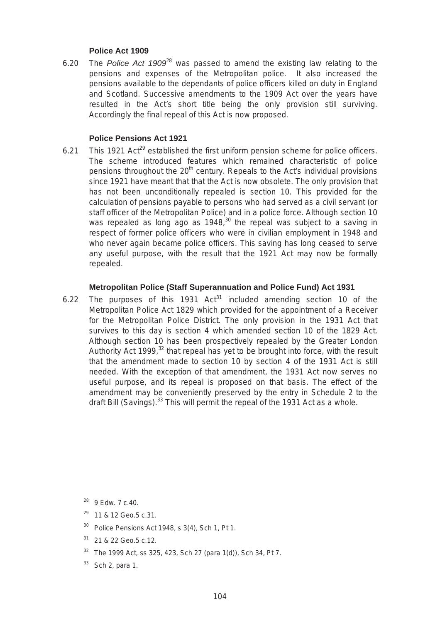#### **Police Act 1909**

6.20 The *Police Act 1909*28 was passed to amend the existing law relating to the pensions and expenses of the Metropolitan police. It also increased the pensions available to the dependants of police officers killed on duty in England and Scotland. Successive amendments to the 1909 Act over the years have resulted in the Act's short title being the only provision still surviving. Accordingly the final repeal of this Act is now proposed.

#### **Police Pensions Act 1921**

This 1921 Act<sup>29</sup> established the first uniform pension scheme for police officers. 6.21 This 1921 Act<sup>29</sup> established the first uniform pension scheme for police officers.<br>The scheme introduced features which remained characteristic of police pensions throughout the  $20<sup>th</sup>$  century. Repeals to the Act's individual provisions since 1921 have meant that that the Act is now obsolete. The only provision that has not been unconditionally repealed is section 10. This provided for the calculation of pensions payable to persons who had served as a civil servant (or staff officer of the Metropolitan Police) and in a police force. Although section 10 was repealed as long ago as  $1948$ ,  $30$  the repeal was subject to a saving in respect of former police officers who were in civilian employment in 1948 and who never again became police officers. This saving has long ceased to serve any useful purpose, with the result that the 1921 Act may now be formally repealed.

#### **Metropolitan Police (Staff Superannuation and Police Fund) Act 1931**

 survives to this day is section 4 which amended section 10 of the 1829 Act. 6.22 The purposes of this 1931  $Act^{31}$  included amending section 10 of the Metropolitan Police Act 1829 which provided for the appointment of a Receiver for the Metropolitan Police District. The only provision in the 1931 Act that Although section 10 has been prospectively repealed by the Greater London Authority Act 1999, $32$  that repeal has yet to be brought into force, with the result that the amendment made to section 10 by section 4 of the 1931 Act is still needed. With the exception of that amendment, the 1931 Act now serves no useful purpose, and its repeal is proposed on that basis. The effect of the amendment may be conveniently preserved by the entry in Schedule 2 to the draft Bill (Savings). $33$  This will permit the repeal of the 1931 Act as a whole.

28 9 Edw. 7 c.40.

29 11 & 12 Geo.5 c.31.

 $30$  Police Pensions Act 1948, s 3(4), Sch 1, Pt 1.

31 21 & 22 Geo.5 c.12.

 $32$  The 1999 Act, ss 325, 423, Sch 27 (para 1(d)), Sch 34, Pt 7.

 $33$  Sch 2, para 1.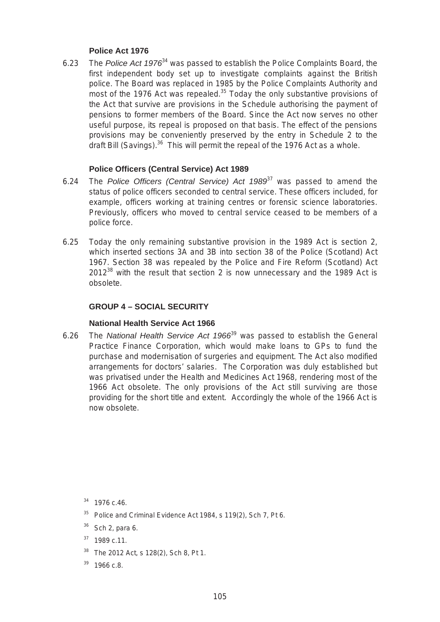#### **Police Act 1976**

6.23 The *Police Act 1976*34 was passed to establish the Police Complaints Board, the first independent body set up to investigate complaints against the British police. The Board was replaced in 1985 by the Police Complaints Authority and most of the 1976 Act was repealed.<sup>35</sup> Today the only substantive provisions of the Act that survive are provisions in the Schedule authorising the payment of pensions to former members of the Board. Since the Act now serves no other useful purpose, its repeal is proposed on that basis. The effect of the pensions provisions may be conveniently preserved by the entry in Schedule 2 to the draft Bill (Savings). $36$  This will permit the repeal of the 1976 Act as a whole.

#### **Police Officers (Central Service) Act 1989**

- police force. 6.24 The *Police Officers (Central Service) Act 1989*37 was passed to amend the status of police officers seconded to central service. These officers included, for example, officers working at training centres or forensic science laboratories. Previously, officers who moved to central service ceased to be members of a
- 6.25 Today the only remaining substantive provision in the 1989 Act is section 2, which inserted sections 3A and 3B into section 38 of the Police (Scotland) Act 1967. Section 38 was repealed by the Police and Fire Reform (Scotland) Act  $2012^{38}$  with the result that section 2 is now unnecessary and the 1989 Act is obsolete.

## **GROUP 4 – SOCIAL SECURITY**

#### **National Health Service Act 1966**

 6.26 The *National Health Service Act 1966*39 was passed to establish the General Practice Finance Corporation, which would make loans to GPs to fund the purchase and modernisation of surgeries and equipment. The Act also modified arrangements for doctors' salaries. The Corporation was duly established but was privatised under the Health and Medicines Act 1968, rendering most of the 1966 Act obsolete. The only provisions of the Act still surviving are those providing for the short title and extent. Accordingly the whole of the 1966 Act is now obsolete.

34 1976 c.46.

- <sup>35</sup> Police and Criminal Evidence Act 1984, s 119(2), Sch 7, Pt 6.
- $36$  Sch 2, para 6.
- $37$  1989 c.11.
- <sup>38</sup> The 2012 Act, s 128(2), Sch 8, Pt 1.
- $39$  1966 c.8.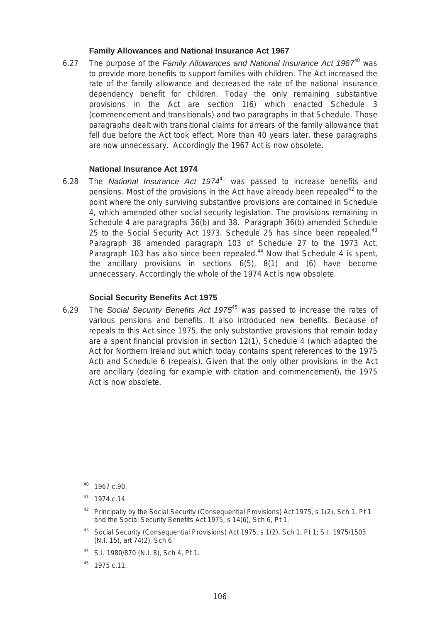#### **Family Allowances and National Insurance Act 1967**

6.27 The purpose of the *Family Allowances and National Insurance Act 1967*40 was to provide more benefits to support families with children. The Act increased the rate of the family allowance and decreased the rate of the national insurance dependency benefit for children. Today the only remaining substantive provisions in the Act are section 1(6) which enacted Schedule 3 (commencement and transitionals) and two paragraphs in that Schedule. Those paragraphs dealt with transitional claims for arrears of the family allowance that fell due before the Act took effect. More than 40 years later, these paragraphs are now unnecessary. Accordingly the 1967 Act is now obsolete.

## **National Insurance Act 1974**

6.28 The *National Insurance Act 1974*41 was passed to increase benefits and pensions. Most of the provisions in the Act have already been repealed<sup>42</sup> to the point where the only surviving substantive provisions are contained in Schedule 4, which amended other social security legislation. The provisions remaining in Schedule 4 are paragraphs 36(b) and 38. Paragraph 36(b) amended Schedule 25 to the Social Security Act 1973. Schedule 25 has since been repealed. $43$ Paragraph 38 amended paragraph 103 of Schedule 27 to the 1973 Act. Paragraph 103 has also since been repealed.<sup>44</sup> Now that Schedule 4 is spent, the ancillary provisions in sections 6(5), 8(1) and (6) have become unnecessary. Accordingly the whole of the 1974 Act is now obsolete.

#### **Social Security Benefits Act 1975**

6.29 The *Social Security Benefits Act 1975*45 was passed to increase the rates of various pensions and benefits. It also introduced new benefits. Because of repeals to this Act since 1975, the only substantive provisions that remain today are a spent financial provision in section 12(1), Schedule 4 (which adapted the Act for Northern Ireland but which today contains spent references to the 1975 Act) and Schedule 6 (repeals). Given that the only other provisions in the Act are ancillary (dealing for example with citation and commencement), the 1975 Act is now obsolete.

 $45$  1975 c.11.

<sup>40 1967</sup> c.90.

<sup>41 1974</sup> c.14.

<sup>&</sup>lt;sup>42</sup> Principally by the Social Security (Consequential Provisions) Act 1975, s 1(2), Sch 1, Pt 1 and the Social Security Benefits Act 1975, s 14(6), Sch 6, Pt 1.

<sup>43</sup> Social Security (Consequential Provisions) Act 1975, s 1(2), Sch 1, Pt 1; S.I. 1975/1503 (N.I. 15), art 74(2), Sch 6.

<sup>44</sup> S.I. 1980/870 (N.I. 8), Sch 4, Pt 1.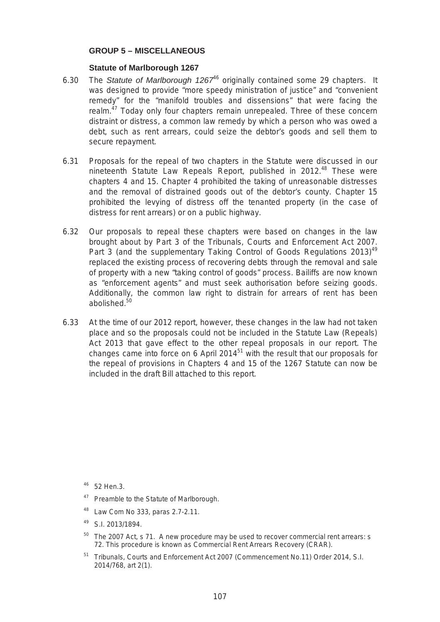#### **GROUP 5 – MISCELLANEOUS**

#### **Statute of Marlborough 1267**

- 6.30 The *Statute of Marlborough 1267*46 originally contained some 29 chapters. It was designed to provide "more speedy ministration of justice" and "convenient remedy" for the "manifold troubles and dissensions" that were facing the realm.<sup>47</sup> Today only four chapters remain unrepealed. Three of these concern distraint or distress, a common law remedy by which a person who was owed a debt, such as rent arrears, could seize the debtor's goods and sell them to secure repayment.
- 6.31 Proposals for the repeal of two chapters in the Statute were discussed in our nineteenth Statute Law Repeals Report, published in 2012.<sup>48</sup> These were chapters 4 and 15. Chapter 4 prohibited the taking of unreasonable distresses and the removal of distrained goods out of the debtor's county. Chapter 15 prohibited the levying of distress off the tenanted property (in the case of distress for rent arrears) or on a public highway.
- 6.32 Our proposals to repeal these chapters were based on changes in the law brought about by Part 3 of the Tribunals, Courts and Enforcement Act 2007. Part 3 (and the supplementary Taking Control of Goods Regulations  $2013)^{49}$ replaced the existing process of recovering debts through the removal and sale of property with a new "taking control of goods" process. Bailiffs are now known as "enforcement agents" and must seek authorisation before seizing goods. Additionally, the common law right to distrain for arrears of rent has been abolished.<sup>50</sup>
- 6.33 At the time of our 2012 report, however, these changes in the law had not taken place and so the proposals could not be included in the Statute Law (Repeals) Act 2013 that gave effect to the other repeal proposals in our report. The changes came into force on 6 April 2014 $51$  with the result that our proposals for the repeal of provisions in Chapters 4 and 15 of the 1267 Statute can now be included in the draft Bill attached to this report.

<sup>46</sup> 52 Hen.3.

- <sup>47</sup> Preamble to the Statute of Marlborough.
- 48 Law Com No 333, paras 2.7-2.11.
- 49 S.I. 2013/1894.
- $50$  The 2007 Act, s 71. A new procedure may be used to recover commercial rent arrears: s 72. This procedure is known as Commercial Rent Arrears Recovery (CRAR).
- <sup>51</sup> Tribunals, Courts and Enforcement Act 2007 (Commencement No.11) Order 2014, S.I. 2014/768, art 2(1).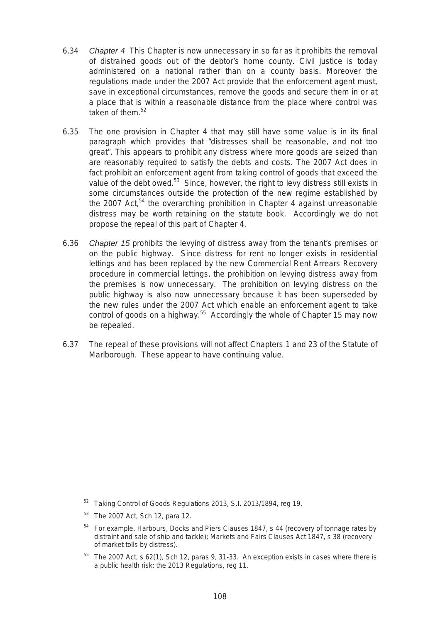- 6.34 *Chapter 4* This Chapter is now unnecessary in so far as it prohibits the removal of distrained goods out of the debtor's home county. Civil justice is today administered on a national rather than on a county basis. Moreover the regulations made under the 2007 Act provide that the enforcement agent must, save in exceptional circumstances, remove the goods and secure them in or at a place that is within a reasonable distance from the place where control was taken of them.<sup>52</sup>
- 6.35 The one provision in Chapter 4 that may still have some value is in its final paragraph which provides that "distresses shall be reasonable, and not too great". This appears to prohibit any distress where more goods are seized than are reasonably required to satisfy the debts and costs. The 2007 Act does in fact prohibit an enforcement agent from taking control of goods that exceed the value of the debt owed.<sup>53</sup> Since, however, the right to levy distress still exists in some circumstances outside the protection of the new regime established by the 2007 Act,<sup>54</sup> the overarching prohibition in Chapter 4 against unreasonable distress may be worth retaining on the statute book. Accordingly we do not propose the repeal of this part of Chapter 4.
- 6.36 *Chapter 15* prohibits the levying of distress away from the tenant's premises or on the public highway. Since distress for rent no longer exists in residential lettings and has been replaced by the new Commercial Rent Arrears Recovery procedure in commercial lettings, the prohibition on levying distress away from the premises is now unnecessary. The prohibition on levying distress on the public highway is also now unnecessary because it has been superseded by the new rules under the 2007 Act which enable an enforcement agent to take control of goods on a highway.<sup>55</sup> Accordingly the whole of Chapter 15 may now be repealed.
- 6.37 The repeal of these provisions will not affect Chapters 1 and 23 of the Statute of Marlborough. These appear to have continuing value.

<sup>&</sup>lt;sup>52</sup> Taking Control of Goods Regulations 2013, S.I. 2013/1894, reg 19.

<sup>53</sup> The 2007 Act, Sch 12, para 12.

 $54$  For example, Harbours, Docks and Piers Clauses 1847, s 44 (recovery of tonnage rates by distraint and sale of ship and tackle); Markets and Fairs Clauses Act 1847, s 38 (recovery of market tolls by distress).

 $55$  The 2007 Act, s 62(1), Sch 12, paras 9, 31-33. An exception exists in cases where there is a public health risk: the 2013 Regulations, reg 11.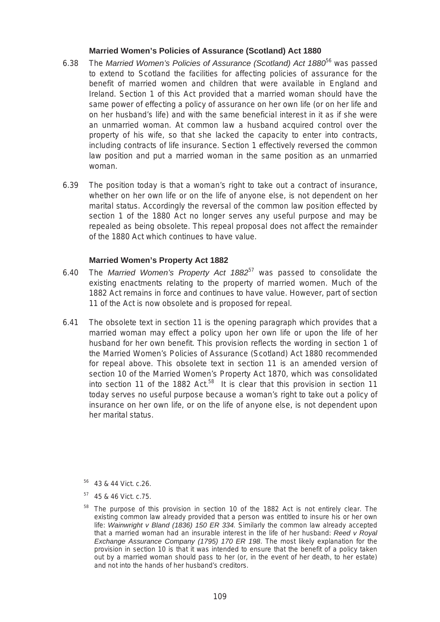#### **Married Women's Policies of Assurance (Scotland) Act 1880**

- 6.38 The *Married Women's Policies of Assurance (Scotland) Act 1880*56 was passed to extend to Scotland the facilities for affecting policies of assurance for the benefit of married women and children that were available in England and Ireland. Section 1 of this Act provided that a married woman should have the same power of effecting a policy of assurance on her own life (or on her life and on her husband's life) and with the same beneficial interest in it as if she were an unmarried woman. At common law a husband acquired control over the property of his wife, so that she lacked the capacity to enter into contracts, including contracts of life insurance. Section 1 effectively reversed the common law position and put a married woman in the same position as an unmarried woman.
- 6.39 The position today is that a woman's right to take out a contract of insurance, whether on her own life or on the life of anyone else, is not dependent on her marital status. Accordingly the reversal of the common law position effected by section 1 of the 1880 Act no longer serves any useful purpose and may be repealed as being obsolete. This repeal proposal does not affect the remainder of the 1880 Act which continues to have value.

#### **Married Women's Property Act 1882**

- 6.40 The *Married Women's Property Act 1882*57 was passed to consolidate the existing enactments relating to the property of married women. Much of the 1882 Act remains in force and continues to have value. However, part of section 11 of the Act is now obsolete and is proposed for repeal.
- 6.41 The obsolete text in section 11 is the opening paragraph which provides that a married woman may effect a policy upon her own life or upon the life of her husband for her own benefit. This provision reflects the wording in section 1 of the Married Women's Policies of Assurance (Scotland) Act 1880 recommended for repeal above. This obsolete text in section 11 is an amended version of section 10 of the Married Women's Property Act 1870, which was consolidated into section 11 of the 1882 Act.<sup>58</sup> It is clear that this provision in section 11 today serves no useful purpose because a woman's right to take out a policy of insurance on her own life, or on the life of anyone else, is not dependent upon her marital status.

56 43 & 44 Vict. c.26.

57 45 & 46 Vict. c.75.

<sup>&</sup>lt;sup>58</sup> The purpose of this provision in section 10 of the 1882 Act is not entirely clear. The existing common law already provided that a person was entitled to insure his or her own life: *Wainwright v Bland (1836) 150 ER 334.* Similarly the common law already accepted that a married woman had an insurable interest in the life of her husband: *Reed v Royal Exchange Assurance Company (1795) 170 ER 198*. The most likely explanation for the provision in section 10 is that it was intended to ensure that the benefit of a policy taken out by a married woman should pass to her (or, in the event of her death, to her estate) and not into the hands of her husband's creditors.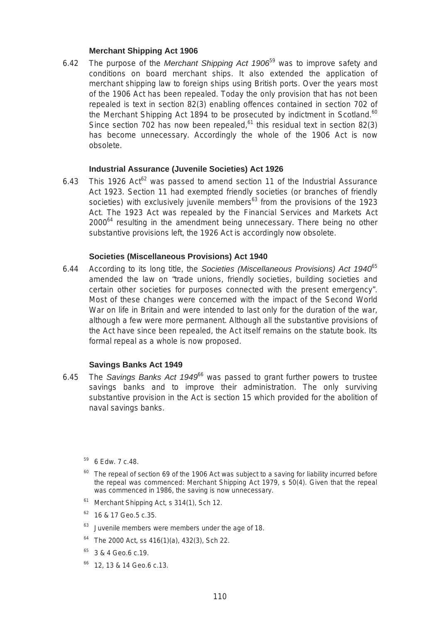#### **Merchant Shipping Act 1906**

6.42 The purpose of the *Merchant Shipping Act 1906*59 was to improve safety and conditions on board merchant ships. It also extended the application of merchant shipping law to foreign ships using British ports. Over the years most of the 1906 Act has been repealed. Today the only provision that has not been repealed is text in section 82(3) enabling offences contained in section 702 of the Merchant Shipping Act 1894 to be prosecuted by indictment in Scotland. $60$ Since section 702 has now been repealed, $61$  this residual text in section 82(3) has become unnecessary. Accordingly the whole of the 1906 Act is now obsolete.

#### **Industrial Assurance (Juvenile Societies) Act 1926**

6.43 This 1926 Act $62$  was passed to amend section 11 of the Industrial Assurance Act 1923. Section 11 had exempted friendly societies (or branches of friendly societies) with exclusively juvenile members<sup>63</sup> from the provisions of the 1923 Act. The 1923 Act was repealed by the Financial Services and Markets Act  $2000^{64}$  resulting in the amendment being unnecessary. There being no other substantive provisions left, the 1926 Act is accordingly now obsolete.

#### **Societies (Miscellaneous Provisions) Act 1940**

6.44 According to its long title, the *Societies (Miscellaneous Provisions) Act 1940*<sup>65</sup> amended the law on "trade unions, friendly societies, building societies and certain other societies for purposes connected with the present emergency". Most of these changes were concerned with the impact of the Second World War on life in Britain and were intended to last only for the duration of the war, although a few were more permanent. Although all the substantive provisions of the Act have since been repealed, the Act itself remains on the statute book. Its formal repeal as a whole is now proposed.

#### **Savings Banks Act 1949**

- 6.45 The *Savings Banks Act 1949*66 was passed to grant further powers to trustee savings banks and to improve their administration. The only surviving substantive provision in the Act is section 15 which provided for the abolition of naval savings banks.
	- <sup>59</sup> 6 Edw. 7 c.48.
	- $60$  The repeal of section 69 of the 1906 Act was subject to a saving for liability incurred before the repeal was commenced: Merchant Shipping Act 1979, s 50(4). Given that the repeal was commenced in 1986, the saving is now unnecessary.
	- $61$  Merchant Shipping Act, s 314(1), Sch 12.
	- 62 16 & 17 Geo.5 c.35.
	- $63$  Juvenile members were members under the age of 18.
	- $64$  The 2000 Act, ss 416(1)(a), 432(3), Sch 22.
	- 65 3 & 4 Geo.6 c.19.
	- <sup>66</sup> 12, 13 & 14 Geo.6 c.13.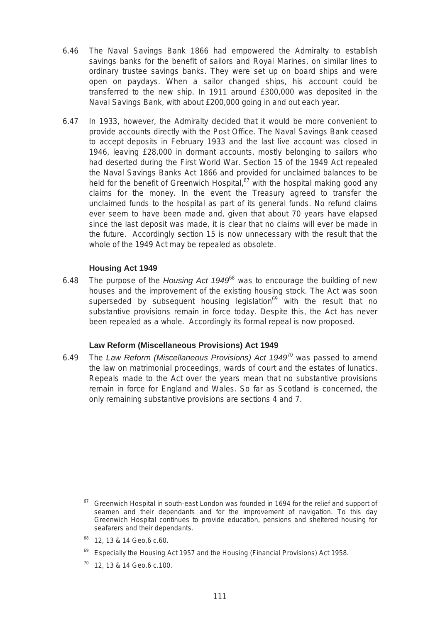- 6.46 The Naval Savings Bank 1866 had empowered the Admiralty to establish savings banks for the benefit of sailors and Royal Marines, on similar lines to ordinary trustee savings banks. They were set up on board ships and were open on paydays. When a sailor changed ships, his account could be transferred to the new ship. In 1911 around £300,000 was deposited in the Naval Savings Bank, with about £200,000 going in and out each year.
- 6.47 In 1933, however, the Admiralty decided that it would be more convenient to provide accounts directly with the Post Office. The Naval Savings Bank ceased to accept deposits in February 1933 and the last live account was closed in 1946, leaving £28,000 in dormant accounts, mostly belonging to sailors who had deserted during the First World War. Section 15 of the 1949 Act repealed the Naval Savings Banks Act 1866 and provided for unclaimed balances to be held for the benefit of Greenwich Hospital,<sup>67</sup> with the hospital making good any claims for the money. In the event the Treasury agreed to transfer the unclaimed funds to the hospital as part of its general funds. No refund claims ever seem to have been made and, given that about 70 years have elapsed since the last deposit was made, it is clear that no claims will ever be made in the future. Accordingly section 15 is now unnecessary with the result that the whole of the 1949 Act may be repealed as obsolete.

#### **Housing Act 1949**

6.48 The purpose of the *Housing Act 1949*68 was to encourage the building of new houses and the improvement of the existing housing stock. The Act was soon superseded by subsequent housing legislation<sup>69</sup> with the result that no substantive provisions remain in force today. Despite this, the Act has never been repealed as a whole. Accordingly its formal repeal is now proposed.

#### **Law Reform (Miscellaneous Provisions) Act 1949**

6.49 The *Law Reform (Miscellaneous Provisions) Act 1949*70 was passed to amend the law on matrimonial proceedings, wards of court and the estates of lunatics. Repeals made to the Act over the years mean that no substantive provisions remain in force for England and Wales. So far as Scotland is concerned, the only remaining substantive provisions are sections 4 and 7.

- 68 12, 13 & 14 Geo.6 c.60.
- Especially the Housing Act 1957 and the Housing (Financial Provisions) Act 1958.
- 12, 13 & 14 Geo.6 c.100.

 $67$  Greenwich Hospital in south-east London was founded in 1694 for the relief and support of seamen and their dependants and for the improvement of navigation. To this day Greenwich Hospital continues to provide education, pensions and sheltered housing for seafarers and their dependants.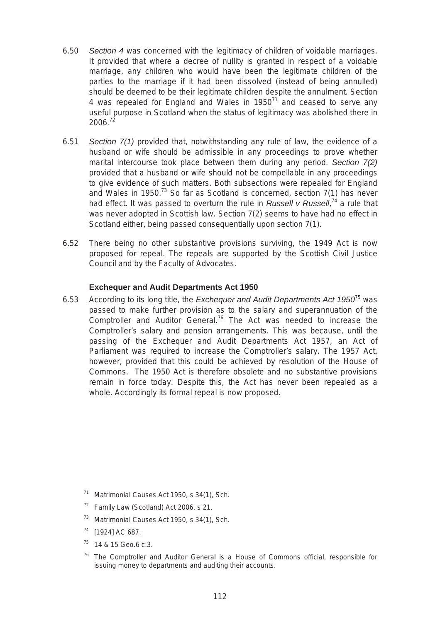- 6.50 *Section 4* was concerned with the legitimacy of children of voidable marriages. It provided that where a decree of nullity is granted in respect of a voidable marriage, any children who would have been the legitimate children of the parties to the marriage if it had been dissolved (instead of being annulled) should be deemed to be their legitimate children despite the annulment. Section 4 was repealed for England and Wales in 1950 $^{71}$  and ceased to serve any useful purpose in Scotland when the status of legitimacy was abolished there in  $2006.<sup>72</sup>$
- 6.51 *Section 7(1)* provided that, notwithstanding any rule of law, the evidence of a husband or wife should be admissible in any proceedings to prove whether marital intercourse took place between them during any period. *Section 7(2)*  provided that a husband or wife should not be compellable in any proceedings to give evidence of such matters. Both subsections were repealed for England and Wales in 1950.<sup>73</sup> So far as Scotland is concerned, section  $7(1)$  has never had effect. It was passed to overturn the rule in *Russell v Russell*, 74 a rule that was never adopted in Scottish law. Section 7(2) seems to have had no effect in Scotland either, being passed consequentially upon section 7(1).
- 6.52 There being no other substantive provisions surviving, the 1949 Act is now proposed for repeal. The repeals are supported by the Scottish Civil Justice Council and by the Faculty of Advocates.

#### **Exchequer and Audit Departments Act 1950**

6.53 According to its long title, the *Exchequer and Audit Departments Act 1950*75 was passed to make further provision as to the salary and superannuation of the Comptroller and Auditor General.76 The Act was needed to increase the Comptroller's salary and pension arrangements. This was because, until the passing of the Exchequer and Audit Departments Act 1957, an Act of Parliament was required to increase the Comptroller's salary. The 1957 Act, however, provided that this could be achieved by resolution of the House of Commons. The 1950 Act is therefore obsolete and no substantive provisions remain in force today. Despite this, the Act has never been repealed as a whole. Accordingly its formal repeal is now proposed.

- 71 Matrimonial Causes Act 1950, s 34(1), Sch.
- $72$  Family Law (Scotland) Act 2006, s 21.
- 73 Matrimonial Causes Act 1950, s 34(1), Sch.
- 74 [1924] AC 687.
- 75 14 & 15 Geo.6 c.3.
- The Comptroller and Auditor General is a House of Commons official, responsible for issuing money to departments and auditing their accounts.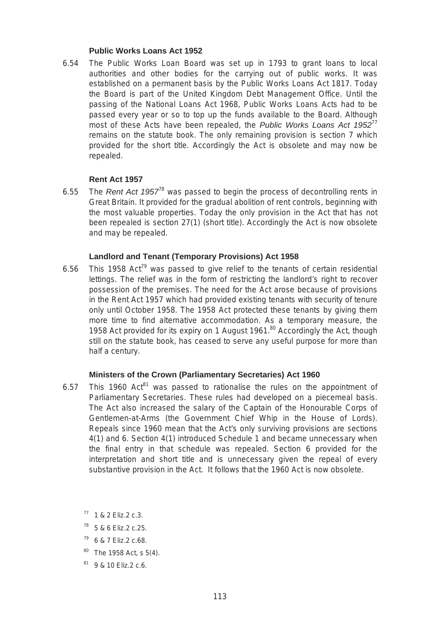#### **Public Works Loans Act 1952**

6.54 The Public Works Loan Board was set up in 1793 to grant loans to local authorities and other bodies for the carrying out of public works. It was established on a permanent basis by the Public Works Loans Act 1817. Today the Board is part of the United Kingdom Debt Management Office. Until the passing of the National Loans Act 1968, Public Works Loans Acts had to be passed every year or so to top up the funds available to the Board. Although most of these Acts have been repealed, the *Public Works Loans Act 1952*<sup>77</sup> remains on the statute book. The only remaining provision is section 7 which provided for the short title. Accordingly the Act is obsolete and may now be repealed.

#### **Rent Act 1957**

6.55 The *Rent Act 1957*78 was passed to begin the process of decontrolling rents in Great Britain. It provided for the gradual abolition of rent controls, beginning with the most valuable properties. Today the only provision in the Act that has not been repealed is section 27(1) (short title). Accordingly the Act is now obsolete and may be repealed.

#### **Landlord and Tenant (Temporary Provisions) Act 1958**

6.56 This 1958 Act<sup>79</sup> was passed to give relief to the tenants of certain residential lettings. The relief was in the form of restricting the landlord's right to recover possession of the premises. The need for the Act arose because of provisions in the Rent Act 1957 which had provided existing tenants with security of tenure only until October 1958. The 1958 Act protected these tenants by giving them more time to find alternative accommodation. As a temporary measure, the 1958 Act provided for its expiry on 1 August  $1961$ .<sup>80</sup> Accordingly the Act, though still on the statute book, has ceased to serve any useful purpose for more than half a century.

#### **Ministers of the Crown (Parliamentary Secretaries) Act 1960**

- 6.57 This 1960 Act<sup>81</sup> was passed to rationalise the rules on the appointment of Parliamentary Secretaries. These rules had developed on a piecemeal basis. The Act also increased the salary of the Captain of the Honourable Corps of Gentlemen-at-Arms (the Government Chief Whip in the House of Lords). Repeals since 1960 mean that the Act's only surviving provisions are sections 4(1) and 6. Section 4(1) introduced Schedule 1 and became unnecessary when the final entry in that schedule was repealed. Section 6 provided for the interpretation and short title and is unnecessary given the repeal of every substantive provision in the Act. It follows that the 1960 Act is now obsolete.
	- $77$  1 & 2 Eliz. 2 c. 3.
	- 78 5 & 6 Eliz.2 c.25.
	- 79 6 & 7 Eliz.2 c.68.
	- $80$  The 1958 Act, s 5(4).
	- 81 9 & 10 Eliz.2 c.6.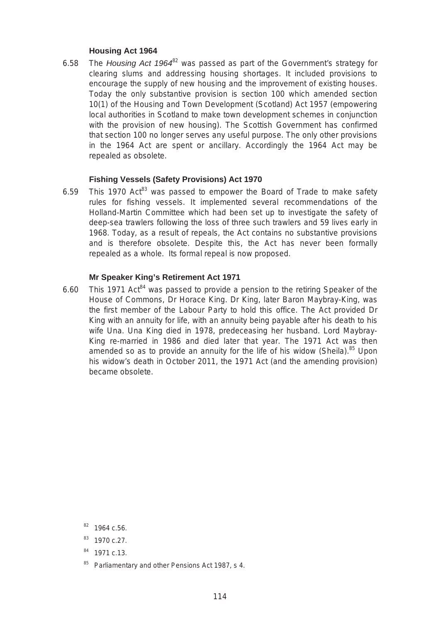#### **Housing Act 1964**

6.58 The *Housing Act 1964*82 was passed as part of the Government's strategy for clearing slums and addressing housing shortages. It included provisions to encourage the supply of new housing and the improvement of existing houses. Today the only substantive provision is section 100 which amended section 10(1) of the Housing and Town Development (Scotland) Act 1957 (empowering local authorities in Scotland to make town development schemes in conjunction with the provision of new housing). The Scottish Government has confirmed that section 100 no longer serves any useful purpose. The only other provisions in the 1964 Act are spent or ancillary. Accordingly the 1964 Act may be repealed as obsolete.

#### **Fishing Vessels (Safety Provisions) Act 1970**

6.59 This 1970 Act<sup>83</sup> was passed to empower the Board of Trade to make safety rules for fishing vessels. It implemented several recommendations of the Holland-Martin Committee which had been set up to investigate the safety of deep-sea trawlers following the loss of three such trawlers and 59 lives early in 1968. Today, as a result of repeals, the Act contains no substantive provisions and is therefore obsolete. Despite this, the Act has never been formally repealed as a whole. Its formal repeal is now proposed.

#### **Mr Speaker King's Retirement Act 1971**

6.60 This 1971 Act<sup>84</sup> was passed to provide a pension to the retiring Speaker of the House of Commons, Dr Horace King. Dr King, later Baron Maybray-King, was the first member of the Labour Party to hold this office. The Act provided Dr King with an annuity for life, with an annuity being payable after his death to his wife Una. Una King died in 1978, predeceasing her husband. Lord Maybray-King re-married in 1986 and died later that year. The 1971 Act was then amended so as to provide an annuity for the life of his widow (Sheila).<sup>85</sup> Upon his widow's death in October 2011, the 1971 Act (and the amending provision) became obsolete.

85 Parliamentary and other Pensions Act 1987, s 4.

 $82$  1964 c.56.

<sup>&</sup>lt;sup>83</sup> 1970 c.27.

<sup>84 1971</sup> c.13.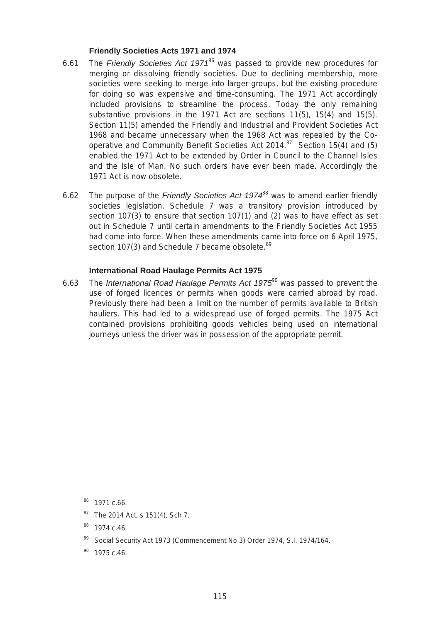#### **Friendly Societies Acts 1971 and 1974**

- 6.61 The *Friendly Societies Act 1971*86 was passed to provide new procedures for merging or dissolving friendly societies. Due to declining membership, more societies were seeking to merge into larger groups, but the existing procedure for doing so was expensive and time-consuming. The 1971 Act accordingly included provisions to streamline the process. Today the only remaining substantive provisions in the 1971 Act are sections 11(5), 15(4) and 15(5). Section 11(5) amended the Friendly and Industrial and Provident Societies Act 1968 and became unnecessary when the 1968 Act was repealed by the Cooperative and Community Benefit Societies Act 2014.<sup>87</sup> Section 15(4) and (5) enabled the 1971 Act to be extended by Order in Council to the Channel Isles and the Isle of Man. No such orders have ever been made. Accordingly the 1971 Act is now obsolete.
- 6.62 The purpose of the *Friendly Societies Act 1974*88 was to amend earlier friendly societies legislation. Schedule 7 was a transitory provision introduced by section 107(3) to ensure that section 107(1) and (2) was to have effect as set out in Schedule 7 until certain amendments to the Friendly Societies Act 1955 had come into force. When these amendments came into force on 6 April 1975, section 107(3) and Schedule 7 became obsolete.<sup>89</sup>

#### **International Road Haulage Permits Act 1975**

6.63 The *International Road Haulage Permits Act 1975*90 was passed to prevent the use of forged licences or permits when goods were carried abroad by road. Previously there had been a limit on the number of permits available to British hauliers. This had led to a widespread use of forged permits. The 1975 Act contained provisions prohibiting goods vehicles being used on international journeys unless the driver was in possession of the appropriate permit.

<sup>87</sup> The 2014 Act, s 151(4), Sch 7.

89 Social Security Act 1973 (Commencement No 3) Order 1974, S.I. 1974/164.

<sup>86 1971</sup> c.66.

<sup>88 1974</sup> c.46.

 $90$  1975 c.46.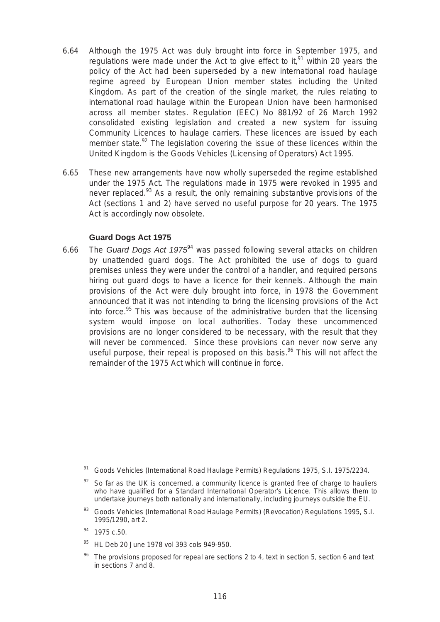- 6.64 Although the 1975 Act was duly brought into force in September 1975, and regulations were made under the Act to give effect to it.<sup>91</sup> within 20 years the policy of the Act had been superseded by a new international road haulage regime agreed by European Union member states including the United Kingdom. As part of the creation of the single market, the rules relating to international road haulage within the European Union have been harmonised across all member states. Regulation (EEC) No 881/92 of 26 March 1992 consolidated existing legislation and created a new system for issuing Community Licences to haulage carriers. These licences are issued by each member state. $92$  The legislation covering the issue of these licences within the United Kingdom is the Goods Vehicles (Licensing of Operators) Act 1995.
- 6.65 These new arrangements have now wholly superseded the regime established under the 1975 Act. The regulations made in 1975 were revoked in 1995 and never replaced.<sup>93</sup> As a result, the only remaining substantive provisions of the Act (sections 1 and 2) have served no useful purpose for 20 years. The 1975 Act is accordingly now obsolete.

#### **Guard Dogs Act 1975**

6.66 The *Guard Dogs Act 1975*94 was passed following several attacks on children by unattended guard dogs. The Act prohibited the use of dogs to guard premises unless they were under the control of a handler, and required persons hiring out guard dogs to have a licence for their kennels. Although the main provisions of the Act were duly brought into force, in 1978 the Government announced that it was not intending to bring the licensing provisions of the Act into force. $95$  This was because of the administrative burden that the licensing system would impose on local authorities. Today these uncommenced provisions are no longer considered to be necessary, with the result that they will never be commenced. Since these provisions can never now serve any useful purpose, their repeal is proposed on this basis. $96$  This will not affect the remainder of the 1975 Act which will continue in force.

93 Goods Vehicles (International Road Haulage Permits) (Revocation) Regulations 1995, S.I. 1995/1290, art 2.

- 95 HL Deb 20 June 1978 vol 393 cols 949-950.
- The provisions proposed for repeal are sections 2 to 4, text in section 5, section 6 and text in sections 7 and 8.

<sup>&</sup>lt;sup>91</sup> Goods Vehicles (International Road Haulage Permits) Regulations 1975, S.I. 1975/2234.

So far as the UK is concerned, a community licence is granted free of charge to hauliers who have qualified for a Standard International Operator's Licence. This allows them to undertake journeys both nationally and internationally, including journeys outside the EU.

<sup>94 1975</sup> c.50.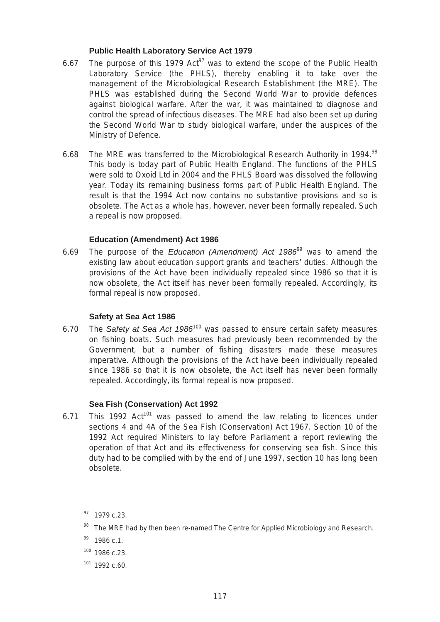#### **Public Health Laboratory Service Act 1979**

- 6.67 The purpose of this 1979  $Act^{97}$  was to extend the scope of the Public Health Laboratory Service (the PHLS), thereby enabling it to take over the management of the Microbiological Research Establishment (the MRE). The PHLS was established during the Second World War to provide defences against biological warfare. After the war, it was maintained to diagnose and control the spread of infectious diseases. The MRE had also been set up during the Second World War to study biological warfare, under the auspices of the Ministry of Defence.
- 6.68 The MRE was transferred to the Microbiological Research Authority in 1994.<sup>98</sup> This body is today part of Public Health England. The functions of the PHLS were sold to Oxoid Ltd in 2004 and the PHLS Board was dissolved the following year. Today its remaining business forms part of Public Health England. The result is that the 1994 Act now contains no substantive provisions and so is obsolete. The Act as a whole has, however, never been formally repealed. Such a repeal is now proposed.

#### **Education (Amendment) Act 1986**

6.69 The purpose of the *Education (Amendment) Act 1986*99 was to amend the existing law about education support grants and teachers' duties. Although the provisions of the Act have been individually repealed since 1986 so that it is now obsolete, the Act itself has never been formally repealed. Accordingly, its formal repeal is now proposed.

#### **Safety at Sea Act 1986**

 on fishing boats. Such measures had previously been recommended by the 6.70 The *Safety at Sea Act 1986*100 was passed to ensure certain safety measures Government, but a number of fishing disasters made these measures imperative. Although the provisions of the Act have been individually repealed since 1986 so that it is now obsolete, the Act itself has never been formally repealed. Accordingly, its formal repeal is now proposed.

#### **Sea Fish (Conservation) Act 1992**

6.71 This 1992  $Act^{101}$  was passed to amend the law relating to licences under sections 4 and 4A of the Sea Fish (Conservation) Act 1967. Section 10 of the 1992 Act required Ministers to lay before Parliament a report reviewing the operation of that Act and its effectiveness for conserving sea fish. Since this duty had to be complied with by the end of June 1997, section 10 has long been obsolete.

- 100 1986 c.23.
- 101 1992 c.60.

<sup>&</sup>lt;sup>97</sup> 1979 c.23.

<sup>98</sup> The MRE had by then been re-named The Centre for Applied Microbiology and Research.

 $99$  1986 c.1.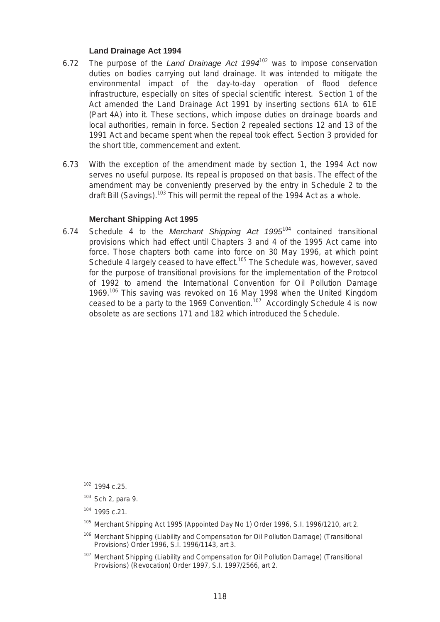#### **Land Drainage Act 1994**

- 6.72 The purpose of the *Land Drainage Act 1994*102 was to impose conservation duties on bodies carrying out land drainage. It was intended to mitigate the environmental impact of the day-to-day operation of flood defence infrastructure, especially on sites of special scientific interest. Section 1 of the Act amended the Land Drainage Act 1991 by inserting sections 61A to 61E (Part 4A) into it. These sections, which impose duties on drainage boards and local authorities, remain in force. Section 2 repealed sections 12 and 13 of the 1991 Act and became spent when the repeal took effect. Section 3 provided for the short title, commencement and extent.
- 6.73 With the exception of the amendment made by section 1, the 1994 Act now serves no useful purpose. Its repeal is proposed on that basis. The effect of the amendment may be conveniently preserved by the entry in Schedule 2 to the draft Bill (Savings).<sup>103</sup> This will permit the repeal of the 1994 Act as a whole.

#### **Merchant Shipping Act 1995**

 for the purpose of transitional provisions for the implementation of the Protocol 6.74 Schedule 4 to the *Merchant Shipping Act 1995*104 contained transitional provisions which had effect until Chapters 3 and 4 of the 1995 Act came into force. Those chapters both came into force on 30 May 1996, at which point Schedule 4 largely ceased to have effect.<sup>105</sup> The Schedule was, however, saved of 1992 to amend the International Convention for Oil Pollution Damage 1969.<sup>106</sup> This saving was revoked on 16 May 1998 when the United Kingdom ceased to be a party to the 1969 Convention.<sup>107</sup> Accordingly Schedule 4 is now obsolete as are sections 171 and 182 which introduced the Schedule.

- <sup>105</sup> Merchant Shipping Act 1995 (Appointed Day No 1) Order 1996, S.I. 1996/1210, art 2.
- <sup>106</sup> Merchant Shipping (Liability and Compensation for Oil Pollution Damage) (Transitional Provisions) Order 1996, S.I. 1996/1143, art 3.
- <sup>107</sup> Merchant Shipping (Liability and Compensation for Oil Pollution Damage) (Transitional Provisions) (Revocation) Order 1997, S.I. 1997/2566, art 2.

<sup>102 1994</sup> c.25.

 $103$  Sch 2, para 9.

<sup>104 1995</sup> c.21.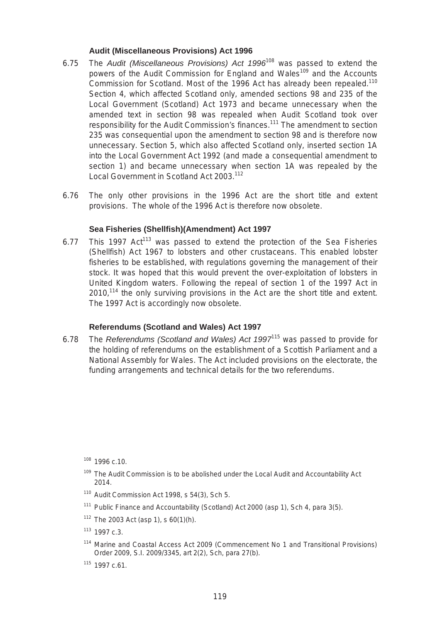#### **Audit (Miscellaneous Provisions) Act 1996**

- 6.75 The *Audit (Miscellaneous Provisions) Act 1996*108 was passed to extend the powers of the Audit Commission for England and Wales<sup>109</sup> and the Accounts Commission for Scotland. Most of the 1996 Act has already been repealed.<sup>110</sup> Section 4, which affected Scotland only, amended sections 98 and 235 of the Local Government (Scotland) Act 1973 and became unnecessary when the amended text in section 98 was repealed when Audit Scotland took over responsibility for the Audit Commission's finances.<sup>111</sup> The amendment to section 235 was consequential upon the amendment to section 98 and is therefore now unnecessary. Section 5, which also affected Scotland only, inserted section 1A into the Local Government Act 1992 (and made a consequential amendment to section 1) and became unnecessary when section 1A was repealed by the Local Government in Scotland Act 2003.<sup>112</sup>
- 6.76 The only other provisions in the 1996 Act are the short title and extent provisions. The whole of the 1996 Act is therefore now obsolete.

#### **Sea Fisheries (Shellfish)(Amendment) Act 1997**

2010,<sup>114</sup> the only surviving provisions in the Act are the short title and extent.<br>The 1997 Act is accordingly now obsolete. 6.77 This 1997  $Act^{113}$  was passed to extend the protection of the Sea Fisheries (Shellfish) Act 1967 to lobsters and other crustaceans. This enabled lobster fisheries to be established, with regulations governing the management of their stock. It was hoped that this would prevent the over-exploitation of lobsters in United Kingdom waters. Following the repeal of section 1 of the 1997 Act in

#### **Referendums (Scotland and Wales) Act 1997**

6.78 The *Referendums (Scotland and Wales) Act 1997*115 was passed to provide for the holding of referendums on the establishment of a Scottish Parliament and a National Assembly for Wales. The Act included provisions on the electorate, the funding arrangements and technical details for the two referendums.

108 1996 c.10.

- <sup>109</sup> The Audit Commission is to be abolished under the Local Audit and Accountability Act 2014.
- $110$  Audit Commission Act 1998, s 54(3), Sch 5.
- $111$  Public Finance and Accountability (Scotland) Act 2000 (asp 1), Sch 4, para 3(5).
- $112$  The 2003 Act (asp 1), s 60(1)(h).

 $113$  1997 c.3.

- <sup>114</sup> Marine and Coastal Access Act 2009 (Commencement No 1 and Transitional Provisions) Order 2009, S.I. 2009/3345, art 2(2), Sch, para 27(b).
- $115$  1997 c.61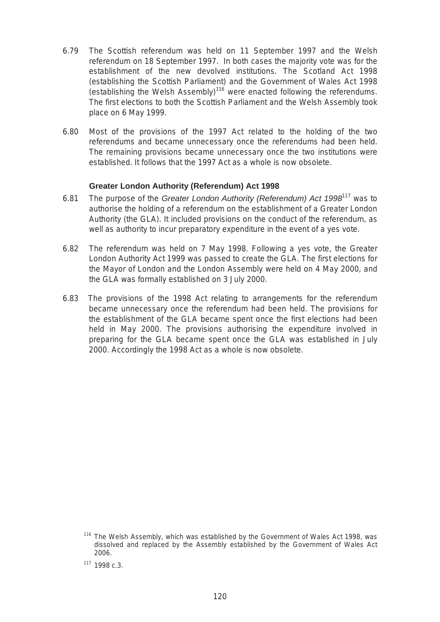- 6.79 The Scottish referendum was held on 11 September 1997 and the Welsh referendum on 18 September 1997. In both cases the majority vote was for the establishment of the new devolved institutions. The Scotland Act 1998 (establishing the Scottish Parliament) and the Government of Wales Act 1998 (establishing the Welsh Assembly)<sup>116</sup> were enacted following the referendums. The first elections to both the Scottish Parliament and the Welsh Assembly took place on 6 May 1999.
- referendums and became unnecessary once the referendums had been held. 6.80 Most of the provisions of the 1997 Act related to the holding of the two The remaining provisions became unnecessary once the two institutions were established. It follows that the 1997 Act as a whole is now obsolete.

#### **Greater London Authority (Referendum) Act 1998**

- 6.81 The purpose of the *Greater London Authority (Referendum) Act 1998*117 was to authorise the holding of a referendum on the establishment of a Greater London Authority (the GLA). It included provisions on the conduct of the referendum, as well as authority to incur preparatory expenditure in the event of a yes vote.
- 6.82 The referendum was held on 7 May 1998. Following a yes vote, the Greater London Authority Act 1999 was passed to create the GLA. The first elections for the Mayor of London and the London Assembly were held on 4 May 2000, and the GLA was formally established on 3 July 2000.
- 6.83 The provisions of the 1998 Act relating to arrangements for the referendum became unnecessary once the referendum had been held. The provisions for the establishment of the GLA became spent once the first elections had been held in May 2000. The provisions authorising the expenditure involved in preparing for the GLA became spent once the GLA was established in July 2000. Accordingly the 1998 Act as a whole is now obsolete.

 $116$  The Welsh Assembly, which was established by the Government of Wales Act 1998, was dissolved and replaced by the Assembly established by the Government of Wales Act 2006.

 $117, 1998 \nc.3$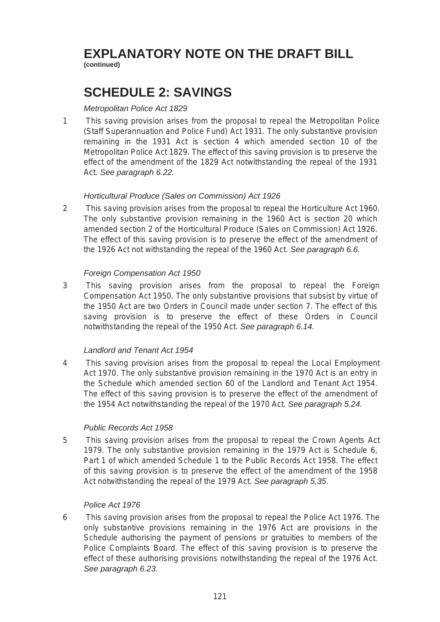# **EXPLANATORY NOTE ON THE DRAFT BILL**

**(continued)** 

## **SCHEDULE 2: SAVINGS**

## *Metropolitan Police Act 1829*

1 This saving provision arises from the proposal to repeal the Metropolitan Police (Staff Superannuation and Police Fund) Act 1931. The only substantive provision remaining in the 1931 Act is section 4 which amended section 10 of the Metropolitan Police Act 1829. The effect of this saving provision is to preserve the effect of the amendment of the 1829 Act notwithstanding the repeal of the 1931 Act. *See paragraph 6.22.* 

## *Horticultural Produce (Sales on Commission) Act 1926*

2 This saving provision arises from the proposal to repeal the Horticulture Act 1960. The only substantive provision remaining in the 1960 Act is section 20 which amended section 2 of the Horticultural Produce (Sales on Commission) Act 1926. The effect of this saving provision is to preserve the effect of the amendment of the 1926 Act not withstanding the repeal of the 1960 Act. *See paragraph 6.6.* 

## *Foreign Compensation Act 1950*

3 This saving provision arises from the proposal to repeal the Foreign Compensation Act 1950. The only substantive provisions that subsist by virtue of the 1950 Act are two Orders in Council made under section 7. The effect of this saving provision is to preserve the effect of these Orders in Council notwithstanding the repeal of the 1950 Act. *See paragraph 6.14.* 

## *Landlord and Tenant Act 1954*

4 This saving provision arises from the proposal to repeal the Local Employment Act 1970. The only substantive provision remaining in the 1970 Act is an entry in the Schedule which amended section 60 of the Landlord and Tenant Act 1954. The effect of this saving provision is to preserve the effect of the amendment of the 1954 Act notwithstanding the repeal of the 1970 Act. *See paragraph 5.24.* 

## *Public Records Act 1958*

5 This saving provision arises from the proposal to repeal the Crown Agents Act 1979. The only substantive provision remaining in the 1979 Act is Schedule 6, Part 1 of which amended Schedule 1 to the Public Records Act 1958. The effect of this saving provision is to preserve the effect of the amendment of the 1958 Act notwithstanding the repeal of the 1979 Act. *See paragraph 5.35*.

## *Police Act 1976*

6 This saving provision arises from the proposal to repeal the Police Act 1976. The only substantive provisions remaining in the 1976 Act are provisions in the Schedule authorising the payment of pensions or gratuities to members of the Police Complaints Board. The effect of this saving provision is to preserve the effect of these authorising provisions notwithstanding the repeal of the 1976 Act. *See paragraph 6.23.*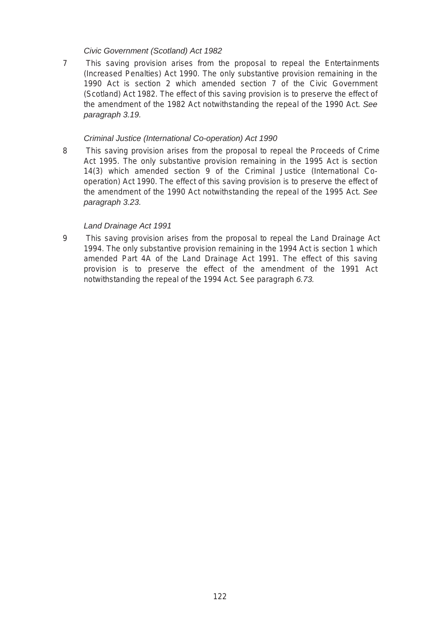#### *Civic Government (Scotland) Act 1982*

7 This saving provision arises from the proposal to repeal the Entertainments (Increased Penalties) Act 1990. The only substantive provision remaining in the 1990 Act is section 2 which amended section 7 of the Civic Government (Scotland) Act 1982. The effect of this saving provision is to preserve the effect of the amendment of the 1982 Act notwithstanding the repeal of the 1990 Act. *See paragraph 3.19.* 

#### *Criminal Justice (International Co-operation) Act 1990*

8 This saving provision arises from the proposal to repeal the Proceeds of Crime Act 1995. The only substantive provision remaining in the 1995 Act is section 14(3) which amended section 9 of the Criminal Justice (International Cooperation) Act 1990. The effect of this saving provision is to preserve the effect of the amendment of the 1990 Act notwithstanding the repeal of the 1995 Act. *See paragraph 3.23.* 

#### *Land Drainage Act 1991*

9 This saving provision arises from the proposal to repeal the Land Drainage Act 1994. The only substantive provision remaining in the 1994 Act is section 1 which amended Part 4A of the Land Drainage Act 1991. The effect of this saving provision is to preserve the effect of the amendment of the 1991 Act notwithstanding the repeal of the 1994 Act. See paragraph *6.73.*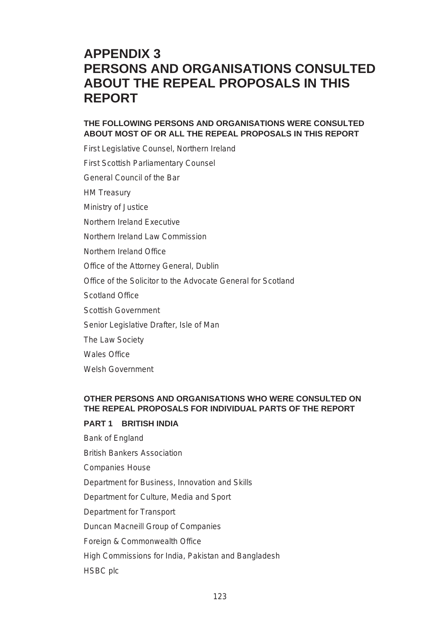## **APPENDIX 3 PERSONS AND ORGANISATIONS CONSULTED ABOUT THE REPEAL PROPOSALS IN THIS REPORT**

## **THE FOLLOWING PERSONS AND ORGANISATIONS WERE CONSULTED ABOUT MOST OF OR ALL THE REPEAL PROPOSALS IN THIS REPORT**

First Legislative Counsel, Northern Ireland First Scottish Parliamentary Counsel General Council of the Bar HM Treasury Ministry of Justice Northern Ireland Executive Northern Ireland Law Commission Northern Ireland Office Office of the Attorney General, Dublin Office of the Solicitor to the Advocate General for Scotland Scotland Office Scottish Government Senior Legislative Drafter, Isle of Man The Law Society Wales Office Welsh Government

## **OTHER PERSONS AND ORGANISATIONS WHO WERE CONSULTED ON THE REPEAL PROPOSALS FOR INDIVIDUAL PARTS OF THE REPORT**

#### **PART 1 BRITISH INDIA**

Bank of England British Bankers Association Companies House Department for Business, Innovation and Skills Department for Culture, Media and Sport Department for Transport Duncan Macneill Group of Companies Foreign & Commonwealth Office High Commissions for India, Pakistan and Bangladesh HSBC plc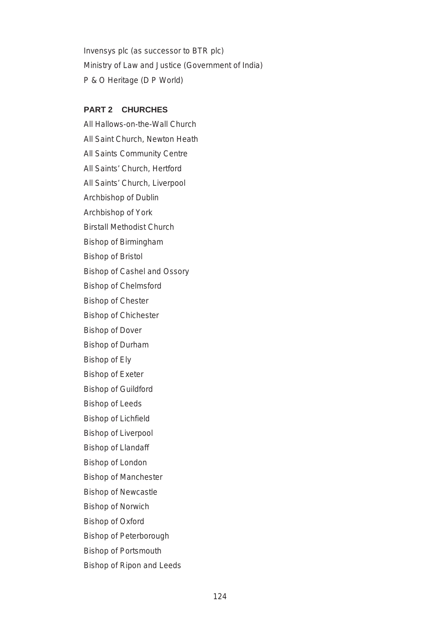Invensys plc (as successor to BTR plc) Ministry of Law and Justice (Government of India) P & O Heritage (D P World)

#### **PART 2 CHURCHES**

All Hallows-on-the-Wall Church All Saint Church, Newton Heath All Saints Community Centre All Saints' Church, Hertford All Saints' Church, Liverpool Archbishop of Dublin Archbishop of York Birstall Methodist Church Bishop of Birmingham Bishop of Bristol Bishop of Cashel and Ossory Bishop of Chelmsford Bishop of Chester Bishop of Chichester Bishop of Dover Bishop of Durham Bishop of Ely Bishop of Exeter Bishop of Guildford Bishop of Leeds Bishop of Lichfield Bishop of Liverpool Bishop of Llandaff Bishop of London Bishop of Manchester Bishop of Newcastle Bishop of Norwich Bishop of Oxford Bishop of Peterborough Bishop of Portsmouth

Bishop of Ripon and Leeds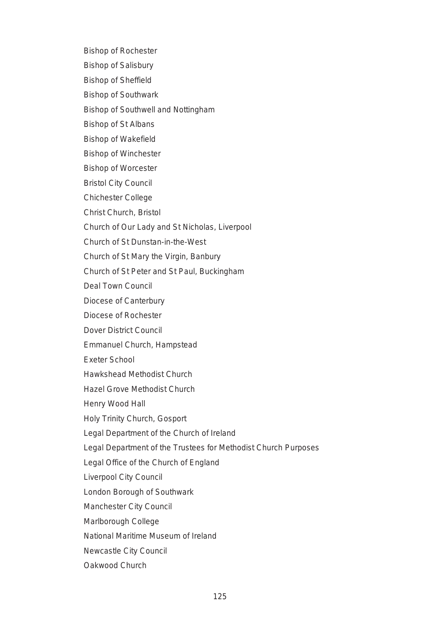Bishop of Rochester

Bishop of Salisbury

Bishop of Sheffield

Bishop of Southwark

Bishop of Southwell and Nottingham

Bishop of St Albans

Bishop of Wakefield

Bishop of Winchester

Bishop of Worcester

Bristol City Council

Chichester College

Christ Church, Bristol

Church of Our Lady and St Nicholas, Liverpool

Church of St Dunstan-in-the-West

Church of St Mary the Virgin, Banbury

Church of St Peter and St Paul, Buckingham

Deal Town Council

Diocese of Canterbury

Diocese of Rochester

Dover District Council

Emmanuel Church, Hampstead

Exeter School

Hawkshead Methodist Church

Hazel Grove Methodist Church

Henry Wood Hall

Holy Trinity Church, Gosport

Legal Department of the Church of Ireland

Legal Department of the Trustees for Methodist Church Purposes

Legal Office of the Church of England

Liverpool City Council

London Borough of Southwark

Manchester City Council

Marlborough College

National Maritime Museum of Ireland

Newcastle City Council

Oakwood Church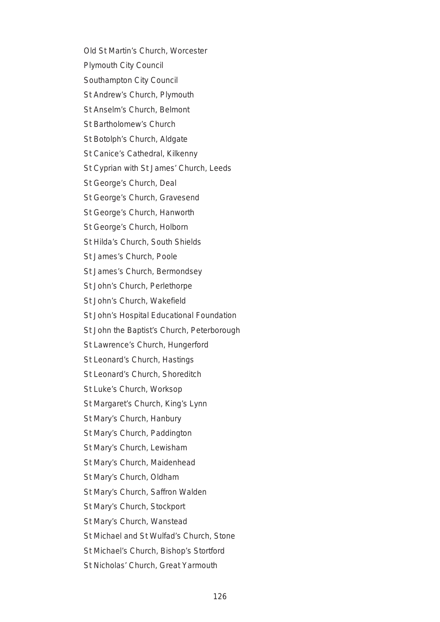- Old St Martin's Church, Worcester
- Plymouth City Council
- Southampton City Council
- St Andrew's Church, Plymouth
- St Anselm's Church, Belmont
- St Bartholomew's Church
- St Botolph's Church, Aldgate
- St Canice's Cathedral, Kilkenny
- St Cyprian with St James' Church, Leeds
- St George's Church, Deal
- St George's Church, Gravesend
- St George's Church, Hanworth
- St George's Church, Holborn
- St Hilda's Church, South Shields
- St James's Church, Poole
- St James's Church, Bermondsey
- St John's Church, Perlethorpe
- St John's Church, Wakefield
- St John's Hospital Educational Foundation
- St John the Baptist's Church, Peterborough
- St Lawrence's Church, Hungerford
- St Leonard's Church, Hastings
- St Leonard's Church, Shoreditch
- St Luke's Church, Worksop
- St Margaret's Church, King's Lynn
- St Mary's Church, Hanbury
- St Mary's Church, Paddington
- St Mary's Church, Lewisham
- St Mary's Church, Maidenhead
- St Mary's Church, Oldham
- St Mary's Church, Saffron Walden
- St Mary's Church, Stockport
- St Mary's Church, Wanstead
- St Michael and St Wulfad's Church, Stone
- St Michael's Church, Bishop's Stortford
- St Nicholas' Church, Great Yarmouth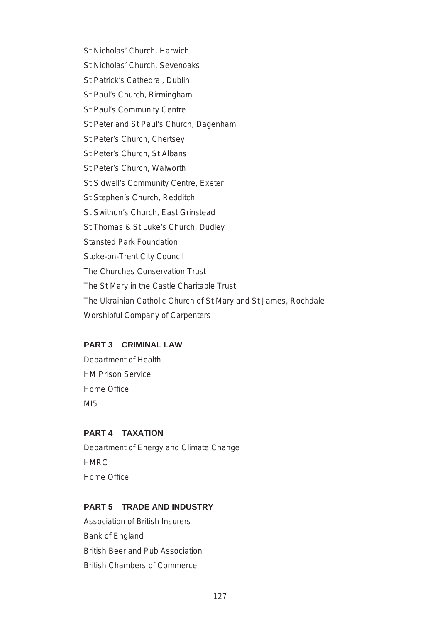St Nicholas' Church, Harwich St Nicholas' Church, Sevenoaks St Patrick's Cathedral, Dublin St Paul's Church, Birmingham St Paul's Community Centre St Peter and St Paul's Church, Dagenham St Peter's Church, Chertsey St Peter's Church, St Albans St Peter's Church, Walworth St Sidwell's Community Centre, Exeter St Stephen's Church, Redditch St Swithun's Church, East Grinstead St Thomas & St Luke's Church, Dudley Stansted Park Foundation Stoke-on-Trent City Council The Churches Conservation Trust The St Mary in the Castle Charitable Trust The Ukrainian Catholic Church of St Mary and St James, Rochdale Worshipful Company of Carpenters

## **PART 3 CRIMINAL LAW**

Department of Health HM Prison Service Home Office M<sub>I5</sub>

#### **PART 4 TAXATION**

Department of Energy and Climate Change HMRC Home Office

#### **PART 5 TRADE AND INDUSTRY**

Association of British Insurers Bank of England British Beer and Pub Association British Chambers of Commerce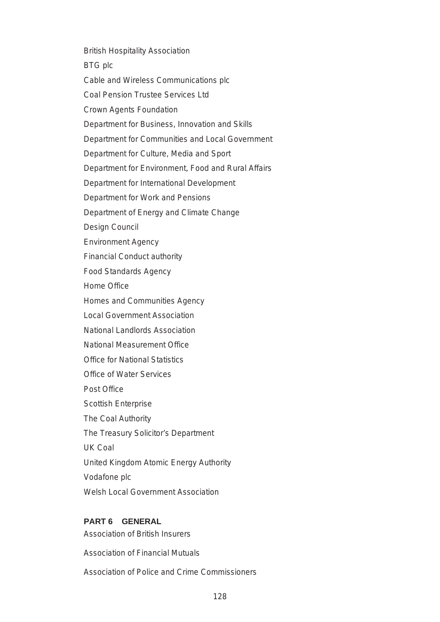British Hospitality Association BTG plc Cable and Wireless Communications plc Coal Pension Trustee Services Ltd Crown Agents Foundation Department for Business, Innovation and Skills Department for Communities and Local Government Department for Culture, Media and Sport Department for Environment, Food and Rural Affairs Department for International Development Department for Work and Pensions Department of Energy and Climate Change Design Council Environment Agency Financial Conduct authority Food Standards Agency Home Office Homes and Communities Agency Local Government Association National Landlords Association National Measurement Office Office for National Statistics Office of Water Services Post Office Scottish Enterprise The Coal Authority The Treasury Solicitor's Department UK Coal United Kingdom Atomic Energy Authority Vodafone plc Welsh Local Government Association

## **PART 6 GENERAL**

Association of British Insurers

Association of Financial Mutuals

Association of Police and Crime Commissioners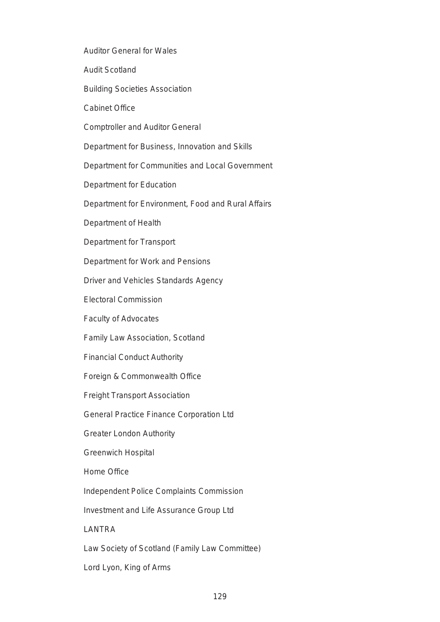Auditor General for Wales

Audit Scotland

Building Societies Association

Cabinet Office

Comptroller and Auditor General

Department for Business, Innovation and Skills

Department for Communities and Local Government

Department for Education

Department for Environment, Food and Rural Affairs

Department of Health

Department for Transport

Department for Work and Pensions

Driver and Vehicles Standards Agency

Electoral Commission

Faculty of Advocates

Family Law Association, Scotland

Financial Conduct Authority

Foreign & Commonwealth Office

Freight Transport Association

General Practice Finance Corporation Ltd

Greater London Authority

Greenwich Hospital

Home Office

Independent Police Complaints Commission

Investment and Life Assurance Group Ltd

LANTRA

Law Society of Scotland (Family Law Committee)

Lord Lyon, King of Arms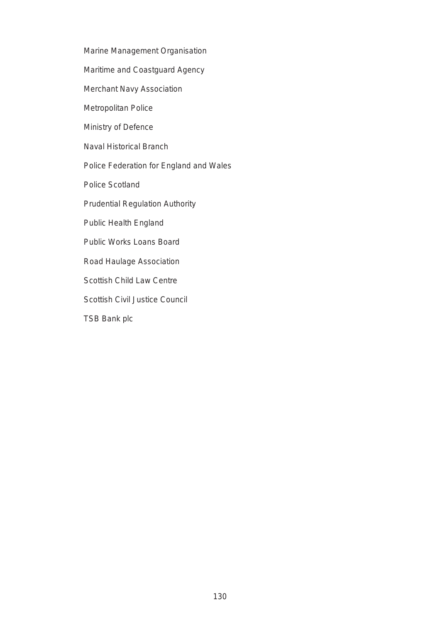- Marine Management Organisation
- Maritime and Coastguard Agency
- Merchant Navy Association
- Metropolitan Police
- Ministry of Defence
- Naval Historical Branch
- Police Federation for England and Wales
- Police Scotland
- Prudential Regulation Authority
- Public Health England
- Public Works Loans Board
- Road Haulage Association
- Scottish Child Law Centre
- Scottish Civil Justice Council
- TSB Bank plc